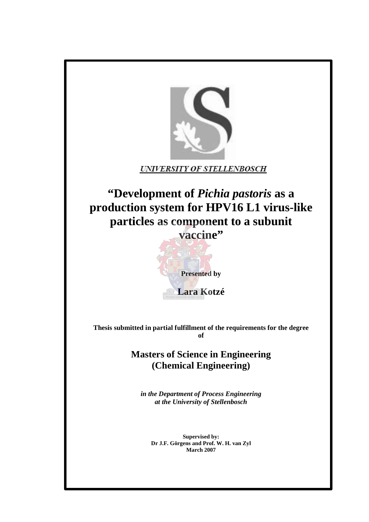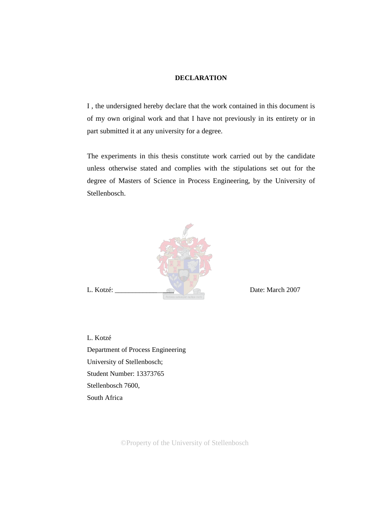#### **DECLARATION**

I , the undersigned hereby declare that the work contained in this document is of my own original work and that I have not previously in its entirety or in part submitted it at any university for a degree.

The experiments in this thesis constitute work carried out by the candidate unless otherwise stated and complies with the stipulations set out for the degree of Masters of Science in Process Engineering, by the University of Stellenbosch.



L. Kotzé Department of Process Engineering University of Stellenbosch; Student Number: 13373765 Stellenbosch 7600, South Africa

©Property of the University of Stellenbosch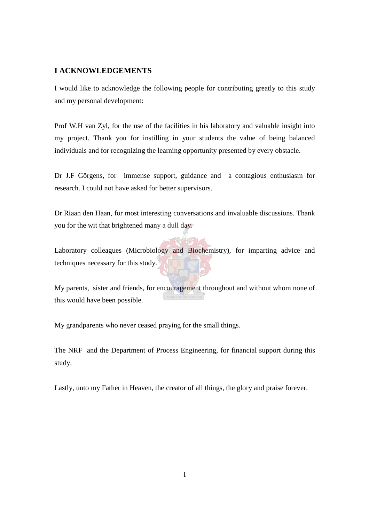## **I ACKNOWLEDGEMENTS**

I would like to acknowledge the following people for contributing greatly to this study and my personal development:

Prof W.H van Zyl, for the use of the facilities in his laboratory and valuable insight into my project. Thank you for instilling in your students the value of being balanced individuals and for recognizing the learning opportunity presented by every obstacle.

Dr J.F Görgens, for immense support, guidance and a contagious enthusiasm for research. I could not have asked for better supervisors.

Dr Riaan den Haan, for most interesting conversations and invaluable discussions. Thank you for the wit that brightened many a dull day.

Laboratory colleagues (Microbiology and Biochemistry), for imparting advice and techniques necessary for this study.

My parents, sister and friends, for encouragement throughout and without whom none of this would have been possible.

My grandparents who never ceased praying for the small things.

The NRF and the Department of Process Engineering, for financial support during this study.

Lastly, unto my Father in Heaven, the creator of all things, the glory and praise forever.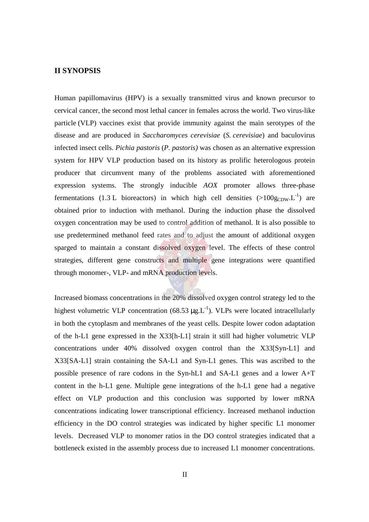### **II SYNOPSIS**

Human papillomavirus (HPV) is a sexually transmitted virus and known precursor to cervical cancer, the second most lethal cancer in females across the world. Two virus-like particle (VLP) vaccines exist that provide immunity against the main serotypes of the disease and are produced in *Saccharomyces cerevisiae* (*S. cerevisiae*) and baculovirus infected insect cells. *Pichia pastoris* (*P. pastoris)* was chosen as an alternative expression system for HPV VLP production based on its history as prolific heterologous protein producer that circumvent many of the problems associated with aforementioned expression systems. The strongly inducible *AOX* promoter allows three-phase fermentations (1.3 L bioreactors) in which high cell densities (>100g<sub>CDW</sub>.L<sup>-1</sup>) are obtained prior to induction with methanol. During the induction phase the dissolved oxygen concentration may be used to control addition of methanol. It is also possible to use predetermined methanol feed rates and to adjust the amount of additional oxygen sparged to maintain a constant dissolved oxygen level. The effects of these control strategies, different gene constructs and multiple gene integrations were quantified through monomer-, VLP- and mRNA production levels.

Increased biomass concentrations in the 20% dissolved oxygen control strategy led to the highest volumetric VLP concentration  $(68.53 \mu g.L^{-1})$ . VLPs were located intracellularly in both the cytoplasm and membranes of the yeast cells. Despite lower codon adaptation of the h-L1 gene expressed in the X33[h-L1] strain it still had higher volumetric VLP concentrations under 40% dissolved oxygen control than the X33[Syn-L1] and X33[SA-L1] strain containing the SA-L1 and Syn-L1 genes. This was ascribed to the possible presence of rare codons in the Syn-hL1 and SA-L1 genes and a lower A+T content in the h-L1 gene. Multiple gene integrations of the h-L1 gene had a negative effect on VLP production and this conclusion was supported by lower mRNA concentrations indicating lower transcriptional efficiency. Increased methanol induction efficiency in the DO control strategies was indicated by higher specific L1 monomer levels. Decreased VLP to monomer ratios in the DO control strategies indicated that a bottleneck existed in the assembly process due to increased L1 monomer concentrations.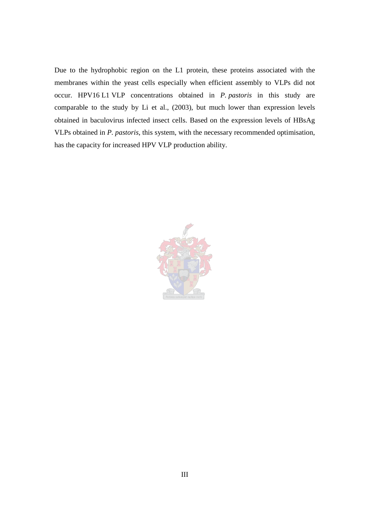Due to the hydrophobic region on the L1 protein, these proteins associated with the membranes within the yeast cells especially when efficient assembly to VLPs did not occur. HPV16 L1 VLP concentrations obtained in *P. pastoris* in this study are comparable to the study by Li et al., (2003), but much lower than expression levels obtained in baculovirus infected insect cells. Based on the expression levels of HBsAg VLPs obtained in *P. pastoris*, this system, with the necessary recommended optimisation, has the capacity for increased HPV VLP production ability.

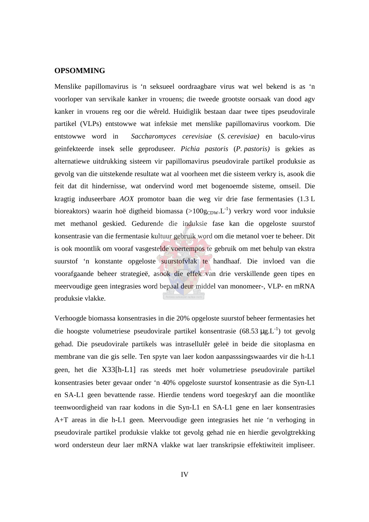### **OPSOMMING**

Menslike papillomavirus is 'n seksueel oordraagbare virus wat wel bekend is as 'n voorloper van servikale kanker in vrouens; die tweede grootste oorsaak van dood agv kanker in vrouens reg oor die wêreld. Huidiglik bestaan daar twee tipes pseudovirale partikel (VLPs) entstowwe wat infeksie met menslike papillomavirus voorkom. Die entstowwe word in *Saccharomyces cerevisiae* (*S. cerevisiae)* en baculo-virus geinfekteerde insek selle geproduseer. *Pichia pastoris* (*P. pastoris)* is gekies as alternatiewe uitdrukking sisteem vir papillomavirus pseudovirale partikel produksie as gevolg van die uitstekende resultate wat al voorheen met die sisteem verkry is, asook die feit dat dit hindernisse, wat ondervind word met bogenoemde sisteme, omseil. Die kragtig induseerbare *AOX* promotor baan die weg vir drie fase fermentasies (1.3 L bioreaktors) waarin hoë digtheid biomassa (>100gcDw.L<sup>-1</sup>) verkry word voor induksie met methanol geskied. Gedurende die induksie fase kan die opgeloste suurstof konsentrasie van die fermentasie kultuur gebruik word om die metanol voer te beheer. Dit is ook moontlik om vooraf vasgestelde voertempos te gebruik om met behulp van ekstra suurstof 'n konstante opgeloste suurstofvlak te handhaaf. Die invloed van die voorafgaande beheer strategieë, asook die effek van drie verskillende geen tipes en meervoudige geen integrasies word bepaal deur middel van monomeer-, VLP- en mRNA produksie vlakke.

Verhoogde biomassa konsentrasies in die 20% opgeloste suurstof beheer fermentasies het die hoogste volumetriese pseudovirale partikel konsentrasie (68.53  $\mu$ g.L<sup>-1</sup>) tot gevolg gehad. Die pseudovirale partikels was intrasellulêr geleë in beide die sitoplasma en membrane van die gis selle. Ten spyte van laer kodon aanpasssingswaardes vir die h-L1 geen, het die X33[h-L1] ras steeds met hoër volumetriese pseudovirale partikel konsentrasies beter gevaar onder 'n 40% opgeloste suurstof konsentrasie as die Syn-L1 en SA-L1 geen bevattende rasse. Hierdie tendens word toegeskryf aan die moontlike teenwoordigheid van raar kodons in die Syn-L1 en SA-L1 gene en laer konsentrasies A+T areas in die h-L1 geen. Meervoudige geen integrasies het nie 'n verhoging in pseudovirale partikel produksie vlakke tot gevolg gehad nie en hierdie gevolgtrekking word ondersteun deur laer mRNA vlakke wat laer transkripsie effektiwiteit impliseer.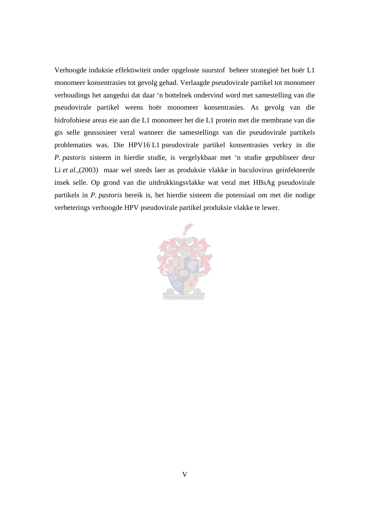Verhoogde induksie effektiwiteit onder opgeloste suurstof beheer strategieë het hoër L1 monomeer konsentrasies tot gevolg gehad. Verlaagde pseudovirale partikel tot monomeer verhoudings het aangedui dat daar 'n bottelnek ondervind word met samestelling van die pseudovirale partikel weens hoër monomeer konsentrasies. As gevolg van die hidrofobiese areas eie aan die L1 monomeer het die L1 protein met die membrane van die gis selle geassosieer veral wanneer die samestellings van die pseudovirale partikels problematies was. Die HPV16 L1 pseudovirale partikel konsentrasies verkry in die *P. pastoris* sisteem in hierdie studie, is vergelykbaar met 'n studie gepubliseer deur Li *et al.*,(2003) maar wel steeds laer as produksie vlakke in baculovirus geinfekteerde insek selle. Op grond van die uitdrukkingsvlakke wat veral met HBsAg pseudovirale partikels in *P. pastoris* bereik is, het hierdie sisteem die potensiaal om met die nodige verbeterings verhoogde HPV pseudovirale partikel produksie vlakke te lewer.

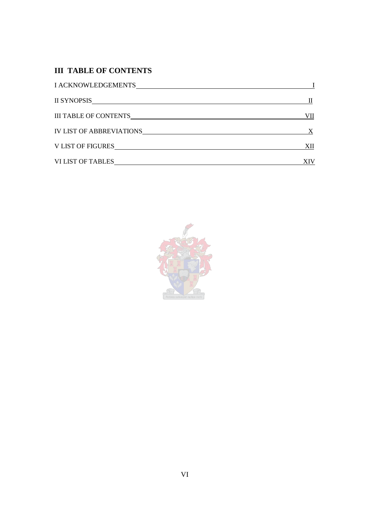# **III TABLE OF CONTENTS**

| <b>I ACKNOWLEDGEMENTS</b>       |     |
|---------------------------------|-----|
| <b>II SYNOPSIS</b>              |     |
| <b>III TABLE OF CONTENTS</b>    | VII |
| <b>IV LIST OF ABBREVIATIONS</b> |     |
| V LIST OF FIGURES               | XII |
| <b>VI LIST OF TABLES</b>        |     |

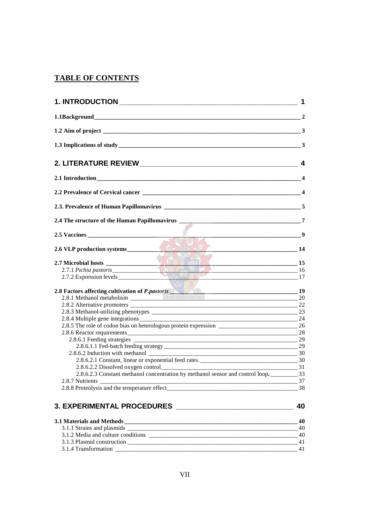# **TABLE OF CONTENTS**

|                                                                                                                                                                                                                                     | 9              |
|-------------------------------------------------------------------------------------------------------------------------------------------------------------------------------------------------------------------------------------|----------------|
| 2.6 VLP production systems<br><u> 14 I</u>                                                                                                                                                                                          |                |
| 2.7 Microbial hosts 2.7.1 Pichia pastoris 15<br>2.7.2 Expression levels                                                                                                                                                             |                |
| 2.8 Factors affecting cultivation of <i>P. pastoris</i> and the contract culture rection of the contract culture certificate contract culture certificate contract culture certificate certificate certificate certificate certific |                |
|                                                                                                                                                                                                                                     |                |
|                                                                                                                                                                                                                                     | 22             |
|                                                                                                                                                                                                                                     | 24             |
| 2.8.5 The role of codon bias on heterologous protein expression                                                                                                                                                                     |                |
|                                                                                                                                                                                                                                     |                |
|                                                                                                                                                                                                                                     |                |
|                                                                                                                                                                                                                                     |                |
|                                                                                                                                                                                                                                     |                |
|                                                                                                                                                                                                                                     |                |
|                                                                                                                                                                                                                                     | $\frac{31}{2}$ |
|                                                                                                                                                                                                                                     |                |
|                                                                                                                                                                                                                                     |                |
|                                                                                                                                                                                                                                     |                |
|                                                                                                                                                                                                                                     | 40             |

| 3.1 Materials and Methods          |  |
|------------------------------------|--|
| 3.1.1 Strains and plasmids         |  |
| 3.1.2 Media and culture conditions |  |
| 3.1.3 Plasmid construction         |  |
| 3.1.4 Transformation               |  |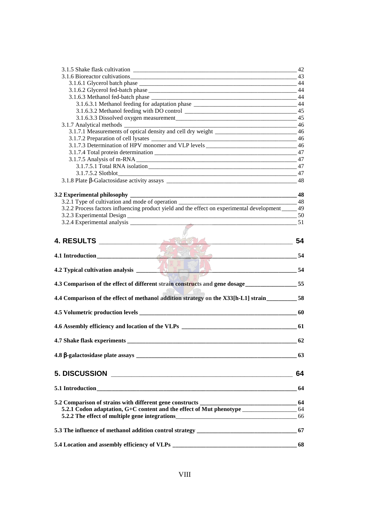|                                                                                                     | 42 |
|-----------------------------------------------------------------------------------------------------|----|
|                                                                                                     | 43 |
|                                                                                                     | 44 |
|                                                                                                     | 44 |
|                                                                                                     | 44 |
| 3.1.6.3.1 Methanol feeding for adaptation phase ________________________________                    | 44 |
|                                                                                                     | 45 |
|                                                                                                     | 45 |
|                                                                                                     | 46 |
| 3.1.7.1 Measurements of optical density and cell dry weight _____________________                   | 46 |
|                                                                                                     | 46 |
| 3.1.7.3 Determination of HPV monomer and VLP levels ____________________________                    | 46 |
|                                                                                                     | 47 |
|                                                                                                     | 47 |
|                                                                                                     | 47 |
|                                                                                                     | 47 |
|                                                                                                     | 48 |
|                                                                                                     | 48 |
| 3.2.1 Type of cultivation and mode of operation                                                     | 48 |
| 3.2.2 Process factors influencing product yield and the effect on experimental development _____ 49 |    |
|                                                                                                     | 50 |
| $3.2.4$ Experimental analysis $\overline{\phantom{a}}$                                              | 51 |
|                                                                                                     |    |
|                                                                                                     |    |
|                                                                                                     | 54 |
|                                                                                                     |    |
|                                                                                                     | 54 |
|                                                                                                     |    |
|                                                                                                     | 54 |
|                                                                                                     |    |
| 4.3 Comparison of the effect of different strain constructs and gene dosage______________55         |    |
|                                                                                                     |    |
| 4.4 Comparison of the effect of methanol addition strategy on the X33[h-L1] strain_________58       |    |
|                                                                                                     |    |
|                                                                                                     |    |
| 4.6 Assembly efficiency and location of the VLPs ________________________________                   | 61 |
|                                                                                                     |    |
|                                                                                                     | 62 |
|                                                                                                     | 63 |
|                                                                                                     |    |
|                                                                                                     |    |
| <b>5. DISCUSSION</b>                                                                                | 64 |
|                                                                                                     | 64 |
|                                                                                                     |    |
| 5.2 Comparison of strains with different gene constructs _______________________                    | 64 |
| 5.2.1 Codon adaptation, G+C content and the effect of Mut phenotype _____________                   | 64 |
| 5.2.2 The effect of multiple gene integrations___________________________________                   | 66 |
|                                                                                                     |    |
| 5.3 The influence of methanol addition control strategy _________________________                   | 67 |
|                                                                                                     |    |
| 5.4 Location and assembly efficiency of VLPs                                                        | 68 |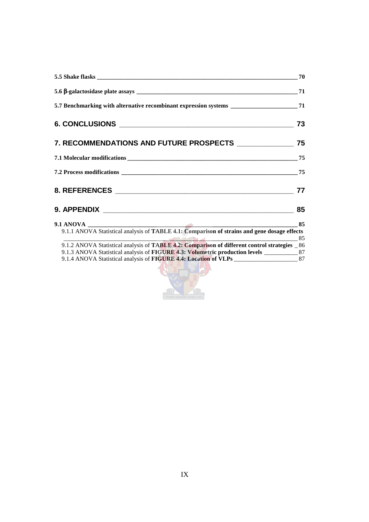| 5.7 Benchmarking with alternative recombinant expression systems _______________________71    |    |
|-----------------------------------------------------------------------------------------------|----|
|                                                                                               | 73 |
|                                                                                               |    |
|                                                                                               |    |
|                                                                                               | 75 |
|                                                                                               | 77 |
|                                                                                               |    |
|                                                                                               |    |
|                                                                                               |    |
| 9.1.2 ANOVA Statistical analysis of TABLE 4.2: Comparison of different control strategies _86 |    |
| 9.1.3 ANOVA Statistical analysis of FIGURE 4.3: Volumetric production levels ____________87   |    |
| 9.1.4 ANOVA Statistical analysis of FIGURE 4.4: Location of VLPs ______________________87     |    |

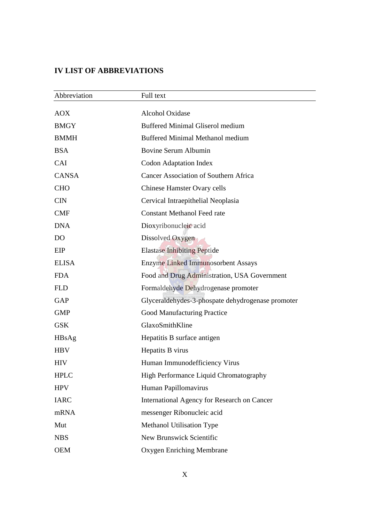## **IV LIST OF ABBREVIATIONS**

| Abbreviation   | Full text                                         |
|----------------|---------------------------------------------------|
| <b>AOX</b>     | Alcohol Oxidase                                   |
| <b>BMGY</b>    | <b>Buffered Minimal Gliserol medium</b>           |
| <b>BMMH</b>    | <b>Buffered Minimal Methanol medium</b>           |
| <b>BSA</b>     | <b>Bovine Serum Albumin</b>                       |
| CAI            | <b>Codon Adaptation Index</b>                     |
| <b>CANSA</b>   | <b>Cancer Association of Southern Africa</b>      |
| <b>CHO</b>     | <b>Chinese Hamster Ovary cells</b>                |
| <b>CIN</b>     | Cervical Intraepithelial Neoplasia                |
| <b>CMF</b>     | <b>Constant Methanol Feed rate</b>                |
| <b>DNA</b>     | Dioxyribonucleic acid                             |
| D <sub>O</sub> | Dissolved Oxygen                                  |
| EIP            | <b>Elastase Inhibiting Peptide</b>                |
| <b>ELISA</b>   | <b>Enzyme Linked Immunosorbent Assays</b>         |
| <b>FDA</b>     | Food and Drug Administration, USA Government      |
| <b>FLD</b>     | Formaldehyde Dehydrogenase promoter               |
| GAP            | Glyceraldehydes-3-phospate dehydrogenase promoter |
| <b>GMP</b>     | <b>Good Manufacturing Practice</b>                |
| <b>GSK</b>     | GlaxoSmithKline                                   |
| HBsAg          | Hepatitis B surface antigen                       |
| <b>HBV</b>     | Hepatits B virus                                  |
| <b>HIV</b>     | Human Immunodefficiency Virus                     |
| <b>HPLC</b>    | High Performance Liquid Chromatography            |
| <b>HPV</b>     | Human Papillomavirus                              |
| <b>IARC</b>    | International Agency for Research on Cancer       |
| mRNA           | messenger Ribonucleic acid                        |
| Mut            | Methanol Utilisation Type                         |
| <b>NBS</b>     | New Brunswick Scientific                          |
| <b>OEM</b>     | <b>Oxygen Enriching Membrane</b>                  |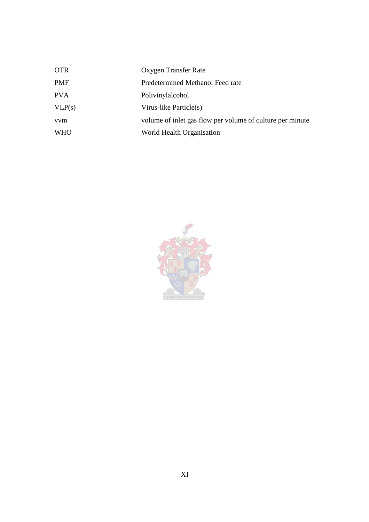| <b>OTR</b> | Oxygen Transfer Rate                                      |
|------------|-----------------------------------------------------------|
| <b>PMF</b> | Predetermined Methanol Feed rate                          |
| <b>PVA</b> | Polivinylalcohol                                          |
| VLP(s)     | Virus-like Particle(s)                                    |
| <i>vvm</i> | volume of inlet gas flow per volume of culture per minute |
| <b>WHO</b> | World Health Organisation                                 |

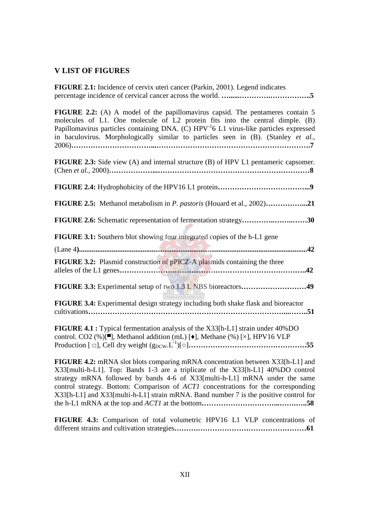### **V LIST OF FIGURES**

| FIGURE 2.1: Incidence of cervix uteri cancer (Parkin, 2001). Legend indicates                                                                                                                                                                                                                                                                                      |
|--------------------------------------------------------------------------------------------------------------------------------------------------------------------------------------------------------------------------------------------------------------------------------------------------------------------------------------------------------------------|
| <b>FIGURE 2.2:</b> (A) A model of the papillomavirus capsid. The pentameres contain 5<br>molecules of L1. One molecule of L2 protein fits into the central dimple. (B)<br>Papillomavirus particles containing DNA. (C) HPV <sup>-1</sup> 6 L1 virus-like particles expressed<br>in baculovirus. Morphologically similar to particles seen in (B). (Stanley et al., |
| <b>FIGURE 2.3:</b> Side view (A) and internal structure (B) of HPV L1 pentameric capsomer.                                                                                                                                                                                                                                                                         |
|                                                                                                                                                                                                                                                                                                                                                                    |
| FIGURE 2.5: Methanol metabolism in P. pastoris (Houard et al., 2002)21                                                                                                                                                                                                                                                                                             |
| FIGURE 2.6: Schematic representation of fermentation strategy30                                                                                                                                                                                                                                                                                                    |
| <b>FIGURE 3.1:</b> Southern blot showing four integrated copies of the h-L1 gene                                                                                                                                                                                                                                                                                   |
| <b>FIGURE 3.2:</b> Plasmid construction of pPICZ-A plasmids containing the three                                                                                                                                                                                                                                                                                   |
| FIGURE 3.3: Experimental setup of two 1.3 L NBS bioreactors49                                                                                                                                                                                                                                                                                                      |
| FIGURE 3.4: Experimental design strategy including both shake flask and bioreactor<br>cultivations                                                                                                                                                                                                                                                                 |
| FIGURE 4.1 : Typical fermentation analysis of the X33[h-L1] strain under 40%DO<br>control. CO2 (%)[ <sup>8</sup> ], Methanol addition (mL) [ $\bullet$ ], Methane (%) [×], HPV16 VLP                                                                                                                                                                               |
|                                                                                                                                                                                                                                                                                                                                                                    |

**FIGURE 4.2:** mRNA slot blots comparing mRNA concentration between X33[h-L1] and X33[multi-h-L1]. Top: Bands 1-3 are a triplicate of the X33[h-L1] 40%DO control strategy mRNA followed by bands 4-6 of X33[multi-h-L1] mRNA under the same control strategy. Bottom: Comparison of *ACT1* concentrations for the corresponding X33[h-L1] and X33[multi-h-L1] strain mRNA. Band number 7 is the positive control for the h-L1 mRNA at the top and *ACT1* at the bottom**…………………………...…….…..58**

**FIGURE 4.3:** Comparison of total volumetric HPV16 L1 VLP concentrations of different strains and cultivation strategies**……….………………………………………61**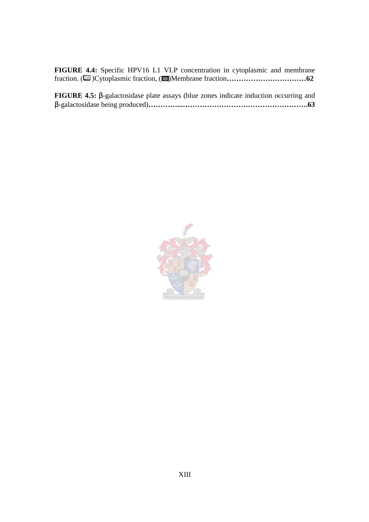|  |  |  |  | FIGURE 4.4: Specific HPV16 L1 VLP concentration in cytoplasmic and membrane |  |
|--|--|--|--|-----------------------------------------------------------------------------|--|
|  |  |  |  |                                                                             |  |

| FIGURE 4.5: $\beta$ -galactosidase plate assays (blue zones indicate induction occurring and |  |  |  |
|----------------------------------------------------------------------------------------------|--|--|--|
|                                                                                              |  |  |  |

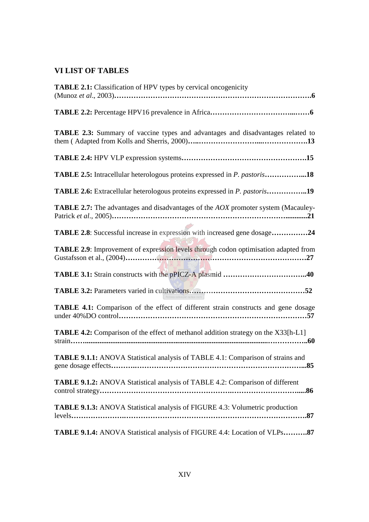## **VI LIST OF TABLES**

| <b>TABLE 2.1:</b> Classification of HPV types by cervical oncogenicity                          |
|-------------------------------------------------------------------------------------------------|
|                                                                                                 |
|                                                                                                 |
| TABLE 2.3: Summary of vaccine types and advantages and disadvantages related to                 |
|                                                                                                 |
| <b>TABLE 2.5:</b> Intracellular heterologous proteins expressed in <i>P. pastoris</i> 18        |
| TABLE 2.6: Extracellular heterologous proteins expressed in <i>P. pastoris</i> 19               |
| <b>TABLE 2.7:</b> The advantages and disadvantages of the <i>AOX</i> promoter system (Macauley- |
| <b>TABLE 2.8:</b> Successful increase in expression with increased gene dosage24                |
| TABLE 2.9: Improvement of expression levels through codon optimisation adapted from             |
|                                                                                                 |
|                                                                                                 |
| TABLE 4.1: Comparison of the effect of different strain constructs and gene dosage              |
| <b>TABLE 4.2:</b> Comparison of the effect of methanol addition strategy on the X33[h-L1]       |
| TABLE 9.1.1: ANOVA Statistical analysis of TABLE 4.1: Comparison of strains and                 |
| TABLE 9.1.2: ANOVA Statistical analysis of TABLE 4.2: Comparison of different                   |
| <b>TABLE 9.1.3:</b> ANOVA Statistical analysis of FIGURE 4.3: Volumetric production<br>levels   |
| TABLE 9.1.4: ANOVA Statistical analysis of FIGURE 4.4: Location of VLPs87                       |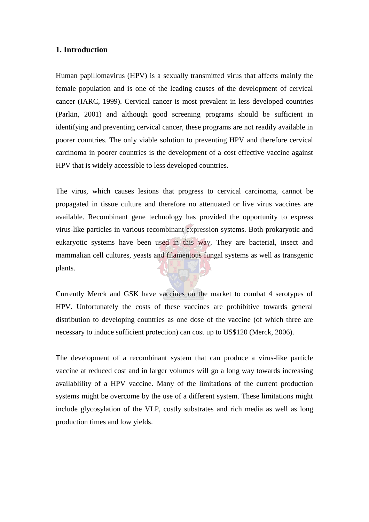## **1. Introduction**

Human papillomavirus (HPV) is a sexually transmitted virus that affects mainly the female population and is one of the leading causes of the development of cervical cancer (IARC, 1999). Cervical cancer is most prevalent in less developed countries (Parkin, 2001) and although good screening programs should be sufficient in identifying and preventing cervical cancer, these programs are not readily available in poorer countries. The only viable solution to preventing HPV and therefore cervical carcinoma in poorer countries is the development of a cost effective vaccine against HPV that is widely accessible to less developed countries.

The virus, which causes lesions that progress to cervical carcinoma, cannot be propagated in tissue culture and therefore no attenuated or live virus vaccines are available. Recombinant gene technology has provided the opportunity to express virus-like particles in various recombinant expression systems. Both prokaryotic and eukaryotic systems have been used in this way. They are bacterial, insect and mammalian cell cultures, yeasts and filamentous fungal systems as well as transgenic plants.

Currently Merck and GSK have vaccines on the market to combat 4 serotypes of HPV. Unfortunately the costs of these vaccines are prohibitive towards general distribution to developing countries as one dose of the vaccine (of which three are necessary to induce sufficient protection) can cost up to US\$120 (Merck, 2006).

The development of a recombinant system that can produce a virus-like particle vaccine at reduced cost and in larger volumes will go a long way towards increasing availablility of a HPV vaccine. Many of the limitations of the current production systems might be overcome by the use of a different system. These limitations might include glycosylation of the VLP, costly substrates and rich media as well as long production times and low yields.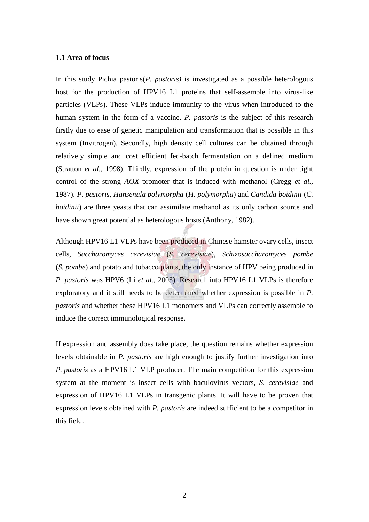### **1.1 Area of focus**

In this study Pichia pastoris(*P. pastoris)* is investigated as a possible heterologous host for the production of HPV16 L1 proteins that self-assemble into virus-like particles (VLPs). These VLPs induce immunity to the virus when introduced to the human system in the form of a vaccine. *P. pastoris* is the subject of this research firstly due to ease of genetic manipulation and transformation that is possible in this system (Invitrogen). Secondly, high density cell cultures can be obtained through relatively simple and cost efficient fed-batch fermentation on a defined medium (Stratton *et al.,* 1998). Thirdly, expression of the protein in question is under tight control of the strong *AOX* promoter that is induced with methanol (Cregg *et al.,* 1987). *P. pastoris, Hansenula polymorpha* (*H. polymorpha*) and *Candida boidinii* (*C. boidinii*) are three yeasts that can assimilate methanol as its only carbon source and have shown great potential as heterologous hosts (Anthony, 1982).

Although HPV16 L1 VLPs have been produced in Chinese hamster ovary cells, insect cells, *Saccharomyces cerevisiae* (*S. cerevisiae*), *Schizosaccharomyces pombe* (*S. pombe*) and potato and tobacco plants, the only instance of HPV being produced in *P. pastoris* was HPV6 (Li *et al.,* 2003). Research into HPV16 L1 VLPs is therefore exploratory and it still needs to be determined whether expression is possible in *P. pastoris* and whether these HPV16 L1 monomers and VLPs can correctly assemble to induce the correct immunological response.

If expression and assembly does take place, the question remains whether expression levels obtainable in *P. pastoris* are high enough to justify further investigation into *P. pastoris* as a HPV16 L1 VLP producer. The main competition for this expression system at the moment is insect cells with baculovirus vectors, *S. cerevisiae* and expression of HPV16 L1 VLPs in transgenic plants. It will have to be proven that expression levels obtained with *P. pastoris* are indeed sufficient to be a competitor in this field.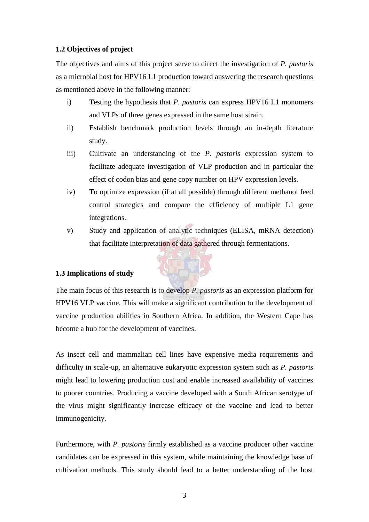### **1.2 Objectives of project**

The objectives and aims of this project serve to direct the investigation of *P. pastoris* as a microbial host for HPV16 L1 production toward answering the research questions as mentioned above in the following manner:

- i) Testing the hypothesis that *P. pastoris* can express HPV16 L1 monomers and VLPs of three genes expressed in the same host strain.
- ii) Establish benchmark production levels through an in-depth literature study.
- iii) Cultivate an understanding of the *P. pastoris* expression system to facilitate adequate investigation of VLP production and in particular the effect of codon bias and gene copy number on HPV expression levels.
- iv) To optimize expression (if at all possible) through different methanol feed control strategies and compare the efficiency of multiple L1 gene integrations.
- v) Study and application of analytic techniques (ELISA, mRNA detection) that facilitate interpretation of data gathered through fermentations.

### **1.3 Implications of study**

The main focus of this research is to develop *P. pastoris* as an expression platform for HPV16 VLP vaccine. This will make a significant contribution to the development of vaccine production abilities in Southern Africa. In addition, the Western Cape has become a hub for the development of vaccines.

As insect cell and mammalian cell lines have expensive media requirements and difficulty in scale-up, an alternative eukaryotic expression system such as *P. pastoris* might lead to lowering production cost and enable increased availability of vaccines to poorer countries. Producing a vaccine developed with a South African serotype of the virus might significantly increase efficacy of the vaccine and lead to better immunogenicity.

Furthermore, with *P. pastoris* firmly established as a vaccine producer other vaccine candidates can be expressed in this system, while maintaining the knowledge base of cultivation methods. This study should lead to a better understanding of the host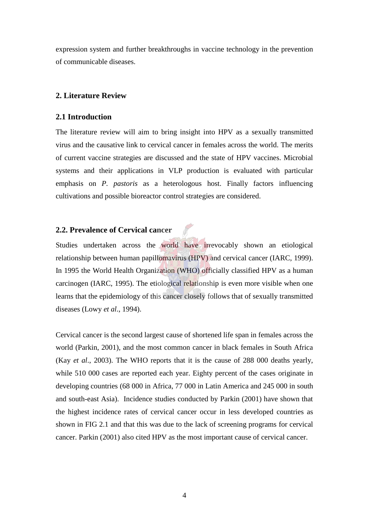expression system and further breakthroughs in vaccine technology in the prevention of communicable diseases.

### **2. Literature Review**

### **2.1 Introduction**

The literature review will aim to bring insight into HPV as a sexually transmitted virus and the causative link to cervical cancer in females across the world. The merits of current vaccine strategies are discussed and the state of HPV vaccines. Microbial systems and their applications in VLP production is evaluated with particular emphasis on *P. pastoris* as a heterologous host. Finally factors influencing cultivations and possible bioreactor control strategies are considered.

## **2.2. Prevalence of Cervical cancer**

Studies undertaken across the world have irrevocably shown an etiological relationship between human papillomavirus (HPV) and cervical cancer (IARC, 1999). In 1995 the World Health Organization (WHO) officially classified HPV as a human carcinogen (IARC, 1995). The etiological relationship is even more visible when one learns that the epidemiology of this cancer closely follows that of sexually transmitted diseases (Lowy *et al*., 1994).

Cervical cancer is the second largest cause of shortened life span in females across the world (Parkin, 2001), and the most common cancer in black females in South Africa (Kay *et al*., 2003). The WHO reports that it is the cause of 288 000 deaths yearly, while 510 000 cases are reported each year. Eighty percent of the cases originate in developing countries (68 000 in Africa, 77 000 in Latin America and 245 000 in south and south-east Asia). Incidence studies conducted by Parkin (2001) have shown that the highest incidence rates of cervical cancer occur in less developed countries as shown in FIG 2.1 and that this was due to the lack of screening programs for cervical cancer. Parkin (2001) also cited HPV as the most important cause of cervical cancer.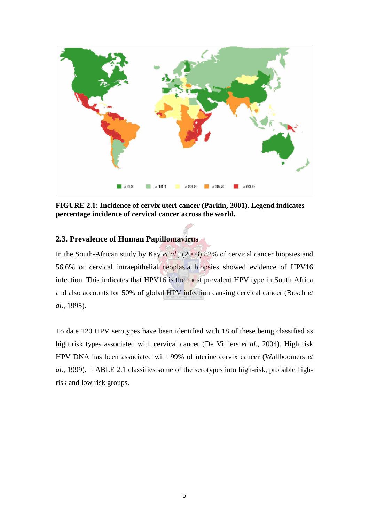

**FIGURE 2.1: Incidence of cervix uteri cancer (Parkin, 2001). Legend indicates percentage incidence of cervical cancer across the world.**

## **2.3. Prevalence of Human Papillomavirus**

In the South-African study by Kay *et al*., (2003) 82% of cervical cancer biopsies and 56.6% of cervical intraepithelial neoplasia biopsies showed evidence of HPV16 infection. This indicates that HPV16 is the most prevalent HPV type in South Africa and also accounts for 50% of global HPV infection causing cervical cancer (Bosch *et al*., 1995).

To date 120 HPV serotypes have been identified with 18 of these being classified as high risk types associated with cervical cancer (De Villiers *et al*., 2004). High risk HPV DNA has been associated with 99% of uterine cervix cancer (Wallboomers *et al.,* 1999). TABLE 2.1 classifies some of the serotypes into high-risk, probable highrisk and low risk groups.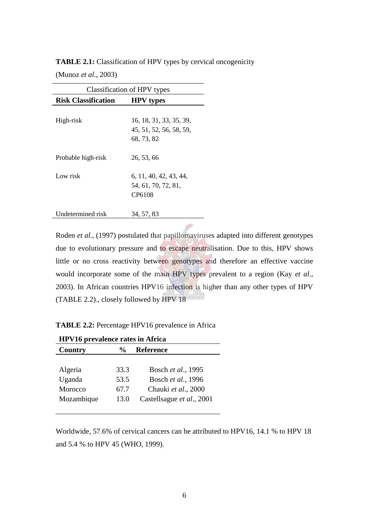| <b>TABLE 2.1:</b> Classification of HPV types by cervical oncogenicity |
|------------------------------------------------------------------------|
|------------------------------------------------------------------------|

(Munoz *et al*., 2003)

| Classification of HPV types |                                                                |  |  |
|-----------------------------|----------------------------------------------------------------|--|--|
| <b>Risk Classification</b>  | <b>HPV</b> types                                               |  |  |
| High-risk                   | 16, 18, 31, 33, 35, 39,<br>45, 51, 52, 56, 58, 59,<br>68.73.82 |  |  |
| Probable high-risk          | 26, 53, 66                                                     |  |  |
| Low risk                    | 6, 11, 40, 42, 43, 44,<br>54, 61, 70, 72, 81,<br>CP6108        |  |  |
| Undetermined risk           | 34, 57, 83                                                     |  |  |

Roden *et al.,* (1997) postulated that papillomaviruses adapted into different genotypes due to evolutionary pressure and to escape neutralisation. Due to this, HPV shows little or no cross reactivity between genotypes and therefore an effective vaccine would incorporate some of the main HPV types prevalent to a region (Kay *et al*., 2003). In African countries HPV16 infection is higher than any other types of HPV (TABLE 2.2)., closely followed by HPV 18

**TABLE 2.2:** Percentage HPV16 prevalence in Africa

| <b>HPV16</b> prevalence rates in Africa |                                   |                           |  |
|-----------------------------------------|-----------------------------------|---------------------------|--|
| Country                                 | <b>Reference</b><br>$\frac{0}{0}$ |                           |  |
|                                         |                                   |                           |  |
| Algeria                                 | 33.3                              | Bosch et al., 1995        |  |
| Uganda                                  | 53.5                              | Bosch et al., 1996        |  |
| Morocco                                 | 67.7                              | Chauki et al., 2000       |  |
| Mozambique                              | 13.0                              | Castellsague et al., 2001 |  |
|                                         |                                   |                           |  |

Worldwide, 57.6% of cervical cancers can be attributed to HPV16, 14.1 % to HPV 18 and 5.4 % to HPV 45 (WHO, 1999).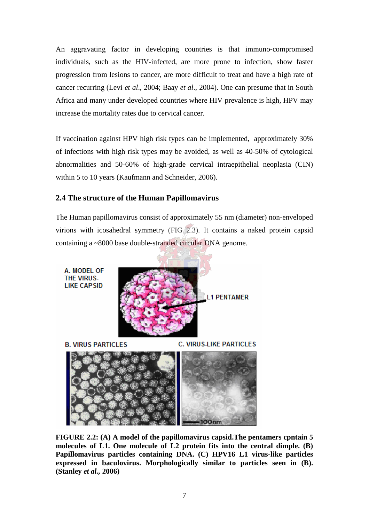An aggravating factor in developing countries is that immuno-compromised individuals, such as the HIV-infected, are more prone to infection, show faster progression from lesions to cancer, are more difficult to treat and have a high rate of cancer recurring (Levi *et al*., 2004; Baay *et al*., 2004). One can presume that in South Africa and many under developed countries where HIV prevalence is high, HPV may increase the mortality rates due to cervical cancer.

If vaccination against HPV high risk types can be implemented, approximately 30% of infections with high risk types may be avoided, as well as 40-50% of cytological abnormalities and 50-60% of high-grade cervical intraepithelial neoplasia (CIN) within 5 to 10 years (Kaufmann and Schneider, 2006).

## **2.4 The structure of the Human Papillomavirus**

The Human papillomavirus consist of approximately 55 nm (diameter) non-enveloped virions with icosahedral symmetry (FIG 2.3). It contains a naked protein capsid containing a ~8000 base double-stranded circular DNA genome.



**FIGURE 2.2: (A) A model of the papillomavirus capsid.The pentamers cpntain 5 molecules of L1. One molecule of L2 protein fits into the central dimple. (B) Papillomavirus particles containing DNA. (C) HPV16 L1 virus-like particles expressed in baculovirus. Morphologically similar to particles seen in (B). (Stanley** *et al.,* **2006)**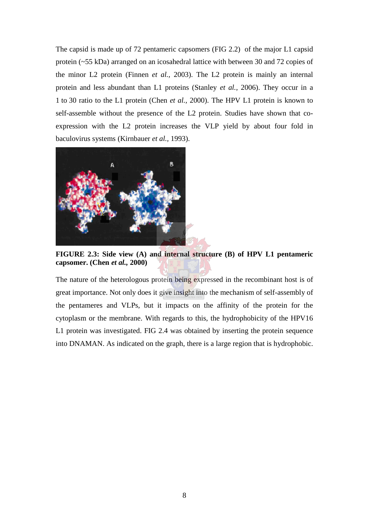The capsid is made up of 72 pentameric capsomers (FIG 2.2) of the major L1 capsid protein (~55 kDa) arranged on an icosahedral lattice with between 30 and 72 copies of the minor L2 protein (Finnen *et al.,* 2003). The L2 protein is mainly an internal protein and less abundant than L1 proteins (Stanley *et al.,* 2006). They occur in a 1 to 30 ratio to the L1 protein (Chen *et al.,* 2000). The HPV L1 protein is known to self-assemble without the presence of the L2 protein. Studies have shown that coexpression with the L2 protein increases the VLP yield by about four fold in baculovirus systems (Kirnbauer *et al.,* 1993).



**FIGURE 2.3: Side view (A) and internal structure (B) of HPV L1 pentameric capsomer. (Chen** *et al.,* **2000)**

The nature of the heterologous protein being expressed in the recombinant host is of great importance. Not only does it give insight into the mechanism of self-assembly of the pentameres and VLPs, but it impacts on the affinity of the protein for the cytoplasm or the membrane. With regards to this, the hydrophobicity of the HPV16 L1 protein was investigated. FIG 2.4 was obtained by inserting the protein sequence into DNAMAN. As indicated on the graph, there is a large region that is hydrophobic.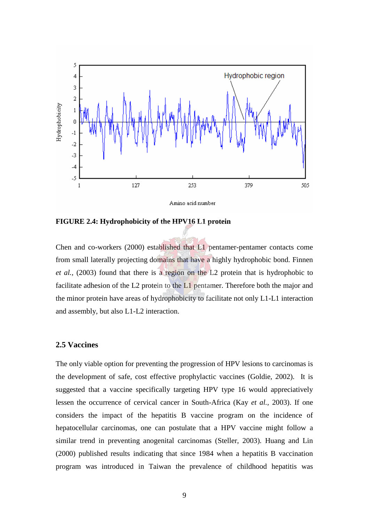

**FIGURE 2.4: Hydrophobicity of the HPV16 L1 protein**

Chen and co-workers (2000) established that L1 pentamer-pentamer contacts come from small laterally projecting domains that have a highly hydrophobic bond. Finnen *et al.,* (2003) found that there is a region on the L2 protein that is hydrophobic to facilitate adhesion of the L2 protein to the L1 pentamer. Therefore both the major and the minor protein have areas of hydrophobicity to facilitate not only L1-L1 interaction and assembly, but also L1-L2 interaction.

### **2.5 Vaccines**

The only viable option for preventing the progression of HPV lesions to carcinomas is the development of safe, cost effective prophylactic vaccines (Goldie, 2002). It is suggested that a vaccine specifically targeting HPV type 16 would appreciatively lessen the occurrence of cervical cancer in South-Africa (Kay *et al.,* 2003). If one considers the impact of the hepatitis B vaccine program on the incidence of hepatocellular carcinomas, one can postulate that a HPV vaccine might follow a similar trend in preventing anogenital carcinomas (Steller, 2003). Huang and Lin (2000) published results indicating that since 1984 when a hepatitis B vaccination program was introduced in Taiwan the prevalence of childhood hepatitis was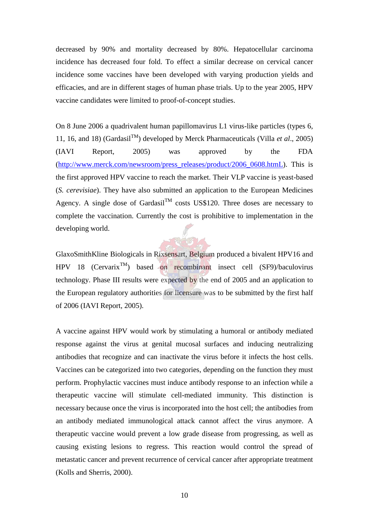decreased by 90% and mortality decreased by 80%. Hepatocellular carcinoma incidence has decreased four fold. To effect a similar decrease on cervical cancer incidence some vaccines have been developed with varying production yields and efficacies, and are in different stages of human phase trials. Up to the year 2005, HPV vaccine candidates were limited to proof-of-concept studies.

On 8 June 2006 a quadrivalent human papillomavirus L1 virus-like particles (types 6, 11, 16, and 18) (Gardasil<sup>TM</sup>) developed by Merck Pharmaceuticals (Villa *et al.*, 2005) (IAVI Report, 2005) was approved by the FDA (http://www.merck.com/newsroom/press\_releases/product/2006\_0608.htmL). This is the first approved HPV vaccine to reach the market. Their VLP vaccine is yeast-based (*S. cerevisiae*). They have also submitted an application to the European Medicines Agency. A single dose of Gardasil<sup>TM</sup> costs US\$120. Three doses are necessary to complete the vaccination. Currently the cost is prohibitive to implementation in the developing world.

GlaxoSmithKline Biologicals in Rixsensart, Belgium produced a bivalent HPV16 and HPV 18 (Cervarix<sup>TM</sup>) based on recombinant insect cell (SF9)/baculovirus technology. Phase III results were expected by the end of 2005 and an application to the European regulatory authorities for licensure was to be submitted by the first half of 2006 (IAVI Report, 2005).

A vaccine against HPV would work by stimulating a humoral or antibody mediated response against the virus at genital mucosal surfaces and inducing neutralizing antibodies that recognize and can inactivate the virus before it infects the host cells. Vaccines can be categorized into two categories, depending on the function they must perform. Prophylactic vaccines must induce antibody response to an infection while a therapeutic vaccine will stimulate cell-mediated immunity. This distinction is necessary because once the virus is incorporated into the host cell; the antibodies from an antibody mediated immunological attack cannot affect the virus anymore. A therapeutic vaccine would prevent a low grade disease from progressing, as well as causing existing lesions to regress. This reaction would control the spread of metastatic cancer and prevent recurrence of cervical cancer after appropriate treatment (Kolls and Sherris, 2000).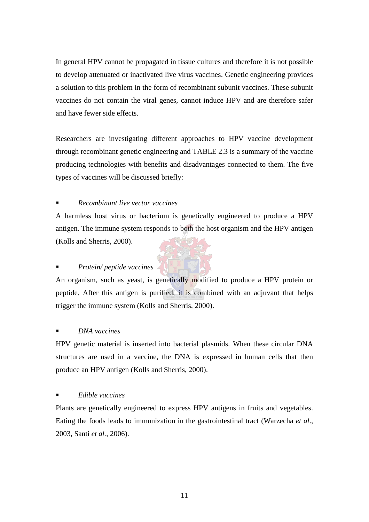In general HPV cannot be propagated in tissue cultures and therefore it is not possible to develop attenuated or inactivated live virus vaccines. Genetic engineering provides a solution to this problem in the form of recombinant subunit vaccines. These subunit vaccines do not contain the viral genes, cannot induce HPV and are therefore safer and have fewer side effects.

Researchers are investigating different approaches to HPV vaccine development through recombinant genetic engineering and TABLE 2.3 is a summary of the vaccine producing technologies with benefits and disadvantages connected to them. The five types of vaccines will be discussed briefly:

## *Recombinant live vector vaccines*

A harmless host virus or bacterium is genetically engineered to produce a HPV antigen. The immune system responds to both the host organism and the HPV antigen (Kolls and Sherris, 2000).

## *Protein/ peptide vaccines*

An organism, such as yeast, is genetically modified to produce a HPV protein or peptide. After this antigen is purified, it is combined with an adjuvant that helps trigger the immune system (Kolls and Sherris, 2000).

## *DNA vaccines*

HPV genetic material is inserted into bacterial plasmids. When these circular DNA structures are used in a vaccine, the DNA is expressed in human cells that then produce an HPV antigen (Kolls and Sherris, 2000).

## *Edible vaccines*

Plants are genetically engineered to express HPV antigens in fruits and vegetables. Eating the foods leads to immunization in the gastrointestinal tract (Warzecha *et al*., 2003, Santi *et al.,* 2006).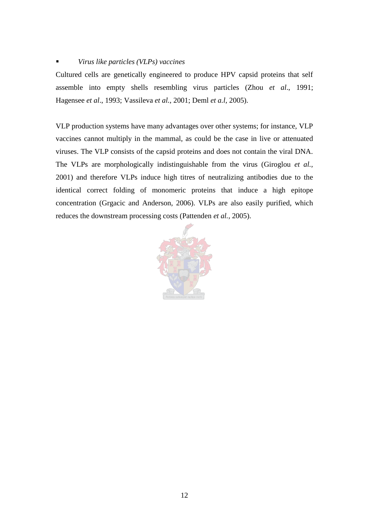## *Virus like particles (VLPs) vaccines*

Cultured cells are genetically engineered to produce HPV capsid proteins that self assemble into empty shells resembling virus particles (Zhou *et al*., 1991; Hagensee *et al*., 1993; Vassileva *et al.*, 2001; Deml *et a.l*, 2005).

VLP production systems have many advantages over other systems; for instance, VLP vaccines cannot multiply in the mammal, as could be the case in live or attenuated viruses. The VLP consists of the capsid proteins and does not contain the viral DNA. The VLPs are morphologically indistinguishable from the virus (Giroglou *et al.,* 2001) and therefore VLPs induce high titres of neutralizing antibodies due to the identical correct folding of monomeric proteins that induce a high epitope concentration (Grgacic and Anderson, 2006). VLPs are also easily purified, which reduces the downstream processing costs (Pattenden *et al.,* 2005).

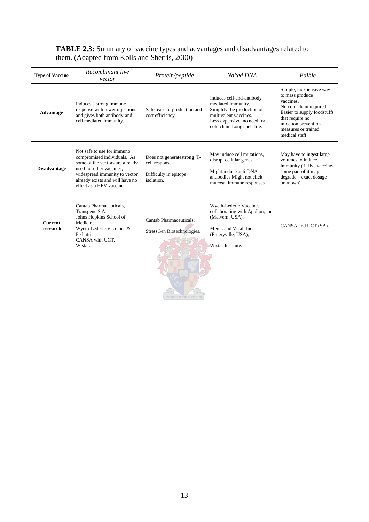| <b>Type of Vaccine</b>     | Recombinant live<br>vector                                                                                                                                                                                              | Protein/peptide                                                                     | Naked DNA                                                                                                                                                              | Edible                                                                                                                                                                                               |
|----------------------------|-------------------------------------------------------------------------------------------------------------------------------------------------------------------------------------------------------------------------|-------------------------------------------------------------------------------------|------------------------------------------------------------------------------------------------------------------------------------------------------------------------|------------------------------------------------------------------------------------------------------------------------------------------------------------------------------------------------------|
| <b>Advantage</b>           | Induces a strong immune<br>response with fewer injections<br>and gives both antibody-and-<br>cell mediated immunity.                                                                                                    | Safe, ease of production and<br>cost efficiency.                                    | Induces cell-and-antibody<br>mediated immunity.<br>Simplify the production of<br>multivalent vaccines.<br>Less expensive, no need for a<br>cold chain.Long shelf life. | Simple, inexpensive way<br>to mass produce<br>vaccines.<br>No cold chain required.<br>Easier to supply foodstuffs<br>that require no<br>infection prevention<br>measures or trained<br>medical staff |
| <b>Disadvantage</b>        | Not safe to use for immuno<br>compromised individuals. As<br>some of the vectors are already<br>used for other vaccines,<br>widespread immunity to vector<br>already exists and will have no<br>effect as a HPV vaccine | Does not generatestrong T-<br>cell response.<br>Difficulty in epitope<br>isolation. | May induce cell mutations,<br>disrupt cellular genes.<br>Might induce anti-DNA<br>antibodies. Might not elicit<br>mucosal immune responses                             | May have to ingest large<br>volumes to induce<br>immunity (if live vaccine-<br>some part of it may<br>degrade - exact dosage<br>unknown).                                                            |
| <b>Current</b><br>research | Cantab Pharmaceuticals,<br>Transgene S.A.,<br>Johns Hopkins School of<br>Medicine,<br>Wyeth-Lederle Vaccines &<br>Pediatrics,<br>CANSA with UCT.<br>Wistar.                                                             | Cantab Pharmaceuticals.<br>StressGen Biotechnologies.                               | Wyeth-Lederle Vaccines<br>collaborating with Apollon, inc.<br>(Malvern, USA),<br>Merck and Vical, Inc.<br>(Emeryville, USA),<br>Wistar Institute.                      | CANSA and UCT (SA).                                                                                                                                                                                  |
|                            |                                                                                                                                                                                                                         |                                                                                     |                                                                                                                                                                        |                                                                                                                                                                                                      |

## **TABLE 2.3:** Summary of vaccine types and advantages and disadvantages related to them. (Adapted from Kolls and Sherris, 2000)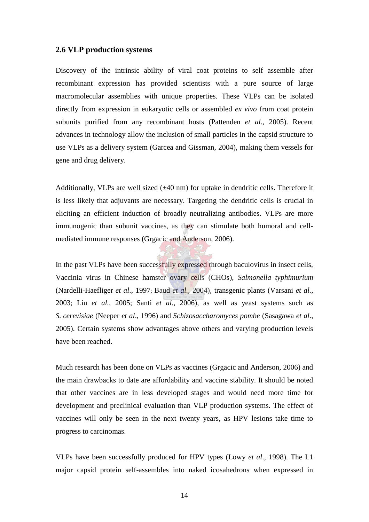### **2.6 VLP production systems**

Discovery of the intrinsic ability of viral coat proteins to self assemble after recombinant expression has provided scientists with a pure source of large macromolecular assemblies with unique properties. These VLPs can be isolated directly from expression in eukaryotic cells or assembled *ex vivo* from coat protein subunits purified from any recombinant hosts (Pattenden *et al.,* 2005). Recent advances in technology allow the inclusion of small particles in the capsid structure to use VLPs as a delivery system (Garcea and Gissman, 2004), making them vessels for gene and drug delivery.

Additionally, VLPs are well sized  $(\pm 40 \text{ nm})$  for uptake in dendritic cells. Therefore it is less likely that adjuvants are necessary. Targeting the dendritic cells is crucial in eliciting an efficient induction of broadly neutralizing antibodies. VLPs are more immunogenic than subunit vaccines, as they can stimulate both humoral and cellmediated immune responses (Grgacic and Anderson, 2006).

In the past VLPs have been successfully expressed through baculovirus in insect cells, Vaccinia virus in Chinese hamster ovary cells (CHOs), *Salmonella typhimurium* (Nardelli-Haefliger *et al*., 1997; Baud *et al.,* 2004), transgenic plants (Varsani *et al.,* 2003; Liu *et al.,* 2005; Santi *et al.,* 2006), as well as yeast systems such as *S. cerevisiae* (Neeper *et al*., 1996) and *Schizosaccharomyces pombe* (Sasagawa *et al*., 2005). Certain systems show advantages above others and varying production levels have been reached.

Much research has been done on VLPs as vaccines (Grgacic and Anderson, 2006) and the main drawbacks to date are affordability and vaccine stability. It should be noted that other vaccines are in less developed stages and would need more time for development and preclinical evaluation than VLP production systems. The effect of vaccines will only be seen in the next twenty years, as HPV lesions take time to progress to carcinomas.

VLPs have been successfully produced for HPV types (Lowy *et al*., 1998). The L1 major capsid protein self-assembles into naked icosahedrons when expressed in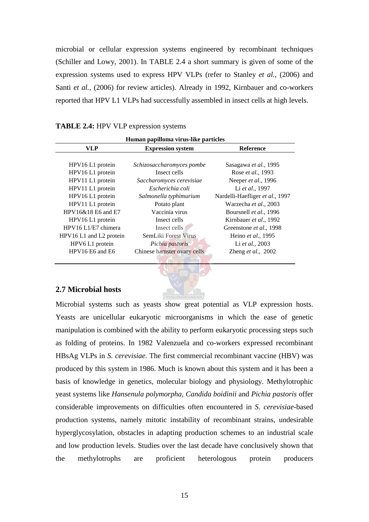microbial or cellular expression systems engineered by recombinant techniques (Schiller and Lowy, 2001). In TABLE 2.4 a short summary is given of some of the expression systems used to express HPV VLPs (refer to Stanley *et al.,* (2006) and Santi *et al.,* (2006) for review articles). Already in 1992, Kirnbauer and co-workers reported that HPV L1 VLPs had successfully assembled in insect cells at high levels.

| <b>TABLE 2.4:</b> HPV VLP expression systems |  |
|----------------------------------------------|--|
|----------------------------------------------|--|

| Human papilloma virus-like particles |                             |                                 |  |
|--------------------------------------|-----------------------------|---------------------------------|--|
| VLP                                  | <b>Expression system</b>    | <b>Reference</b>                |  |
|                                      |                             |                                 |  |
| HPV16 L1 protein                     | Schizosaccharomyces pombe   | Sasagawa et al., 1995           |  |
| HPV16 L1 protein                     | Insect cells                | Rose et al., 1993               |  |
| HPV11 L1 protein                     | Saccharomyces cerevisiae    | Neeper et al., 1996             |  |
| HPV11 L1 protein                     | Escherichia coli            | Li et al., 1997                 |  |
| HPV16 L1 protein                     | Salmonella typhimurium      | Nardelli-Haefliger et al., 1997 |  |
| HPV11 L1 protein                     | Potato plant                | Warzecha et al., 2003           |  |
| HPV16&18 E6 and E7                   | Vaccinia virus              | Boursnell et al., 1996          |  |
| HPV16 L1 protein                     | Insect cells                | Kirnbauer et al., 1992          |  |
| HPV16 L1/E7 chimera                  | Insect cells.               | Greenstone et al., 1998         |  |
| HPV16 L1 and L2 protein              | SemLiki Forest Virus        | Heino et al., 1995              |  |
| HPV6 L1 protein                      | Pichia pastoris             | Li et al., 2003                 |  |
| HPV16 E6 and E6                      | Chinese hamster ovary cells | Zheng et al., 2002              |  |

## **2.7 Microbial hosts**

Microbial systems such as yeasts show great potential as VLP expression hosts. Yeasts are unicellular eukaryotic microorganisms in which the ease of genetic manipulation is combined with the ability to perform eukaryotic processing steps such as folding of proteins. In 1982 Valenzuela and co-workers expressed recombinant HBsAg VLPs in *S. cerevisiae*. The first commercial recombinant vaccine (HBV) was produced by this system in 1986. Much is known about this system and it has been a basis of knowledge in genetics, molecular biology and physiology. Methylotrophic yeast systems like *Hansenula polymorpha*, *Candida boidinii* and *Pichia pastoris* offer considerable improvements on difficulties often encountered in *S*. *cerevisiae-*based production systems, namely mitotic instability of recombinant strains, undesirable hyperglycosylation, obstacles in adapting production schemes to an industrial scale and low production levels. Studies over the last decade have conclusively shown that the methylotrophs are proficient heterologous protein producers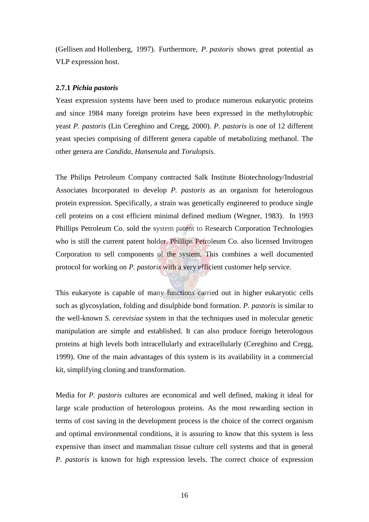(Gellisen and Hollenberg, 1997). Furthermore, *P. pastoris* shows great potential as VLP expression host.

### **2.7.1** *Pichia pastoris*

Yeast expression systems have been used to produce numerous eukaryotic proteins and since 1984 many foreign proteins have been expressed in the methylotrophic yeast *P. pastoris* (Lin Cereghino and Cregg, 2000). *P. pastoris* is one of 12 different yeast species comprising of different genera capable of metabolizing methanol. The other genera are *Candida*, *Hansenula* and *Torulopsis*.

The Philips Petroleum Company contracted Salk Institute Biotechnology/Industrial Associates Incorporated to develop *P. pastoris* as an organism for heterologous protein expression. Specifically, a strain was genetically engineered to produce single cell proteins on a cost efficient minimal defined medium (Wegner, 1983). In 1993 Phillips Petroleum Co. sold the system patent to Research Corporation Technologies who is still the current patent holder. Phillips Petroleum Co. also licensed Invitrogen Corporation to sell components of the system. This combines a well documented protocol for working on *P. pastoris* with a very efficient customer help service.

This eukaryote is capable of many functions carried out in higher eukaryotic cells such as glycosylation, folding and disulphide bond formation. *P. pastoris* is similar to the well-known *S. cerevisiae* system in that the techniques used in molecular genetic manipulation are simple and established. It can also produce foreign heterologous proteins at high levels both intracellularly and extracellularly (Cereghino and Cregg, 1999). One of the main advantages of this system is its availability in a commercial kit, simplifying cloning and transformation.

Media for *P. pastoris* cultures are economical and well defined, making it ideal for large scale production of heterologous proteins. As the most rewarding section in terms of cost saving in the development process is the choice of the correct organism and optimal environmental conditions, it is assuring to know that this system is less expensive than insect and mammalian tissue culture cell systems and that in general *P. pastoris* is known for high expression levels. The correct choice of expression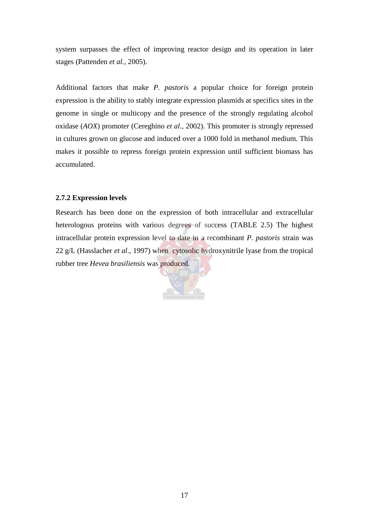system surpasses the effect of improving reactor design and its operation in later stages (Pattenden *et al.,* 2005).

Additional factors that make *P. pastoris* a popular choice for foreign protein expression is the ability to stably integrate expression plasmids at specifics sites in the genome in single or multicopy and the presence of the strongly regulating alcohol oxidase (*AOX*) promoter (Cereghino *et al*., 2002). This promoter is strongly repressed in cultures grown on glucose and induced over a 1000 fold in methanol medium. This makes it possible to repress foreign protein expression until sufficient biomass has accumulated.

#### **2.7.2 Expression levels**

Research has been done on the expression of both intracellular and extracellular heterologous proteins with various degrees of success (TABLE 2.5) The highest intracellular protein expression level to date in a recombinant *P. pastoris* strain was 22 g/L (Hasslacher *et al*., 1997) when cytosolic hydroxynitrile lyase from the tropical rubber tree *Hevea brasiliensis* was produced.

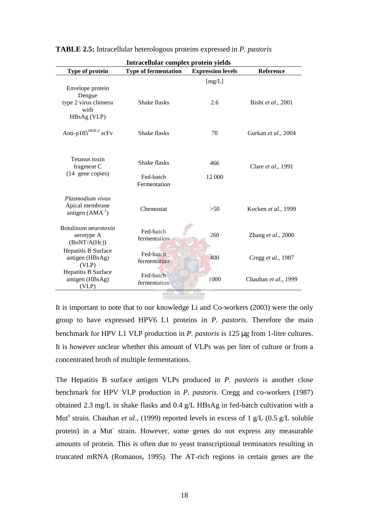| Intracellular complex protein yields                        |                             |                          |                            |
|-------------------------------------------------------------|-----------------------------|--------------------------|----------------------------|
| Type of protein                                             | <b>Type of fermentation</b> | <b>Expression levels</b> | <b>Reference</b>           |
| Envelope protein                                            |                             | [mg/L]                   |                            |
| Dengue<br>type 2 virus chimera<br>with<br>HBsAg (VLP)       | Shake flasks                | 2.6                      | Bisht et al., 2001         |
| Anti-p185 <sup>HER-2</sup> scFv                             | Shake flasks                | 70                       | Gurkan et al., 2004        |
| Tetanus toxin<br>fragment C<br>(14 gene copies)             | Shake flasks<br>Fed-batch   | 466<br>12 000            | Clare <i>et al.</i> , 1991 |
| Plasmodium vivax<br>Apical membrane<br>antigen $(AMA^{-1})$ | Fermentation<br>Chemostat   | >50                      | Kocken et al., 1999        |
| Botulinum neurotoxin<br>serotype A<br>(BoNT/A(Hc))          | Fed-batch<br>fermentation   | 260                      | Zhang et al., 2000         |
| Hepatitis B Surface<br>antigen (HBsAg)<br>(VLP)             | Fed-batch<br>fermentation   | 400                      | Cregg et al., 1987         |
| Hepatitis B Surface<br>antigen (HBsAg)<br>(VLP)             | Fed-batch<br>fermentation   | 1000                     | Chauhan et al., 1999       |
|                                                             |                             |                          |                            |

**TABLE 2.5:** Intracellular heterologous proteins expressed in *P. pastoris*

It is important to note that to our knowledge Li and Co-workers (2003) were the only group to have expressed HPV6 L1 proteins in *P. pastoris*. Therefore the main benchmark for HPV L1 VLP production in *P. pastoris* is 125 µg from 1-litre cultures. It is however unclear whether this amount of VLPs was per liter of culture or from a concentrated broth of multiple fermentations.

The Hepatitis B surface antigen VLPs produced in *P. pastoris* is another close benchmark for HPV VLP production in *P. pastoris*. Cregg and co-workers (1987) obtained 2.3 mg/L in shake flasks and 0.4 g/L HBsAg in fed-batch cultivation with a Mut<sup>s</sup> strain. Chauhan *et al.*, (1999) reported levels in excess of 1 g/L (0.5 g/L soluble protein) in a Mut strain. However, some genes do not express any measurable amounts of protein. This is often due to yeast transcriptional terminators resulting in truncated mRNA (Romanos, 1995). The AT-rich regions in certain genes are the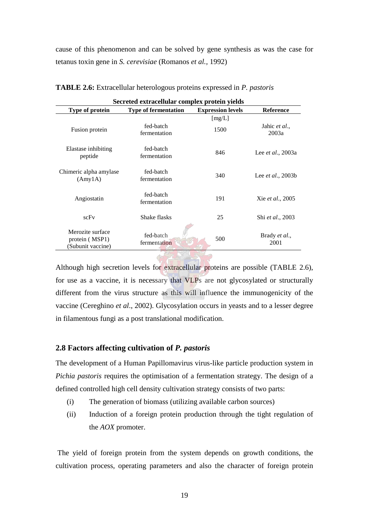cause of this phenomenon and can be solved by gene synthesis as was the case for tetanus toxin gene in *S. cerevisiae* (Romanos *et al.,* 1992)

| Secreted extracellular complex protein yields           |                             |                          |                           |
|---------------------------------------------------------|-----------------------------|--------------------------|---------------------------|
| Type of protein                                         | <b>Type of fermentation</b> | <b>Expression levels</b> | <b>Reference</b>          |
| Fusion protein                                          | fed-batch<br>fermentation   | [mg/L]<br>1500           | Jahic et al.,<br>2003a    |
| Elastase inhibiting<br>peptide                          | fed-batch<br>fermentation   | 846                      | Lee et al., 2003a         |
| Chimeric alpha amylase<br>(Amy1A)                       | fed-batch<br>fermentation   | 340                      | Lee <i>et al.</i> , 2003b |
| Angiostatin                                             | fed-batch<br>fermentation   | 191                      | Xie et al., 2005          |
| scFv                                                    | Shake flasks                | 25                       | Shi et al., 2003          |
| Merozite surface<br>protein (MSP1)<br>(Subunit vaccine) | fed-batch<br>fermentation   | 500                      | Brady et al.,<br>2001     |

**TABLE 2.6:** Extracellular heterologous proteins expressed in *P. pastoris*

Although high secretion levels for extracellular proteins are possible (TABLE 2.6), for use as a vaccine, it is necessary that VLPs are not glycosylated or structurally different from the virus structure as this will influence the immunogenicity of the vaccine (Cereghino *et al*., 2002). Glycosylation occurs in yeasts and to a lesser degree in filamentous fungi as a post translational modification.

## **2.8 Factors affecting cultivation of** *P. pastoris*

The development of a Human Papillomavirus virus-like particle production system in *Pichia pastoris* requires the optimisation of a fermentation strategy. The design of a defined controlled high cell density cultivation strategy consists of two parts:

- (i) The generation of biomass (utilizing available carbon sources)
- (ii) Induction of a foreign protein production through the tight regulation of the *AOX* promoter.

The yield of foreign protein from the system depends on growth conditions, the cultivation process, operating parameters and also the character of foreign protein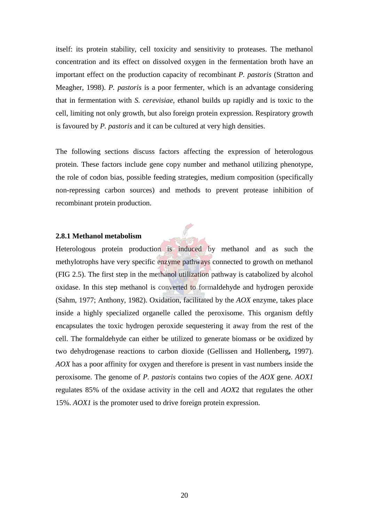itself: its protein stability, cell toxicity and sensitivity to proteases. The methanol concentration and its effect on dissolved oxygen in the fermentation broth have an important effect on the production capacity of recombinant *P. pastoris* (Stratton and Meagher, 1998). *P. pastoris* is a poor fermenter, which is an advantage considering that in fermentation with *S. cerevisiae*, ethanol builds up rapidly and is toxic to the cell, limiting not only growth, but also foreign protein expression. Respiratory growth is favoured by *P. pastoris* and it can be cultured at very high densities.

The following sections discuss factors affecting the expression of heterologous protein. These factors include gene copy number and methanol utilizing phenotype, the role of codon bias, possible feeding strategies, medium composition (specifically non-repressing carbon sources) and methods to prevent protease inhibition of recombinant protein production.



#### **2.8.1 Methanol metabolism**

Heterologous protein production is induced by methanol and as such the methylotrophs have very specific enzyme pathways connected to growth on methanol (FIG 2.5). The first step in the methanol utilization pathway is catabolized by alcohol oxidase. In this step methanol is converted to formaldehyde and hydrogen peroxide (Sahm, 1977; Anthony, 1982). Oxidation, facilitated by the *AOX* enzyme, takes place inside a highly specialized organelle called the peroxisome. This organism deftly encapsulates the toxic hydrogen peroxide sequestering it away from the rest of the cell. The formaldehyde can either be utilized to generate biomass or be oxidized by two dehydrogenase reactions to carbon dioxide (Gellissen and Hollenberg**,** 1997). *AOX* has a poor affinity for oxygen and therefore is present in vast numbers inside the peroxisome. The genome of *P. pastoris* contains two copies of the *AOX* gene. *AOX1* regulates 85% of the oxidase activity in the cell and *AOX*2 that regulates the other 15%. *AOX1* is the promoter used to drive foreign protein expression.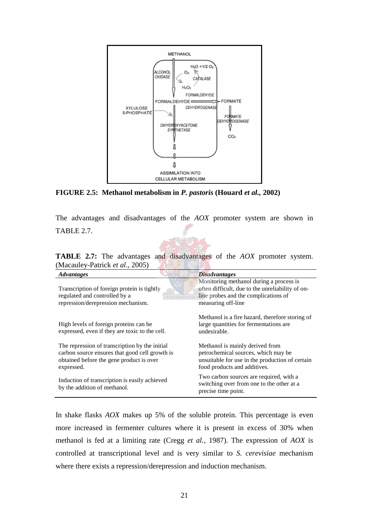

**FIGURE 2.5: Methanol metabolism in** *P. pastoris* **(Houard** *et al.,* **2002)**

The advantages and disadvantages of the *AOX* promoter system are shown in TABLE 2.7.

**TABLE 2.7:** The advantages and disadvantages of the *AOX* promoter system. (Macauley-Patrick *et al*., 2005)

| <b>Advantages</b>                                                                                                                                          | <b>Disadvantages</b>                                                                                                                                      |  |
|------------------------------------------------------------------------------------------------------------------------------------------------------------|-----------------------------------------------------------------------------------------------------------------------------------------------------------|--|
| Transcription of foreign protein is tightly<br>regulated and controlled by a<br>repression/derepression mechanism.                                         | Monitoring methanol during a process is<br>often difficult, due to the unreliability of on-<br>line probes and the complications of<br>measuring off-line |  |
| High levels of foreign proteins can be<br>expressed, even if they are toxic to the cell.                                                                   | Methanol is a fire hazard, therefore storing of<br>large quantities for fermentations are<br>undesirable.                                                 |  |
| The repression of transcription by the initial<br>carbon source ensures that good cell growth is<br>obtained before the gene product is over<br>expressed. | Methanol is mainly derived from<br>petrochemical sources, which may be<br>unsuitable for use in the production of certain<br>food products and additives. |  |
| Induction of transcription is easily achieved<br>by the addition of methanol.                                                                              | Two carbon sources are required, with a<br>switching over from one to the other at a<br>precise time point.                                               |  |

In shake flasks *AOX* makes up 5% of the soluble protein. This percentage is even more increased in fermenter cultures where it is present in excess of 30% when methanol is fed at a limiting rate (Cregg *et al.,* 1987). The expression of *AOX* is controlled at transcriptional level and is very similar to *S. cerevisiae* mechanism where there exists a repression/derepression and induction mechanism.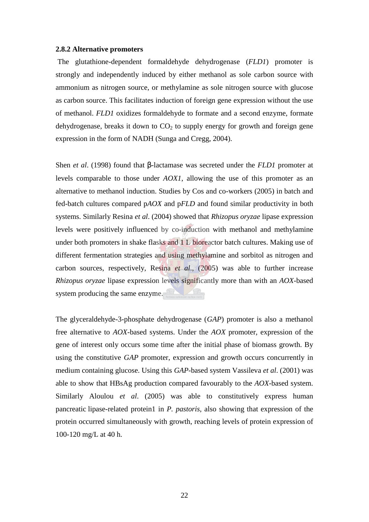#### **2.8.2 Alternative promoters**

The glutathione-dependent formaldehyde dehydrogenase (*FLD1*) promoter is strongly and independently induced by either methanol as sole carbon source with ammonium as nitrogen source, or methylamine as sole nitrogen source with glucose as carbon source. This facilitates induction of foreign gene expression without the use of methanol. *FLD1* oxidizes formaldehyde to formate and a second enzyme, formate dehydrogenase, breaks it down to  $CO<sub>2</sub>$  to supply energy for growth and foreign gene expression in the form of NADH (Sunga and Cregg, 2004).

Shen *et al*. (1998) found that β-lactamase was secreted under the *FLD1* promoter at levels comparable to those under *AOX1*, allowing the use of this promoter as an alternative to methanol induction. Studies by Cos and co-workers (2005) in batch and fed-batch cultures compared p*AOX* and p*FLD* and found similar productivity in both systems. Similarly Resina *et al*. (2004) showed that *Rhizopus oryzae* lipase expression levels were positively influenced by co-induction with methanol and methylamine under both promoters in shake flasks and 1 L bioreactor batch cultures. Making use of different fermentation strategies and using methylamine and sorbitol as nitrogen and carbon sources, respectively, Resina *et al*., (2005) was able to further increase *Rhizopus oryzae* lipase expression levels significantly more than with an *AOX*-based system producing the same enzyme.

The glyceraldehyde-3-phosphate dehydrogenase (*GAP*) promoter is also a methanol free alternative to *AOX*-based systems. Under the *AOX* promoter, expression of the gene of interest only occurs some time after the initial phase of biomass growth. By using the constitutive *GAP* promoter, expression and growth occurs concurrently in medium containing glucose. Using this *GAP*-based system Vassileva *et al*. (2001) was able to show that HBsAg production compared favourably to the *AOX*-based system. Similarly Aloulou *et al*. (2005) was able to constitutively express human pancreatic lipase-related protein1 in *P. pastoris,* also showing that expression of the protein occurred simultaneously with growth, reaching levels of protein expression of 100-120 mg/L at 40 h.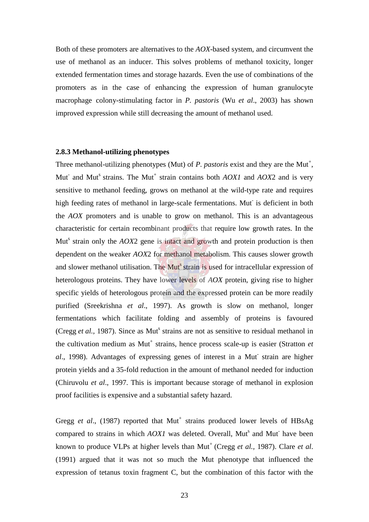Both of these promoters are alternatives to the *AOX*-based system, and circumvent the use of methanol as an inducer. This solves problems of methanol toxicity, longer extended fermentation times and storage hazards. Even the use of combinations of the promoters as in the case of enhancing the expression of human granulocyte macrophage colony-stimulating factor in *P. pastoris* (Wu *et al*., 2003) has shown improved expression while still decreasing the amount of methanol used.

## **2.8.3 Methanol-utilizing phenotypes**

Three methanol-utilizing phenotypes (Mut) of  $P$ . pastoris exist and they are the Mut<sup>+</sup>, Mut<sup>-</sup> and Mut<sup>s</sup> strains. The Mut<sup>+</sup> strain contains both *AOX1* and *AOX2* and is very sensitive to methanol feeding, grows on methanol at the wild-type rate and requires high feeding rates of methanol in large-scale fermentations. Mut is deficient in both the *AOX* promoters and is unable to grow on methanol. This is an advantageous characteristic for certain recombinant products that require low growth rates. In the Mut<sup>s</sup> strain only the *AOX*2 gene is intact and growth and protein production is then dependent on the weaker *AOX*2 for methanol metabolism. This causes slower growth and slower methanol utilisation. The Mut<sup>s</sup> strain is used for intracellular expression of heterologous proteins. They have lower levels of *AOX* protein, giving rise to higher specific yields of heterologous protein and the expressed protein can be more readily purified (Sreekrishna *et al*., 1997). As growth is slow on methanol, longer fermentations which facilitate folding and assembly of proteins is favoured (Cregg et al., 1987). Since as Mut<sup>s</sup> strains are not as sensitive to residual methanol in the cultivation medium as Mut<sup>+</sup> strains, hence process scale-up is easier (Stratton *et* al., 1998). Advantages of expressing genes of interest in a Mut strain are higher protein yields and a 35-fold reduction in the amount of methanol needed for induction (Chiruvolu *et al*., 1997. This is important because storage of methanol in explosion proof facilities is expensive and a substantial safety hazard.

Gregg *et al.*, (1987) reported that Mut<sup>+</sup> strains produced lower levels of HBsAg compared to strains in which *AOX1* was deleted. Overall, Mut<sup>s</sup> and Mut<sup>-</sup> have been known to produce VLPs at higher levels than Mut<sup>+</sup> (Cregg *et al., 1987)*. Clare *et al.* (1991) argued that it was not so much the Mut phenotype that influenced the expression of tetanus toxin fragment C, but the combination of this factor with the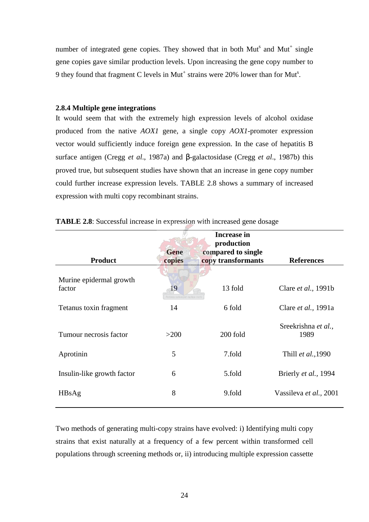number of integrated gene copies. They showed that in both  $\text{Mut}^s$  and  $\text{Mut}^+$  single gene copies gave similar production levels. Upon increasing the gene copy number to 9 they found that fragment C levels in Mut<sup>+</sup> strains were 20% lower than for Mut<sup>s</sup>.

#### **2.8.4 Multiple gene integrations**

It would seem that with the extremely high expression levels of alcohol oxidase produced from the native *AOX1* gene, a single copy *AOX1*-promoter expression vector would sufficiently induce foreign gene expression. In the case of hepatitis B surface antigen (Cregg *et al*., 1987a) and β-galactosidase (Cregg *et al*., 1987b) this proved true, but subsequent studies have shown that an increase in gene copy number could further increase expression levels. TABLE 2.8 shows a summary of increased expression with multi copy recombinant strains.

| <b>Product</b>                    | Gene<br>copies                    | <b>Increase in</b><br>production<br>compared to single<br>copy transformants | <b>References</b>           |
|-----------------------------------|-----------------------------------|------------------------------------------------------------------------------|-----------------------------|
| Murine epidermal growth<br>factor | 19<br>ectora roborant cultus rect | 13 fold                                                                      | Clare <i>et al.</i> , 1991b |
| Tetanus toxin fragment            | 14                                | 6 fold                                                                       | Clare et al., 1991a         |
| Tumour necrosis factor            | >200                              | 200 fold                                                                     | Sreekrishna et al.,<br>1989 |
| Aprotinin                         | 5                                 | 7.fold                                                                       | Thill et al., 1990          |
| Insulin-like growth factor        | 6                                 | 5.fold                                                                       | Brierly et al., 1994        |
| HBsAg                             | 8                                 | 9.fold                                                                       | Vassileva et al., 2001      |
|                                   |                                   |                                                                              |                             |

| TABLE 2.8: Successful increase in expression with increased gene dosage |  |
|-------------------------------------------------------------------------|--|
|-------------------------------------------------------------------------|--|

Two methods of generating multi-copy strains have evolved: i) Identifying multi copy strains that exist naturally at a frequency of a few percent within transformed cell populations through screening methods or, ii) introducing multiple expression cassette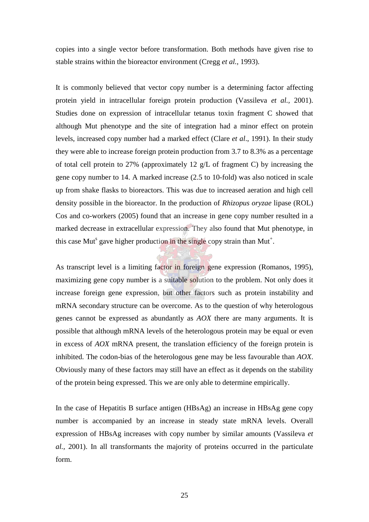copies into a single vector before transformation. Both methods have given rise to stable strains within the bioreactor environment (Cregg *et al.,* 1993).

It is commonly believed that vector copy number is a determining factor affecting protein yield in intracellular foreign protein production (Vassileva *et al.,* 2001). Studies done on expression of intracellular tetanus toxin fragment C showed that although Mut phenotype and the site of integration had a minor effect on protein levels, increased copy number had a marked effect (Clare *et al*., 1991). In their study they were able to increase foreign protein production from 3.7 to 8.3% as a percentage of total cell protein to 27% (approximately 12 g/L of fragment C) by increasing the gene copy number to 14. A marked increase (2.5 to 10-fold) was also noticed in scale up from shake flasks to bioreactors. This was due to increased aeration and high cell density possible in the bioreactor. In the production of *Rhizopus oryzae* lipase (ROL) Cos and co-workers (2005) found that an increase in gene copy number resulted in a marked decrease in extracellular expression. They also found that Mut phenotype, in this case Mut<sup>s</sup> gave higher production in the single copy strain than Mut<sup>+</sup>.

As transcript level is a limiting factor in foreign gene expression (Romanos, 1995), maximizing gene copy number is a suitable solution to the problem. Not only does it increase foreign gene expression, but other factors such as protein instability and mRNA secondary structure can be overcome. As to the question of why heterologous genes cannot be expressed as abundantly as *AOX* there are many arguments. It is possible that although mRNA levels of the heterologous protein may be equal or even in excess of *AOX* mRNA present, the translation efficiency of the foreign protein is inhibited. The codon-bias of the heterologous gene may be less favourable than *AOX*. Obviously many of these factors may still have an effect as it depends on the stability of the protein being expressed. This we are only able to determine empirically.

In the case of Hepatitis B surface antigen (HBsAg) an increase in HBsAg gene copy number is accompanied by an increase in steady state mRNA levels. Overall expression of HBsAg increases with copy number by similar amounts (Vassileva *et al.,* 2001). In all transformants the majority of proteins occurred in the particulate form.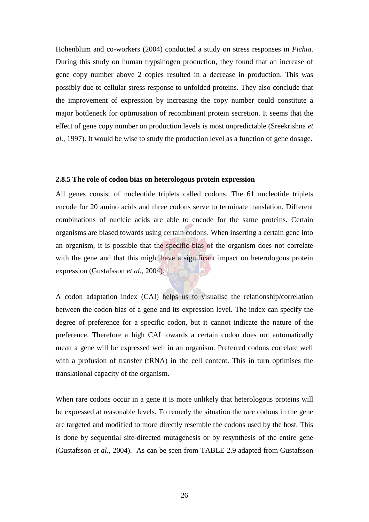Hohenblum and co-workers (2004) conducted a study on stress responses in *Pichia*. During this study on human trypsinogen production, they found that an increase of gene copy number above 2 copies resulted in a decrease in production. This was possibly due to cellular stress response to unfolded proteins. They also conclude that the improvement of expression by increasing the copy number could constitute a major bottleneck for optimisation of recombinant protein secretion. It seems that the effect of gene copy number on production levels is most unpredictable (Sreekrishna *et al.,* 1997). It would be wise to study the production level as a function of gene dosage.

#### **2.8.5 The role of codon bias on heterologous protein expression**

All genes consist of nucleotide triplets called codons. The 61 nucleotide triplets encode for 20 amino acids and three codons serve to terminate translation. Different combinations of nucleic acids are able to encode for the same proteins. Certain organisms are biased towards using certain codons. When inserting a certain gene into an organism, it is possible that the specific bias of the organism does not correlate with the gene and that this might have a significant impact on heterologous protein expression (Gustafsson *et al.,* 2004).

A codon adaptation index (CAI) helps us to visualise the relationship/correlation between the codon bias of a gene and its expression level. The index can specify the degree of preference for a specific codon, but it cannot indicate the nature of the preference. Therefore a high CAI towards a certain codon does not automatically mean a gene will be expressed well in an organism. Preferred codons correlate well with a profusion of transfer (tRNA) in the cell content. This in turn optimises the translational capacity of the organism.

When rare codons occur in a gene it is more unlikely that heterologous proteins will be expressed at reasonable levels. To remedy the situation the rare codons in the gene are targeted and modified to more directly resemble the codons used by the host. This is done by sequential site-directed mutagenesis or by resynthesis of the entire gene (Gustafsson *et al.,* 2004). As can be seen from TABLE 2.9 adapted from Gustafsson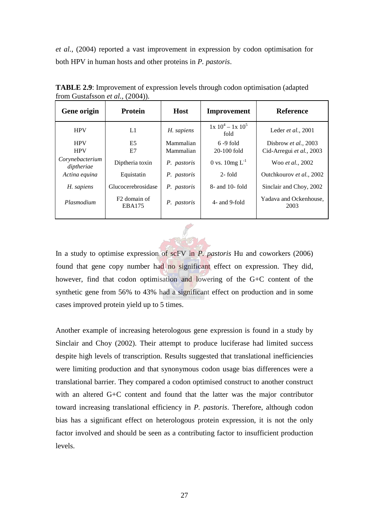*et al.,* (2004) reported a vast improvement in expression by codon optimisation for both HPV in human hosts and other proteins in *P. pastoris*.

| Gene origin                   | <b>Protein</b>                     | <b>Host</b> | Improvement                   | <b>Reference</b>               |
|-------------------------------|------------------------------------|-------------|-------------------------------|--------------------------------|
| <b>HPV</b>                    | L1                                 | H. sapiens  | $1x\ 10^4 - 1x\ 10^5$<br>fold | Leder et al., 2001             |
| <b>HPV</b>                    | E <sub>5</sub>                     | Mammalian   | $6 - 9$ fold                  | Disbrow et al., 2003           |
| <b>HPV</b>                    | E7                                 | Mammalian   | $20-100$ fold                 | Cid-Arregui et al., 2003       |
| Corynebacterium<br>diptheriae | Diptheria toxin                    | P. pastoris | 0 vs. $10mg L^{-1}$           | Woo et al., 2002               |
| Actina equina                 | Equistatin                         | P. pastoris | $2$ -fold                     | Outchkourov et al., 2002       |
| H. sapiens                    | Glucocerebrosidase                 | P. pastoris | $8-$ and 10-fold              | Sinclair and Choy, 2002        |
| Plasmodium                    | F <sub>2</sub> domain of<br>EBA175 | P. pastoris | 4- and 9-fold                 | Yadava and Ockenhouse,<br>2003 |

**TABLE 2.9**: Improvement of expression levels through codon optimisation (adapted from Gustafsson *et al.,* (2004)).

In a study to optimise expression of scFV in *P. pastoris* Hu and coworkers (2006) found that gene copy number had no significant effect on expression. They did, however, find that codon optimisation and lowering of the G+C content of the synthetic gene from 56% to 43% had a significant effect on production and in some cases improved protein yield up to 5 times.

Another example of increasing heterologous gene expression is found in a study by Sinclair and Choy (2002). Their attempt to produce luciferase had limited success despite high levels of transcription. Results suggested that translational inefficiencies were limiting production and that synonymous codon usage bias differences were a translational barrier. They compared a codon optimised construct to another construct with an altered G+C content and found that the latter was the major contributor toward increasing translational efficiency in *P. pastoris*. Therefore, although codon bias has a significant effect on heterologous protein expression, it is not the only factor involved and should be seen as a contributing factor to insufficient production levels.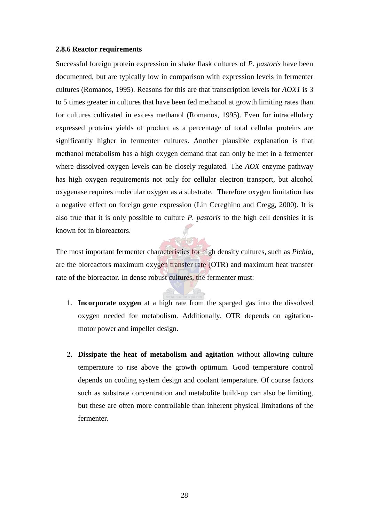#### **2.8.6 Reactor requirements**

Successful foreign protein expression in shake flask cultures of *P. pastoris* have been documented, but are typically low in comparison with expression levels in fermenter cultures (Romanos, 1995). Reasons for this are that transcription levels for *AOX1* is 3 to 5 times greater in cultures that have been fed methanol at growth limiting rates than for cultures cultivated in excess methanol (Romanos, 1995). Even for intracellulary expressed proteins yields of product as a percentage of total cellular proteins are significantly higher in fermenter cultures. Another plausible explanation is that methanol metabolism has a high oxygen demand that can only be met in a fermenter where dissolved oxygen levels can be closely regulated. The *AOX* enzyme pathway has high oxygen requirements not only for cellular electron transport, but alcohol oxygenase requires molecular oxygen as a substrate. Therefore oxygen limitation has a negative effect on foreign gene expression (Lin Cereghino and Cregg, 2000). It is also true that it is only possible to culture *P. pastoris* to the high cell densities it is known for in bioreactors.

The most important fermenter characteristics for high density cultures, such as *Pichia*, are the bioreactors maximum oxygen transfer rate (OTR) and maximum heat transfer rate of the bioreactor. In dense robust cultures, the fermenter must:

- 1. **Incorporate oxygen** at a high rate from the sparged gas into the dissolved oxygen needed for metabolism. Additionally, OTR depends on agitationmotor power and impeller design.
- 2. **Dissipate the heat of metabolism and agitation** without allowing culture temperature to rise above the growth optimum. Good temperature control depends on cooling system design and coolant temperature. Of course factors such as substrate concentration and metabolite build-up can also be limiting, but these are often more controllable than inherent physical limitations of the fermenter.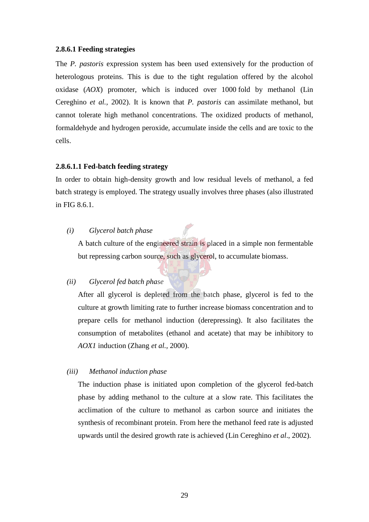#### **2.8.6.1 Feeding strategies**

The *P. pastoris* expression system has been used extensively for the production of heterologous proteins. This is due to the tight regulation offered by the alcohol oxidase (*AOX*) promoter, which is induced over 1000 fold by methanol (Lin Cereghino *et al.,* 2002). It is known that *P. pastoris* can assimilate methanol, but cannot tolerate high methanol concentrations. The oxidized products of methanol, formaldehyde and hydrogen peroxide, accumulate inside the cells and are toxic to the cells.

## **2.8.6.1.1 Fed-batch feeding strategy**

In order to obtain high-density growth and low residual levels of methanol, a fed batch strategy is employed. The strategy usually involves three phases (also illustrated in FIG 8.6.1.

*(i) Glycerol batch phase*

A batch culture of the engineered strain is placed in a simple non fermentable but repressing carbon source, such as glycerol, to accumulate biomass.

## *(ii) Glycerol fed batch phase*

After all glycerol is depleted from the batch phase, glycerol is fed to the culture at growth limiting rate to further increase biomass concentration and to prepare cells for methanol induction (derepressing). It also facilitates the consumption of metabolites (ethanol and acetate) that may be inhibitory to *AOX1* induction (Zhang *et al.,* 2000).

## *(iii) Methanol induction phase*

The induction phase is initiated upon completion of the glycerol fed-batch phase by adding methanol to the culture at a slow rate. This facilitates the acclimation of the culture to methanol as carbon source and initiates the synthesis of recombinant protein. From here the methanol feed rate is adjusted upwards until the desired growth rate is achieved (Lin Cereghino *et al*., 2002).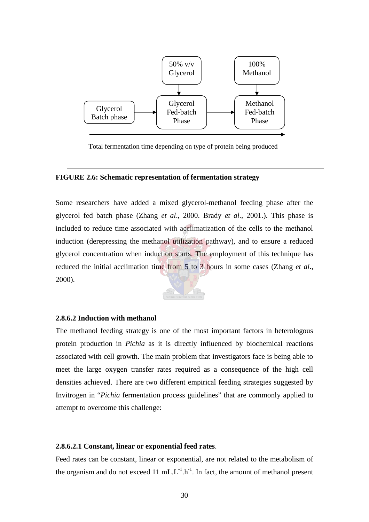

**FIGURE 2.6: Schematic representation of fermentation strategy**

Some researchers have added a mixed glycerol-methanol feeding phase after the glycerol fed batch phase (Zhang *et al*., 2000. Brady *et al*., 2001.). This phase is included to reduce time associated with acclimatization of the cells to the methanol induction (derepressing the methanol utilization pathway), and to ensure a reduced glycerol concentration when induction starts. The employment of this technique has reduced the initial acclimation time from 5 to 3 hours in some cases (Zhang *et al*., 2000).



## **2.8.6.2 Induction with methanol**

The methanol feeding strategy is one of the most important factors in heterologous protein production in *Pichia* as it is directly influenced by biochemical reactions associated with cell growth. The main problem that investigators face is being able to meet the large oxygen transfer rates required as a consequence of the high cell densities achieved. There are two different empirical feeding strategies suggested by Invitrogen in "*Pichia* fermentation process guidelines" that are commonly applied to attempt to overcome this challenge:

## **2.8.6.2.1 Constant, linear or exponential feed rates**.

Feed rates can be constant, linear or exponential, are not related to the metabolism of the organism and do not exceed 11 mL. $L^{-1}$ .h<sup>-1</sup>. In fact, the amount of methanol present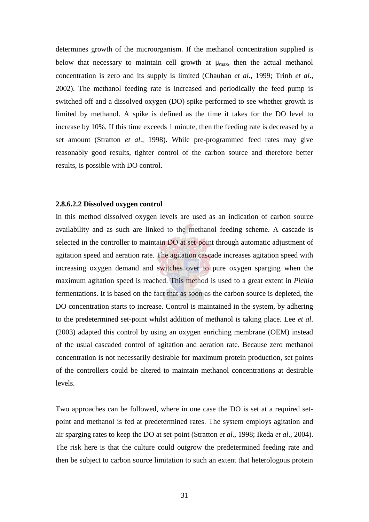determines growth of the microorganism. If the methanol concentration supplied is below that necessary to maintain cell growth at  $\mu_{\text{max}}$ , then the actual methanol concentration is zero and its supply is limited (Chauhan *et al*., 1999; Trinh *et al*., 2002). The methanol feeding rate is increased and periodically the feed pump is switched off and a dissolved oxygen (DO) spike performed to see whether growth is limited by methanol. A spike is defined as the time it takes for the DO level to increase by 10%. If this time exceeds 1 minute, then the feeding rate is decreased by a set amount (Stratton *et al*., 1998). While pre-programmed feed rates may give reasonably good results, tighter control of the carbon source and therefore better results, is possible with DO control.

#### **2.8.6.2.2 Dissolved oxygen control**

In this method dissolved oxygen levels are used as an indication of carbon source availability and as such are linked to the methanol feeding scheme. A cascade is selected in the controller to maintain DO at set-point through automatic adjustment of agitation speed and aeration rate. The agitation cascade increases agitation speed with increasing oxygen demand and switches over to pure oxygen sparging when the maximum agitation speed is reached. This method is used to a great extent in *Pichia* fermentations. It is based on the fact that as soon as the carbon source is depleted, the DO concentration starts to increase. Control is maintained in the system, by adhering to the predetermined set-point whilst addition of methanol is taking place. Lee *et al*. (2003) adapted this control by using an oxygen enriching membrane (OEM) instead of the usual cascaded control of agitation and aeration rate. Because zero methanol concentration is not necessarily desirable for maximum protein production, set points of the controllers could be altered to maintain methanol concentrations at desirable levels.

Two approaches can be followed, where in one case the DO is set at a required setpoint and methanol is fed at predetermined rates. The system employs agitation and air sparging rates to keep the DO at set-point (Stratton *et al*., 1998; Ikeda *et al*., 2004). The risk here is that the culture could outgrow the predetermined feeding rate and then be subject to carbon source limitation to such an extent that heterologous protein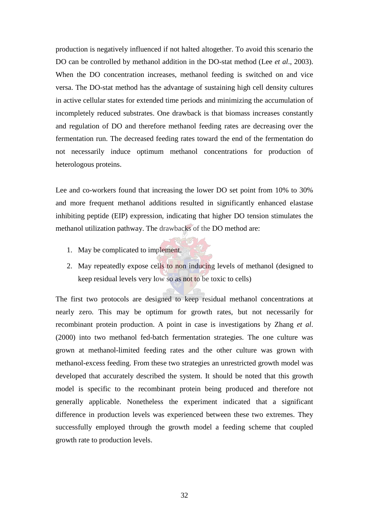production is negatively influenced if not halted altogether. To avoid this scenario the DO can be controlled by methanol addition in the DO-stat method (Lee *et al*., 2003). When the DO concentration increases, methanol feeding is switched on and vice versa. The DO-stat method has the advantage of sustaining high cell density cultures in active cellular states for extended time periods and minimizing the accumulation of incompletely reduced substrates. One drawback is that biomass increases constantly and regulation of DO and therefore methanol feeding rates are decreasing over the fermentation run. The decreased feeding rates toward the end of the fermentation do not necessarily induce optimum methanol concentrations for production of heterologous proteins.

Lee and co-workers found that increasing the lower DO set point from 10% to 30% and more frequent methanol additions resulted in significantly enhanced elastase inhibiting peptide (EIP) expression, indicating that higher DO tension stimulates the methanol utilization pathway. The drawbacks of the DO method are:

- 1. May be complicated to implement.
- 2. May repeatedly expose cells to non inducing levels of methanol (designed to keep residual levels very low so as not to be toxic to cells)

The first two protocols are designed to keep residual methanol concentrations at nearly zero. This may be optimum for growth rates, but not necessarily for recombinant protein production. A point in case is investigations by Zhang *et al*. (2000) into two methanol fed-batch fermentation strategies. The one culture was grown at methanol-limited feeding rates and the other culture was grown with methanol-excess feeding. From these two strategies an unrestricted growth model was developed that accurately described the system. It should be noted that this growth model is specific to the recombinant protein being produced and therefore not generally applicable. Nonetheless the experiment indicated that a significant difference in production levels was experienced between these two extremes. They successfully employed through the growth model a feeding scheme that coupled growth rate to production levels.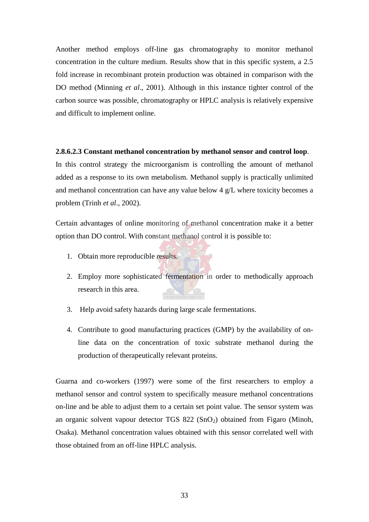Another method employs off-line gas chromatography to monitor methanol concentration in the culture medium. Results show that in this specific system, a 2.5 fold increase in recombinant protein production was obtained in comparison with the DO method (Minning *et al*., 2001). Although in this instance tighter control of the carbon source was possible, chromatography or HPLC analysis is relatively expensive and difficult to implement online.

#### **2.8.6.2.3 Constant methanol concentration by methanol sensor and control loop**.

In this control strategy the microorganism is controlling the amount of methanol added as a response to its own metabolism. Methanol supply is practically unlimited and methanol concentration can have any value below 4 g/L where toxicity becomes a problem (Trinh *et al*., 2002).

Certain advantages of online monitoring of methanol concentration make it a better option than DO control. With constant methanol control it is possible to:

- 1. Obtain more reproducible results.
- 2. Employ more sophisticated fermentation in order to methodically approach research in this area.
- 3. Help avoid safety hazards during large scale fermentations.
- 4. Contribute to good manufacturing practices (GMP) by the availability of online data on the concentration of toxic substrate methanol during the production of therapeutically relevant proteins.

Guarna and co-workers (1997) were some of the first researchers to employ a methanol sensor and control system to specifically measure methanol concentrations on-line and be able to adjust them to a certain set point value. The sensor system was an organic solvent vapour detector TGS  $822 \text{ (SnO}_2)$  obtained from Figaro (Minoh, Osaka). Methanol concentration values obtained with this sensor correlated well with those obtained from an off-line HPLC analysis.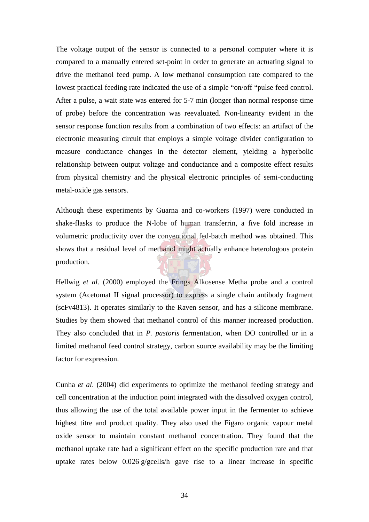The voltage output of the sensor is connected to a personal computer where it is compared to a manually entered set-point in order to generate an actuating signal to drive the methanol feed pump. A low methanol consumption rate compared to the lowest practical feeding rate indicated the use of a simple "on/off "pulse feed control. After a pulse, a wait state was entered for 5-7 min (longer than normal response time of probe) before the concentration was reevaluated. Non-linearity evident in the sensor response function results from a combination of two effects: an artifact of the electronic measuring circuit that employs a simple voltage divider configuration to measure conductance changes in the detector element, yielding a hyperbolic relationship between output voltage and conductance and a composite effect results from physical chemistry and the physical electronic principles of semi-conducting metal-oxide gas sensors.

Although these experiments by Guarna and co-workers (1997) were conducted in shake-flasks to produce the N-lobe of human transferrin, a five fold increase in volumetric productivity over the conventional fed-batch method was obtained. This shows that a residual level of methanol might actually enhance heterologous protein production.

Hellwig *et al*. (2000) employed the Frings Alkosense Metha probe and a control system (Acetomat II signal processor) to express a single chain antibody fragment (scFv4813). It operates similarly to the Raven sensor, and has a silicone membrane. Studies by them showed that methanol control of this manner increased production. They also concluded that in *P. pastoris* fermentation, when DO controlled or in a limited methanol feed control strategy, carbon source availability may be the limiting factor for expression.

Cunha *et al*. (2004) did experiments to optimize the methanol feeding strategy and cell concentration at the induction point integrated with the dissolved oxygen control, thus allowing the use of the total available power input in the fermenter to achieve highest titre and product quality. They also used the Figaro organic vapour metal oxide sensor to maintain constant methanol concentration. They found that the methanol uptake rate had a significant effect on the specific production rate and that uptake rates below 0.026 g/gcells/h gave rise to a linear increase in specific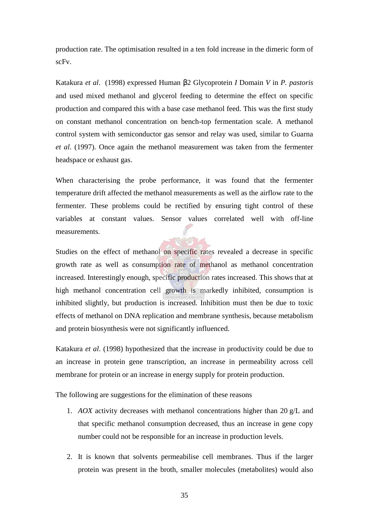production rate. The optimisation resulted in a ten fold increase in the dimeric form of scFv.

Katakura *et al*. (1998) expressed Human β2 Glycoprotein *I* Domain *V* in *P. pastoris* and used mixed methanol and glycerol feeding to determine the effect on specific production and compared this with a base case methanol feed. This was the first study on constant methanol concentration on bench-top fermentation scale. A methanol control system with semiconductor gas sensor and relay was used, similar to Guarna *et al*. (1997). Once again the methanol measurement was taken from the fermenter headspace or exhaust gas.

When characterising the probe performance, it was found that the fermenter temperature drift affected the methanol measurements as well as the airflow rate to the fermenter. These problems could be rectified by ensuring tight control of these variables at constant values. Sensor values correlated well with off-line measurements.

Studies on the effect of methanol on specific rates revealed a decrease in specific growth rate as well as consumption rate of methanol as methanol concentration increased. Interestingly enough, specific production rates increased. This shows that at high methanol concentration cell growth is markedly inhibited, consumption is inhibited slightly, but production is increased. Inhibition must then be due to toxic effects of methanol on DNA replication and membrane synthesis, because metabolism and protein biosynthesis were not significantly influenced.

Katakura *et al*. (1998) hypothesized that the increase in productivity could be due to an increase in protein gene transcription, an increase in permeability across cell membrane for protein or an increase in energy supply for protein production.

The following are suggestions for the elimination of these reasons

- 1. *AOX* activity decreases with methanol concentrations higher than 20 g/L and that specific methanol consumption decreased, thus an increase in gene copy number could not be responsible for an increase in production levels.
- 2. It is known that solvents permeabilise cell membranes. Thus if the larger protein was present in the broth, smaller molecules (metabolites) would also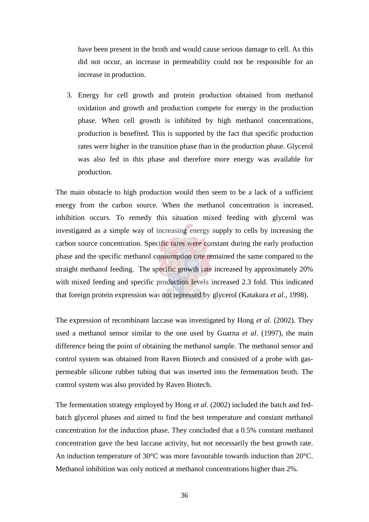have been present in the broth and would cause serious damage to cell. As this did not occur, an increase in permeability could not be responsible for an increase in production.

3. Energy for cell growth and protein production obtained from methanol oxidation and growth and production compete for energy in the production phase. When cell growth is inhibited by high methanol concentrations, production is benefited. This is supported by the fact that specific production rates were higher in the transition phase than in the production phase. Glycerol was also fed in this phase and therefore more energy was available for production.

The main obstacle to high production would then seem to be a lack of a sufficient energy from the carbon source. When the methanol concentration is increased, inhibition occurs. To remedy this situation mixed feeding with glycerol was investigated as a simple way of increasing energy supply to cells by increasing the carbon source concentration. Specific rates were constant during the early production phase and the specific methanol consumption rate remained the same compared to the straight methanol feeding. The specific growth rate increased by approximately 20% with mixed feeding and specific production levels increased 2.3 fold. This indicated that foreign protein expression was not repressed by glycerol (Katakura *et al*., 1998).

The expression of recombinant laccase was investigated by Hong *et al*. (2002). They used a methanol sensor similar to the one used by Guarna *et al*. (1997), the main difference being the point of obtaining the methanol sample. The methanol sensor and control system was obtained from Raven Biotech and consisted of a probe with gaspermeable silicone rubber tubing that was inserted into the fermentation broth. The control system was also provided by Raven Biotech.

The fermentation strategy employed by Hong *et al*. (2002) included the batch and fedbatch glycerol phases and aimed to find the best temperature and constant methanol concentration for the induction phase. They concluded that a 0.5% constant methanol concentration gave the best laccase activity, but not necessarily the best growth rate. An induction temperature of 30°C was more favourable towards induction than 20°C. Methanol inhibition was only noticed at methanol concentrations higher than 2%.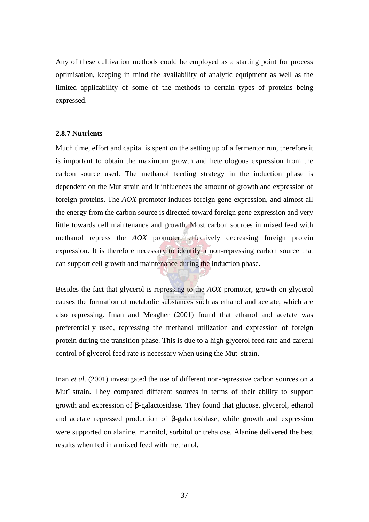Any of these cultivation methods could be employed as a starting point for process optimisation, keeping in mind the availability of analytic equipment as well as the limited applicability of some of the methods to certain types of proteins being expressed.

#### **2.8.7 Nutrients**

Much time, effort and capital is spent on the setting up of a fermentor run, therefore it is important to obtain the maximum growth and heterologous expression from the carbon source used. The methanol feeding strategy in the induction phase is dependent on the Mut strain and it influences the amount of growth and expression of foreign proteins. The *AOX* promoter induces foreign gene expression, and almost all the energy from the carbon source is directed toward foreign gene expression and very little towards cell maintenance and growth. Most carbon sources in mixed feed with methanol repress the *AOX* promoter, effectively decreasing foreign protein expression. It is therefore necessary to identify a non-repressing carbon source that can support cell growth and maintenance during the induction phase.

Besides the fact that glycerol is repressing to the *AOX* promoter, growth on glycerol causes the formation of metabolic substances such as ethanol and acetate, which are also repressing. Iman and Meagher (2001) found that ethanol and acetate was preferentially used, repressing the methanol utilization and expression of foreign protein during the transition phase. This is due to a high glycerol feed rate and careful control of glycerol feed rate is necessary when using the Mut strain.

Inan *et al*. (2001) investigated the use of different non-repressive carbon sources on a Mut-strain. They compared different sources in terms of their ability to support growth and expression of β-galactosidase. They found that glucose, glycerol, ethanol and acetate repressed production of β-galactosidase, while growth and expression were supported on alanine, mannitol, sorbitol or trehalose. Alanine delivered the best results when fed in a mixed feed with methanol.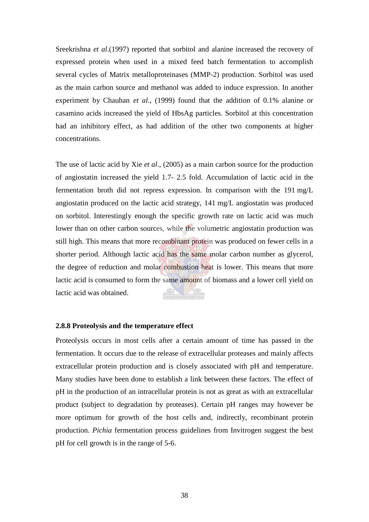Sreekrishna *et al*.(1997) reported that sorbitol and alanine increased the recovery of expressed protein when used in a mixed feed batch fermentation to accomplish several cycles of Matrix metalloproteinases (MMP-2) production. Sorbitol was used as the main carbon source and methanol was added to induce expression. In another experiment by Chauhan *et al*., (1999) found that the addition of 0.1% alanine or casamino acids increased the yield of HbsAg particles. Sorbitol at this concentration had an inhibitory effect, as had addition of the other two components at higher concentrations.

The use of lactic acid by Xie *et al*., (2005) as a main carbon source for the production of angiostatin increased the yield 1.7- 2.5 fold. Accumulation of lactic acid in the fermentation broth did not repress expression. In comparison with the 191 mg/L angiostatin produced on the lactic acid strategy, 141 mg/L angiostatin was produced on sorbitol. Interestingly enough the specific growth rate on lactic acid was much lower than on other carbon sources, while the volumetric angiostatin production was still high. This means that more recombinant protein was produced on fewer cells in a shorter period. Although lactic acid has the same molar carbon number as glycerol, the degree of reduction and molar combustion heat is lower. This means that more lactic acid is consumed to form the same amount of biomass and a lower cell yield on lactic acid was obtained.

## **2.8.8 Proteolysis and the temperature effect**

Proteolysis occurs in most cells after a certain amount of time has passed in the fermentation. It occurs due to the release of extracellular proteases and mainly affects extracellular protein production and is closely associated with pH and temperature. Many studies have been done to establish a link between these factors. The effect of pH in the production of an intracellular protein is not as great as with an extracellular product (subject to degradation by proteases). Certain pH ranges may however be more optimum for growth of the host cells and, indirectly, recombinant protein production. *Pichia* fermentation process guidelines from Invitrogen suggest the best pH for cell growth is in the range of 5-6.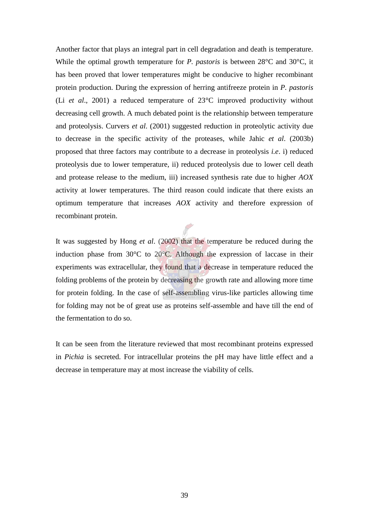Another factor that plays an integral part in cell degradation and death is temperature. While the optimal growth temperature for *P. pastoris* is between 28°C and 30°C, it has been proved that lower temperatures might be conducive to higher recombinant protein production. During the expression of herring antifreeze protein in *P. pastoris* (Li *et al*., 2001) a reduced temperature of 23°C improved productivity without decreasing cell growth. A much debated point is the relationship between temperature and proteolysis. Curvers *et al*. (2001) suggested reduction in proteolytic activity due to decrease in the specific activity of the proteases, while Jahic *et al*. (2003b) proposed that three factors may contribute to a decrease in proteolysis *i.e*. i) reduced proteolysis due to lower temperature, ii) reduced proteolysis due to lower cell death and protease release to the medium, iii) increased synthesis rate due to higher *AOX* activity at lower temperatures. The third reason could indicate that there exists an optimum temperature that increases *AOX* activity and therefore expression of recombinant protein.

It was suggested by Hong *et al*. (2002) that the temperature be reduced during the induction phase from 30°C to 20°C. Although the expression of laccase in their experiments was extracellular, they found that a decrease in temperature reduced the folding problems of the protein by decreasing the growth rate and allowing more time for protein folding. In the case of self-assembling virus-like particles allowing time for folding may not be of great use as proteins self-assemble and have till the end of the fermentation to do so.

It can be seen from the literature reviewed that most recombinant proteins expressed in *Pichia* is secreted. For intracellular proteins the pH may have little effect and a decrease in temperature may at most increase the viability of cells.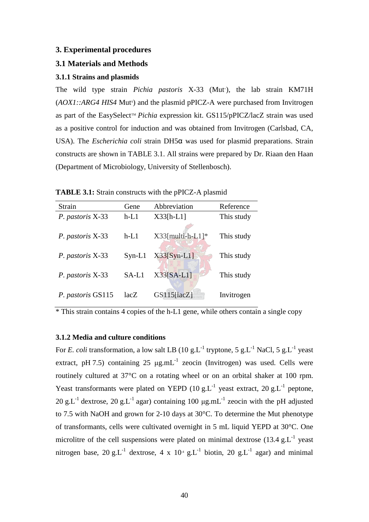## **3. Experimental procedures**

## **3.1 Materials and Methods**

## **3.1.1 Strains and plasmids**

The wild type strain *Pichia pastoris* X-33 (Mut<sup>+</sup>), the lab strain KM71H (*AOX1::ARG4 HIS4* Mut<sup>s</sup>) and the plasmid pPICZ-A were purchased from Invitrogen as part of the EasySelect<sup>TM</sup> *Pichia* expression kit. GS115/pPICZ/lacZ strain was used as a positive control for induction and was obtained from Invitrogen (Carlsbad, CA, USA). The *Escherichia coli* strain DH5α was used for plasmid preparations. Strain constructs are shown in TABLE 3.1. All strains were prepared by Dr. Riaan den Haan (Department of Microbiology, University of Stellenbosch).

| <b>TABLE 3.1:</b> Strain constructs with the pPICZ-A plasmid |  |  |  |
|--------------------------------------------------------------|--|--|--|
|--------------------------------------------------------------|--|--|--|

| Strain            | Gene     | Abbreviation     | Reference  |
|-------------------|----------|------------------|------------|
| P. pastoris X-33  | $h-L1$   | $X33[h-L1]$      | This study |
| P. pastoris X-33  | $h-L1$   | X33[multi-h-L1]* | This study |
| P. pastoris X-33  | $Syn-L1$ | $X33[Syn-L1]$    | This study |
| P. pastoris X-33  | $SA-L1$  | $X33[SA-L1]$     | This study |
| P. pastoris GS115 | lacZ     | $GS115$ [lacZ]   | Invitrogen |

\* This strain contains 4 copies of the h-L1 gene, while others contain a single copy

## **3.1.2 Media and culture conditions**

For *E. coli* transformation, a low salt LB (10 g.L<sup>-1</sup> tryptone, 5 g.L<sup>-1</sup> NaCl, 5 g.L<sup>-1</sup> yeast extract, pH 7.5) containing 25  $\mu$ g.mL<sup>-1</sup> zeocin (Invitrogen) was used. Cells were routinely cultured at 37°C on a rotating wheel or on an orbital shaker at 100 rpm. Yeast transformants were plated on YEPD  $(10 \text{ g.L}^{-1})$  yeast extract,  $20 \text{ g.L}^{-1}$  peptone, 20 g.L<sup>-1</sup> dextrose, 20 g.L<sup>-1</sup> agar) containing 100  $\mu$ g.mL<sup>-1</sup> zeocin with the pH adjusted to 7.5 with NaOH and grown for 2-10 days at 30°C. To determine the Mut phenotype of transformants, cells were cultivated overnight in 5 mL liquid YEPD at 30°C. One microlitre of the cell suspensions were plated on minimal dextrose  $(13.4 \text{ g.L}^{-1}$  yeast nitrogen base, 20 g.L<sup>-1</sup> dextrose, 4 x 10<sup>-4</sup> g.L<sup>-1</sup> biotin, 20 g.L<sup>-1</sup> agar) and minimal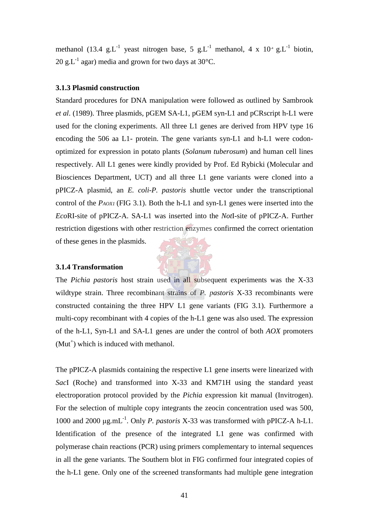methanol (13.4 g.L<sup>-1</sup> yeast nitrogen base, 5 g.L<sup>-1</sup> methanol, 4 x 10<sup>-4</sup> g.L<sup>-1</sup> biotin, 20 g.L<sup>-1</sup> agar) media and grown for two days at  $30^{\circ}$ C.

## **3.1.3 Plasmid construction**

Standard procedures for DNA manipulation were followed as outlined by Sambrook *et al*. (1989). Three plasmids, pGEM SA-L1, pGEM syn-L1 and pCRscript h-L1 were used for the cloning experiments. All three L1 genes are derived from HPV type 16 encoding the 506 aa L1- protein. The gene variants syn-L1 and h-L1 were codonoptimized for expression in potato plants (*Solanum tuberosum*) and human cell lines respectively. All L1 genes were kindly provided by Prof. Ed Rybicki (Molecular and Biosciences Department, UCT) and all three L1 gene variants were cloned into a pPICZ-A plasmid, an *E. coli-P. pastoris* shuttle vector under the transcriptional control of the *PAOX1* (FIG 3.1). Both the h-L1 and syn-L1 genes were inserted into the *Eco*RI-site of pPICZ-A. SA-L1 was inserted into the *Not*I-site of pPICZ-A. Further restriction digestions with other restriction enzymes confirmed the correct orientation of these genes in the plasmids.

#### **3.1.4 Transformation**

The *Pichia pastoris* host strain used in all subsequent experiments was the X-33 wildtype strain. Three recombinant strains of *P. pastoris* X-33 recombinants were constructed containing the three HPV L1 gene variants (FIG 3.1). Furthermore a multi-copy recombinant with 4 copies of the h-L1 gene was also used. The expression of the h-L1, Syn-L1 and SA-L1 genes are under the control of both *AOX* promoters (Mut<sup>+</sup>) which is induced with methanol.

The pPICZ-A plasmids containing the respective L1 gene inserts were linearized with *Sac*I (Roche) and transformed into X-33 and KM71H using the standard yeast electroporation protocol provided by the *Pichia* expression kit manual (Invitrogen). For the selection of multiple copy integrants the zeocin concentration used was 500, 1000 and 2000 µg.mL-1. Only *P. pastoris* X-33 was transformed with pPICZ-A h-L1. Identification of the presence of the integrated L1 gene was confirmed with polymerase chain reactions (PCR) using primers complementary to internal sequences in all the gene variants. The Southern blot in FIG confirmed four integrated copies of the h-L1 gene. Only one of the screened transformants had multiple gene integration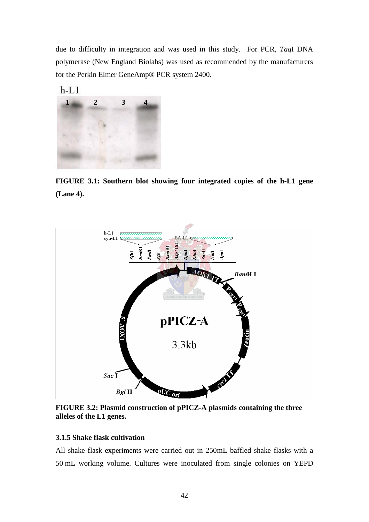due to difficulty in integration and was used in this study. For PCR, *Taq*I DNA polymerase (New England Biolabs) was used as recommended by the manufacturers for the Perkin Elmer GeneAmp® PCR system 2400.



**FIGURE 3.1: Southern blot showing four integrated copies of the h-L1 gene (Lane 4).**



**FIGURE 3.2: Plasmid construction of pPICZ-A plasmids containing the three alleles of the L1 genes.**

## **3.1.5 Shake flask cultivation**

All shake flask experiments were carried out in 250mL baffled shake flasks with a 50 mL working volume. Cultures were inoculated from single colonies on YEPD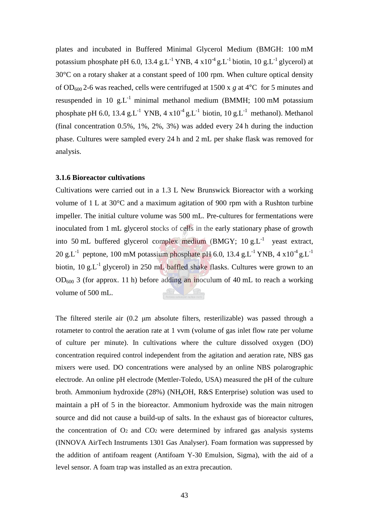plates and incubated in Buffered Minimal Glycerol Medium (BMGH: 100 mM potassium phosphate pH 6.0, 13.4 g.L<sup>-1</sup> YNB, 4  $x10^{-4}$  g.L<sup>-1</sup> biotin, 10 g.L<sup>-1</sup> glycerol) at 30°C on a rotary shaker at a constant speed of 100 rpm. When culture optical density of OD<sup>600</sup> 2-6 was reached, cells were centrifuged at 1500 x *g* at 4°C for 5 minutes and resuspended in 10 g.L<sup>-1</sup> minimal methanol medium (BMMH; 100 mM potassium phosphate pH 6.0, 13.4 g.L<sup>-1</sup> YNB, 4 x10<sup>-4</sup> g.L<sup>-1</sup> biotin, 10 g.L<sup>-1</sup> methanol). Methanol (final concentration 0.5%, 1%, 2%, 3%) was added every 24 h during the induction phase. Cultures were sampled every 24 h and 2 mL per shake flask was removed for analysis.

## **3.1.6 Bioreactor cultivations**

Cultivations were carried out in a 1.3 L New Brunswick Bioreactor with a working volume of 1 L at 30°C and a maximum agitation of 900 rpm with a Rushton turbine impeller. The initial culture volume was 500 mL. Pre-cultures for fermentations were inoculated from 1 mL glycerol stocks of cells in the early stationary phase of growth into 50 mL buffered glycerol complex medium (BMGY;  $10 g.L^{-1}$  yeast extract, 20 g.L<sup>-1</sup> peptone, 100 mM potassium phosphate pH 6.0, 13.4 g.L<sup>-1</sup> YNB, 4  $\times 10^{-4}$  g.L<sup>-1</sup> biotin, 10 g.L-1 glycerol) in 250 mL baffled shake flasks. Cultures were grown to an  $OD<sub>600</sub>$  3 (for approx. 11 h) before adding an inoculum of 40 mL to reach a working volume of 500 mL.

The filtered sterile air (0.2 µm absolute filters, resterilizable) was passed through a rotameter to control the aeration rate at 1 vvm (volume of gas inlet flow rate per volume of culture per minute). In cultivations where the culture dissolved oxygen (DO) concentration required control independent from the agitation and aeration rate, NBS gas mixers were used. DO concentrations were analysed by an online NBS polarographic electrode. An online pH electrode (Mettler-Toledo, USA) measured the pH of the culture broth. Ammonium hydroxide (28%) (NH4OH, R&S Enterprise) solution was used to maintain a pH of 5 in the bioreactor. Ammonium hydroxide was the main nitrogen source and did not cause a build-up of salts. In the exhaust gas of bioreactor cultures, the concentration of  $O_2$  and  $CO_2$  were determined by infrared gas analysis systems (INNOVA AirTech Instruments 1301 Gas Analyser). Foam formation was suppressed by the addition of antifoam reagent (Antifoam Y-30 Emulsion, Sigma), with the aid of a level sensor. A foam trap was installed as an extra precaution.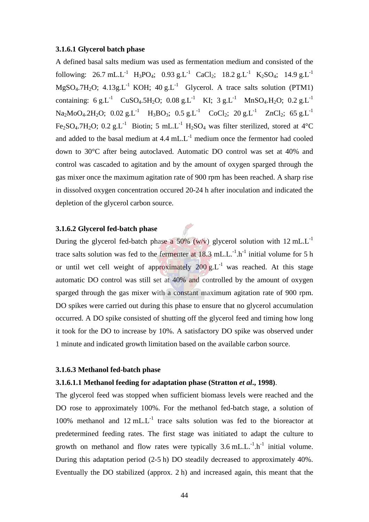## **3.1.6.1 Glycerol batch phase**

A defined basal salts medium was used as fermentation medium and consisted of the following: 26.7 mL.L<sup>-1</sup> H<sub>3</sub>PO<sub>4</sub>; 0.93 g.L<sup>-1</sup> CaCl<sub>2</sub>; 18.2 g.L<sup>-1</sup> K<sub>2</sub>SO<sub>4</sub>; 14.9 g.L<sup>-1</sup>  $MgSO<sub>4</sub>.7H<sub>2</sub>O$ ; 4.13g.L<sup>-1</sup> KOH; 40 g.L<sup>-1</sup> Glycerol. A trace salts solution (PTM1) containing: 6 g.L<sup>-1</sup> CuSO<sub>4</sub>.5H<sub>2</sub>O; 0.08 g.L<sup>-1</sup> KI; 3 g.L<sup>-1</sup> MnSO<sub>4</sub>.H<sub>2</sub>O; 0.2 g.L<sup>-1</sup>  $Na<sub>2</sub>MoO<sub>4</sub>.2H<sub>2</sub>O$ ; 0.02 g.L<sup>-1</sup>  $H<sub>3</sub>BO<sub>3</sub>$ ; 0.5 g.L<sup>-1</sup> CoCl<sub>2</sub>; 20 g.L<sup>-1</sup> ZnCl<sub>2</sub>; 65 g.L<sup>-1</sup> Fe<sub>2</sub>SO<sub>4</sub>.7H<sub>2</sub>O; 0.2 g.L<sup>-1</sup> Biotin; 5 mL.L<sup>-1</sup> H<sub>2</sub>SO<sub>4</sub> was filter sterilized, stored at 4<sup>o</sup>C and added to the basal medium at  $4.4 \text{ mL}$ . $L^{-1}$  medium once the fermentor had cooled down to 30°C after being autoclaved. Automatic DO control was set at 40% and control was cascaded to agitation and by the amount of oxygen sparged through the gas mixer once the maximum agitation rate of 900 rpm has been reached. A sharp rise in dissolved oxygen concentration occured 20-24 h after inoculation and indicated the depletion of the glycerol carbon source.

## **3.1.6.2 Glycerol fed-batch phase**

During the glycerol fed-batch phase a  $50\%$  (w/v) glycerol solution with 12 mL.L<sup>-1</sup> trace salts solution was fed to the fermenter at  $18.3$  mL.L.<sup>-1</sup>.h<sup>-1</sup> initial volume for 5 h or until wet cell weight of approximately  $200 \text{ g.L}^{-1}$  was reached. At this stage automatic DO control was still set at 40% and controlled by the amount of oxygen sparged through the gas mixer with a constant maximum agitation rate of 900 rpm. DO spikes were carried out during this phase to ensure that no glycerol accumulation occurred. A DO spike consisted of shutting off the glycerol feed and timing how long it took for the DO to increase by 10%. A satisfactory DO spike was observed under 1 minute and indicated growth limitation based on the available carbon source.

## **3.1.6.3 Methanol fed-batch phase**

## **3.1.6.1.1 Methanol feeding for adaptation phase (Stratton** *et al***., 1998)**.

The glycerol feed was stopped when sufficient biomass levels were reached and the DO rose to approximately 100%. For the methanol fed-batch stage, a solution of 100% methanol and 12 mL. $L^{-1}$  trace salts solution was fed to the bioreactor at predetermined feeding rates. The first stage was initiated to adapt the culture to growth on methanol and flow rates were typically  $3.6 \text{ mL.L.}^{-1} \text{ h}^{-1}$  initial volume. During this adaptation period (2-5 h) DO steadily decreased to approximately 40%. Eventually the DO stabilized (approx. 2 h) and increased again, this meant that the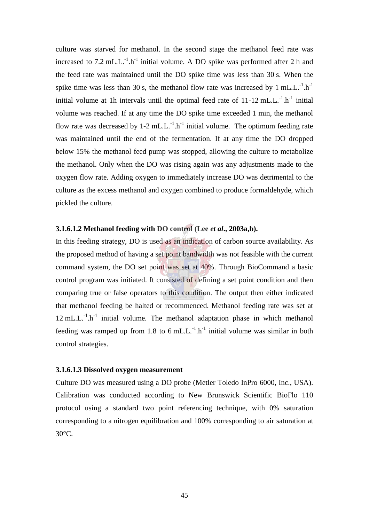culture was starved for methanol. In the second stage the methanol feed rate was increased to 7.2 mL.L. $^{-1}$ .h<sup>-1</sup> initial volume. A DO spike was performed after 2 h and the feed rate was maintained until the DO spike time was less than 30 s. When the spike time was less than 30 s, the methanol flow rate was increased by 1 mL.L. $^{-1}$ .h<sup>-1</sup> initial volume at 1h intervals until the optimal feed rate of  $11-12 \text{ mL}$ .  $\text{L}^{-1}$ .  $\text{h}^{-1}$  initial volume was reached. If at any time the DO spike time exceeded 1 min, the methanol flow rate was decreased by 1-2 mL.L.<sup>-1</sup>.h<sup>-1</sup> initial volume. The optimum feeding rate was maintained until the end of the fermentation. If at any time the DO dropped below 15% the methanol feed pump was stopped, allowing the culture to metabolize the methanol. Only when the DO was rising again was any adjustments made to the oxygen flow rate. Adding oxygen to immediately increase DO was detrimental to the culture as the excess methanol and oxygen combined to produce formaldehyde, which pickled the culture.

## **3.1.6.1.2 Methanol feeding with DO control (Lee** *et al***., 2003a,b).**

In this feeding strategy, DO is used as an indication of carbon source availability. As the proposed method of having a set point bandwidth was not feasible with the current command system, the DO set point was set at 40%. Through BioCommand a basic control program was initiated. It consisted of defining a set point condition and then comparing true or false operators to this condition. The output then either indicated that methanol feeding be halted or recommenced. Methanol feeding rate was set at  $12 \text{ mL}$ .<sup>-1</sup>.h<sup>-1</sup> initial volume. The methanol adaptation phase in which methanol feeding was ramped up from 1.8 to 6 mL.L.<sup>-1</sup>.h<sup>-1</sup> initial volume was similar in both control strategies.

## **3.1.6.1.3 Dissolved oxygen measurement**

Culture DO was measured using a DO probe (Metler Toledo InPro 6000, Inc., USA). Calibration was conducted according to New Brunswick Scientific BioFlo 110 protocol using a standard two point referencing technique, with 0% saturation corresponding to a nitrogen equilibration and 100% corresponding to air saturation at 30°C.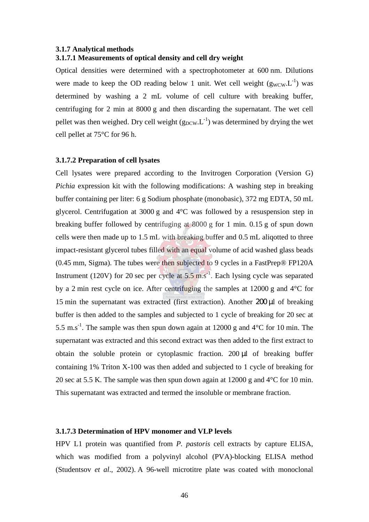## **3.1.7 Analytical methods 3.1.7.1 Measurements of optical density and cell dry weight**

Optical densities were determined with a spectrophotometer at 600 nm. Dilutions were made to keep the OD reading below 1 unit. Wet cell weight  $(g_{WCW} L^{-1})$  was determined by washing a 2 mL volume of cell culture with breaking buffer, centrifuging for 2 min at 8000 g and then discarding the supernatant. The wet cell pellet was then weighed. Dry cell weight  $(g_{DCW} L^{-1})$  was determined by drying the wet cell pellet at 75°C for 96 h.

## **3.1.7.2 Preparation of cell lysates**

Cell lysates were prepared according to the Invitrogen Corporation (Version G) *Pichia* expression kit with the following modifications: A washing step in breaking buffer containing per liter: 6 g Sodium phosphate (monobasic), 372 mg EDTA, 50 mL glycerol. Centrifugation at 3000 g and 4°C was followed by a resuspension step in breaking buffer followed by centrifuging at 8000 g for 1 min. 0.15 g of spun down cells were then made up to 1.5 mL with breaking buffer and 0.5 mL aliqotted to three impact-resistant glycerol tubes filled with an equal volume of acid washed glass beads (0.45 mm, Sigma). The tubes were then subjected to 9 cycles in a FastPrep® FP120A Instrument (120V) for 20 sec per cycle at  $5.5 \text{ m.s}^{-1}$ . Each lysing cycle was separated by a 2 min rest cycle on ice. After centrifuging the samples at 12000 g and 4°C for 15 min the supernatant was extracted (first extraction). Another 200 µl of breaking buffer is then added to the samples and subjected to 1 cycle of breaking for 20 sec at 5.5 m.s<sup>-1</sup>. The sample was then spun down again at 12000 g and  $4^{\circ}$ C for 10 min. The supernatant was extracted and this second extract was then added to the first extract to obtain the soluble protein or cytoplasmic fraction. 200 µl of breaking buffer containing 1% Triton X-100 was then added and subjected to 1 cycle of breaking for 20 sec at 5.5 K. The sample was then spun down again at 12000 g and 4°C for 10 min. This supernatant was extracted and termed the insoluble or membrane fraction.

## **3.1.7.3 Determination of HPV monomer and VLP levels**

HPV L1 protein was quantified from *P. pastoris* cell extracts by capture ELISA, which was modified from a polyvinyl alcohol (PVA)-blocking ELISA method (Studentsov *et al*., 2002). A 96-well microtitre plate was coated with monoclonal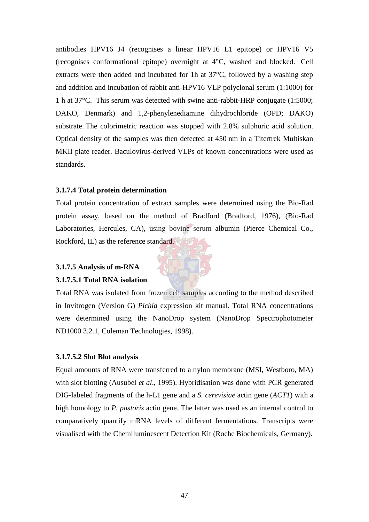antibodies HPV16 J4 (recognises a linear HPV16 L1 epitope) or HPV16 V5 (recognises conformational epitope) overnight at 4°C, washed and blocked. Cell extracts were then added and incubated for 1h at 37°C, followed by a washing step and addition and incubation of rabbit anti-HPV16 VLP polyclonal serum (1:1000) for 1 h at 37°C. This serum was detected with swine anti-rabbit-HRP conjugate (1:5000; DAKO, Denmark) and 1,2-phenylenediamine dihydrochloride (OPD; DAKO) substrate. The colorimetric reaction was stopped with 2.8% sulphuric acid solution. Optical density of the samples was then detected at 450 nm in a Titertrek Multiskan MKII plate reader. Baculovirus-derived VLPs of known concentrations were used as standards.

## **3.1.7.4 Total protein determination**

Total protein concentration of extract samples were determined using the Bio-Rad protein assay, based on the method of Bradford (Bradford, 1976), (Bio-Rad Laboratories, Hercules, CA), using bovine serum albumin (Pierce Chemical Co., Rockford, IL) as the reference standard.

## **3.1.7.5 Analysis of m-RNA**

#### **3.1.7.5.1 Total RNA isolation**

Total RNA was isolated from frozen cell samples according to the method described in Invitrogen (Version G) *Pichia* expression kit manual. Total RNA concentrations were determined using the NanoDrop system (NanoDrop Spectrophotometer ND1000 3.2.1, Coleman Technologies, 1998).

## **3.1.7.5.2 Slot Blot analysis**

Equal amounts of RNA were transferred to a nylon membrane (MSI, Westboro, MA) with slot blotting (Ausubel *et al*., 1995). Hybridisation was done with PCR generated DIG-labeled fragments of the h-L1 gene and a *S. cerevisiae* actin gene (*ACT1*) with a high homology to *P. pastoris* actin gene. The latter was used as an internal control to comparatively quantify mRNA levels of different fermentations. Transcripts were visualised with the Chemiluminescent Detection Kit (Roche Biochemicals, Germany).

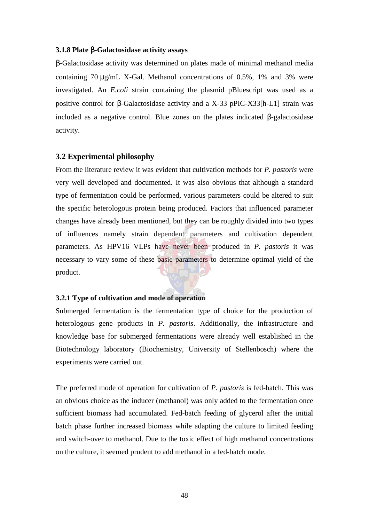## **3.1.8 Plate** β**-Galactosidase activity assays**

β-Galactosidase activity was determined on plates made of minimal methanol media containing 70 µg/mL X-Gal. Methanol concentrations of 0.5%, 1% and 3% were investigated. An *E.coli* strain containing the plasmid pBluescript was used as a positive control for β-Galactosidase activity and a X-33 pPIC-X33[h-L1] strain was included as a negative control. Blue zones on the plates indicated  $\beta$ -galactosidase activity.

#### **3.2 Experimental philosophy**

From the literature review it was evident that cultivation methods for *P. pastoris* were very well developed and documented. It was also obvious that although a standard type of fermentation could be performed, various parameters could be altered to suit the specific heterologous protein being produced. Factors that influenced parameter changes have already been mentioned, but they can be roughly divided into two types of influences namely strain dependent parameters and cultivation dependent parameters. As HPV16 VLPs have never been produced in *P. pastoris* it was necessary to vary some of these basic parameters to determine optimal yield of the product.

## **3.2.1 Type of cultivation and mode of operation**

Submerged fermentation is the fermentation type of choice for the production of heterologous gene products in *P. pastoris*. Additionally, the infrastructure and knowledge base for submerged fermentations were already well established in the Biotechnology laboratory (Biochemistry, University of Stellenbosch) where the experiments were carried out.

The preferred mode of operation for cultivation of *P. pastoris* is fed-batch. This was an obvious choice as the inducer (methanol) was only added to the fermentation once sufficient biomass had accumulated. Fed-batch feeding of glycerol after the initial batch phase further increased biomass while adapting the culture to limited feeding and switch-over to methanol. Due to the toxic effect of high methanol concentrations on the culture, it seemed prudent to add methanol in a fed-batch mode.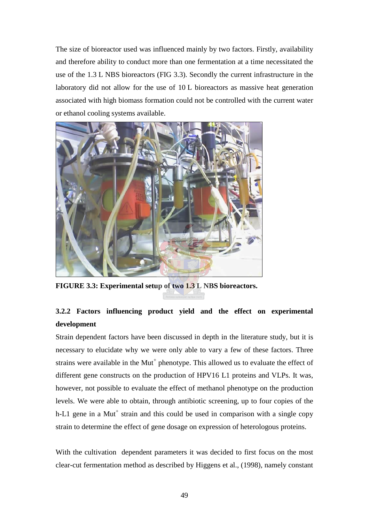The size of bioreactor used was influenced mainly by two factors. Firstly, availability and therefore ability to conduct more than one fermentation at a time necessitated the use of the 1.3 L NBS bioreactors (FIG 3.3). Secondly the current infrastructure in the laboratory did not allow for the use of 10 L bioreactors as massive heat generation associated with high biomass formation could not be controlled with the current water or ethanol cooling systems available.



**FIGURE 3.3: Experimental setup of two 1.3 L NBS bioreactors.**

# **3.2.2 Factors influencing product yield and the effect on experimental development**

Strain dependent factors have been discussed in depth in the literature study, but it is necessary to elucidate why we were only able to vary a few of these factors. Three strains were available in the  $\text{Mut}^+$  phenotype. This allowed us to evaluate the effect of different gene constructs on the production of HPV16 L1 proteins and VLPs. It was, however, not possible to evaluate the effect of methanol phenotype on the production levels. We were able to obtain, through antibiotic screening, up to four copies of the h-L1 gene in a Mut<sup>+</sup> strain and this could be used in comparison with a single copy strain to determine the effect of gene dosage on expression of heterologous proteins.

With the cultivation dependent parameters it was decided to first focus on the most clear-cut fermentation method as described by Higgens et al., (1998), namely constant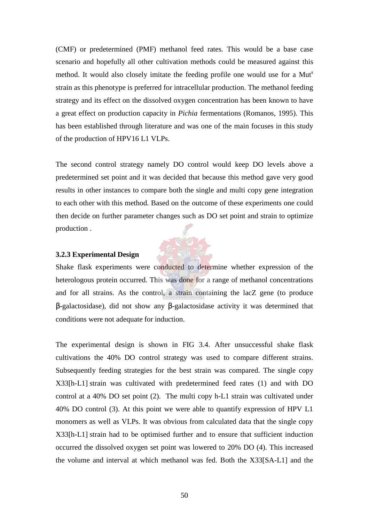(CMF) or predetermined (PMF) methanol feed rates. This would be a base case scenario and hopefully all other cultivation methods could be measured against this method. It would also closely imitate the feeding profile one would use for a Mut<sup>s</sup> strain as this phenotype is preferred for intracellular production. The methanol feeding strategy and its effect on the dissolved oxygen concentration has been known to have a great effect on production capacity in *Pichia* fermentations (Romanos, 1995). This has been established through literature and was one of the main focuses in this study of the production of HPV16 L1 VLPs.

The second control strategy namely DO control would keep DO levels above a predetermined set point and it was decided that because this method gave very good results in other instances to compare both the single and multi copy gene integration to each other with this method. Based on the outcome of these experiments one could then decide on further parameter changes such as DO set point and strain to optimize production .

## **3.2.3 Experimental Design**

Shake flask experiments were conducted to determine whether expression of the heterologous protein occurred. This was done for a range of methanol concentrations and for all strains. As the control, a strain containing the lacZ gene (to produce β-galactosidase), did not show any β-galactosidase activity it was determined that conditions were not adequate for induction.

The experimental design is shown in FIG 3.4. After unsuccessful shake flask cultivations the 40% DO control strategy was used to compare different strains. Subsequently feeding strategies for the best strain was compared. The single copy X33[h-L1] strain was cultivated with predetermined feed rates (1) and with DO control at a 40% DO set point (2). The multi copy h-L1 strain was cultivated under 40% DO control (3). At this point we were able to quantify expression of HPV L1 monomers as well as VLPs. It was obvious from calculated data that the single copy X33[h-L1] strain had to be optimised further and to ensure that sufficient induction occurred the dissolved oxygen set point was lowered to 20% DO (4). This increased the volume and interval at which methanol was fed. Both the X33[SA-L1] and the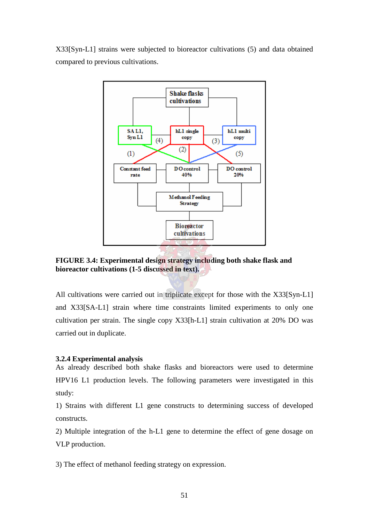X33[Syn-L1] strains were subjected to bioreactor cultivations (5) and data obtained compared to previous cultivations.



**FIGURE 3.4: Experimental design strategy including both shake flask and bioreactor cultivations (1-5 discussed in text).**

All cultivations were carried out in triplicate except for those with the X33[Syn-L1] and X33[SA-L1] strain where time constraints limited experiments to only one cultivation per strain. The single copy X33[h-L1] strain cultivation at 20% DO was carried out in duplicate.

## **3.2.4 Experimental analysis**

As already described both shake flasks and bioreactors were used to determine HPV16 L1 production levels. The following parameters were investigated in this study:

1) Strains with different L1 gene constructs to determining success of developed constructs.

2) Multiple integration of the h-L1 gene to determine the effect of gene dosage on VLP production.

3) The effect of methanol feeding strategy on expression.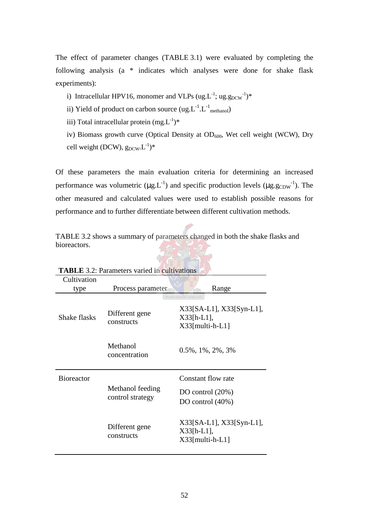The effect of parameter changes (TABLE 3.1) were evaluated by completing the following analysis (a \* indicates which analyses were done for shake flask experiments):

i) Intracellular HPV16, monomer and VLPs  $(ug.L^{-1}; ug.g<sub>DCW</sub><sup>-1</sup>)$ \*

ii) Yield of product on carbon source  $(ug.L^{-1}.L^{-1}_{methanol})$ 

iii) Total intracellular protein  $(mg.L^{-1})^*$ 

iv) Biomass growth curve (Optical Density at  $OD_{600}$ , Wet cell weight (WCW), Dry cell weight (DCW),  $g_{DCW}L^{-1}$ <sup>\*</sup>

Of these parameters the main evaluation criteria for determining an increased performance was volumetric ( $\mu g$ . L<sup>-1</sup>) and specific production levels ( $\mu g$ .  $g_{CDW}^{-1}$ ). The other measured and calculated values were used to establish possible reasons for performance and to further differentiate between different cultivation methods.

TABLE 3.2 shows a summary of parameters changed in both the shake flasks and bioreactors.

| <b>TADLE</b> 5.2. I alameters varied in Cultivations |                                      |                                                                                                   |  |
|------------------------------------------------------|--------------------------------------|---------------------------------------------------------------------------------------------------|--|
| Cultivation                                          |                                      |                                                                                                   |  |
| type                                                 | Process parameter                    | Range                                                                                             |  |
| Shake flasks                                         | Different gene<br>constructs         | Pectora roborant cultus recti<br>$X33[SA-L1], X33[Syn-L1],$<br>$X33[h-L1],$<br>$X33$ [multi-h-L1] |  |
|                                                      | Methanol<br>concentration            | $0.5\%, 1\%, 2\%, 3\%$                                                                            |  |
| <b>Bioreactor</b>                                    |                                      | Constant flow rate                                                                                |  |
|                                                      | Methanol feeding<br>control strategy | DO control $(20%)$<br>DO control $(40\%)$                                                         |  |
|                                                      | Different gene<br>constructs         | X33[SA-L1], X33[Syn-L1],<br>$X33[h-L1]$ ,<br>$X33$ [multi-h-L1]                                   |  |

**TABLE** 3.2: Parameters varied in cultivation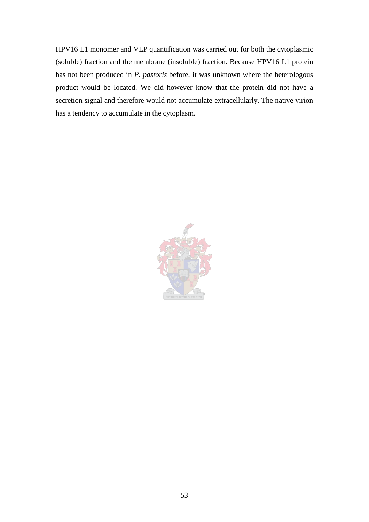HPV16 L1 monomer and VLP quantification was carried out for both the cytoplasmic (soluble) fraction and the membrane (insoluble) fraction. Because HPV16 L1 protein has not been produced in *P. pastoris* before, it was unknown where the heterologous product would be located. We did however know that the protein did not have a secretion signal and therefore would not accumulate extracellularly. The native virion has a tendency to accumulate in the cytoplasm.

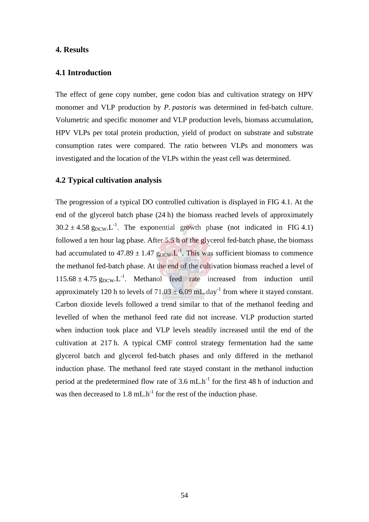## **4. Results**

## **4.1 Introduction**

The effect of gene copy number, gene codon bias and cultivation strategy on HPV monomer and VLP production by *P. pastoris* was determined in fed-batch culture. Volumetric and specific monomer and VLP production levels, biomass accumulation, HPV VLPs per total protein production, yield of product on substrate and substrate consumption rates were compared. The ratio between VLPs and monomers was investigated and the location of the VLPs within the yeast cell was determined.

## **4.2 Typical cultivation analysis**

The progression of a typical DO controlled cultivation is displayed in FIG 4.1. At the end of the glycerol batch phase (24 h) the biomass reached levels of approximately  $30.2 \pm 4.58$  g<sub>DCW</sub>.<sup>1</sup>. The exponential growth phase (not indicated in FIG 4.1) followed a ten hour lag phase. After 5.5 h of the glycerol fed-batch phase, the biomass had accumulated to  $47.89 \pm 1.47$  g<sub>DCW</sub>.<sup>1</sup>. This was sufficient biomass to commence the methanol fed-batch phase. At the end of the cultivation biomass reached a level of  $115.68 \pm 4.75$  g<sub>DCW</sub>. L<sup>-1</sup>. Methanol feed rate increased from induction until approximately 120 h to levels of  $71.03 \pm 6.09$  mL.day<sup>-1</sup> from where it stayed constant. Carbon dioxide levels followed a trend similar to that of the methanol feeding and levelled of when the methanol feed rate did not increase. VLP production started when induction took place and VLP levels steadily increased until the end of the cultivation at 217 h. A typical CMF control strategy fermentation had the same glycerol batch and glycerol fed-batch phases and only differed in the methanol induction phase. The methanol feed rate stayed constant in the methanol induction period at the predetermined flow rate of  $3.6$  mL.h<sup>-1</sup> for the first 48 h of induction and was then decreased to  $1.8 \text{ mL} \cdot \text{h}^{-1}$  for the rest of the induction phase.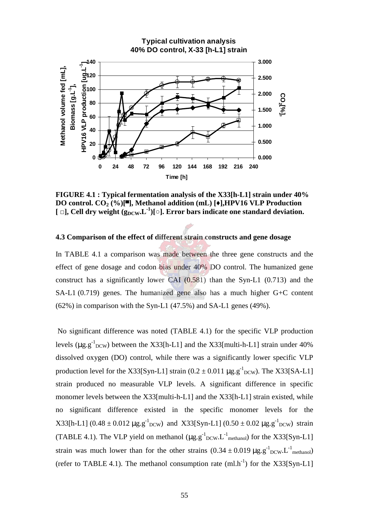

**FIGURE 4.1 : Typical fermentation analysis of the X33[h-L1] strain under 40% DO control. CO<sup>2</sup> (%)[**▄ **], Methanol addition (mL) [**♦**],HPV16 VLP Production**  $\lceil \Box \rceil$ , Cell dry weight  $(g_{DCW} L^{-1})[\circ]$ . Error bars indicate one standard deviation.

## **4.3 Comparison of the effect of different strain constructs and gene dosage**

In TABLE 4.1 a comparison was made between the three gene constructs and the effect of gene dosage and codon bias under 40% DO control. The humanized gene construct has a significantly lower CAI  $(0.581)$  than the Syn-L1  $(0.713)$  and the SA-L1 (0.719) genes. The humanized gene also has a much higher G+C content (62%) in comparison with the Syn-L1 (47.5%) and SA-L1 genes (49%).

No significant difference was noted (TABLE 4.1) for the specific VLP production levels ( $\mu$ g.g<sup>-1</sup><sub>DCW</sub>) between the X33[h-L1] and the X33[multi-h-L1] strain under 40% dissolved oxygen (DO) control, while there was a significantly lower specific VLP production level for the X33[Syn-L1] strain  $(0.2 \pm 0.011 \,\mu\text{g}.\text{g}^{-1} _{\text{DCW}})$ . The X33[SA-L1] strain produced no measurable VLP levels. A significant difference in specific monomer levels between the X33[multi-h-L1] and the X33[h-L1] strain existed, while no significant difference existed in the specific monomer levels for the  $X33[h-L1]$  (0.48 ± 0.012  $\mu$ g.g<sup>-1</sup><sub>DCW</sub>) and X33[Syn-L1] (0.50 ± 0.02  $\mu$ g.g<sup>-1</sup><sub>DCW</sub>) strain (TABLE 4.1). The VLP yield on methanol  $(\mu g.g^{-1}_{DCW}.L^{-1}_{methanol})$  for the X33[Syn-L1] strain was much lower than for the other strains  $(0.34 \pm 0.019 \,\mu g \cdot g^{-1}_{\text{DCW}})$ . L<sup>-1</sup> methanol) (refer to TABLE 4.1). The methanol consumption rate  $(ml.h^{-1})$  for the X33[Syn-L1]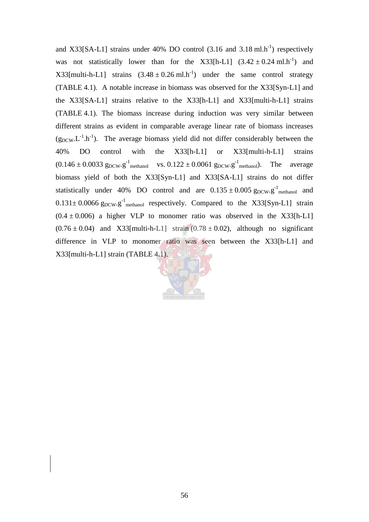and X33[SA-L1] strains under 40% DO control  $(3.16 \text{ and } 3.18 \text{ ml.h}^{-1})$  respectively was not statistically lower than for the X33[h-L1]  $(3.42 \pm 0.24 \text{ ml.h}^{-1})$  and X33[multi-h-L1] strains  $(3.48 \pm 0.26 \text{ ml.h}^{-1})$  under the same control strategy (TABLE 4.1). A notable increase in biomass was observed for the X33[Syn-L1] and the X33[SA-L1] strains relative to the X33[h-L1] and X33[multi-h-L1] strains (TABLE 4.1). The biomass increase during induction was very similar between different strains as evident in comparable average linear rate of biomass increases  $(g_{DCW} L^{-1} \cdot h^{-1})$ . The average biomass yield did not differ considerably between the 40% DO control with the X33[h-L1] or X33[multi-h-L1] strains  $(0.146 \pm 0.0033$   $g_{DCW} \cdot g^{-1}$ <sub>methanol</sub> vs.  $0.122 \pm 0.0061$   $g_{DCW} \cdot g^{-1}$ <sub>methanol</sub>). The average biomass yield of both the X33[Syn-L1] and X33[SA-L1] strains do not differ statistically under 40% DO control and are  $0.135 \pm 0.005$   $g_{DCW} \cdot g^{-1}$  methanol and  $0.131 \pm 0.0066$   $g_{DCW}$ . $g^{-1}$ <sub>methanol</sub> respectively. Compared to the X33[Syn-L1] strain  $(0.4 \pm 0.006)$  a higher VLP to monomer ratio was observed in the X33[h-L1]  $(0.76 \pm 0.04)$  and X33[multi-h-L1] strain  $(0.78 \pm 0.02)$ , although no significant difference in VLP to monomer ratio was seen between the X33[h-L1] and X33[multi-h-L1] strain (TABLE 4.1).

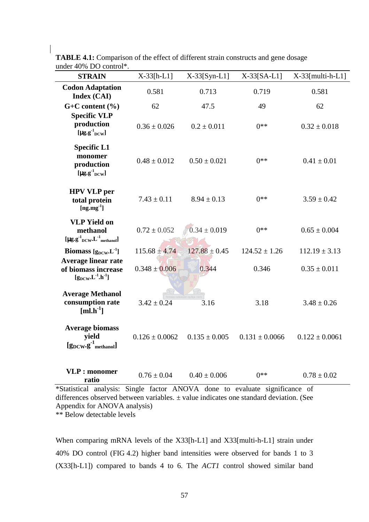| <b>1070 DO COLLUI</b><br><b>STRAIN</b>                                                                                                | $X-33[h-L1]$       | $X-33[Syn-L1]$    | $X-33[SA-L1]$      | $X-33$ [multi-h-L1] |
|---------------------------------------------------------------------------------------------------------------------------------------|--------------------|-------------------|--------------------|---------------------|
| <b>Codon Adaptation</b><br>Index (CAI)                                                                                                | 0.581              | 0.713             | 0.719              | 0.581               |
| $G+C$ content $(\% )$                                                                                                                 | 62                 | 47.5              | 49                 | 62                  |
| <b>Specific VLP</b><br>production<br>[ $\mu$ g.g $^{1}$ <sub>DCW</sub> ]                                                              | $0.36 \pm 0.026$   | $0.2 \pm 0.011$   | $0**$              | $0.32 \pm 0.018$    |
| <b>Specific L1</b><br>monomer<br>production<br>[ $\mu$ g.g $^{-1}$ <sub>DCW</sub> ]                                                   | $0.48 \pm 0.012$   | $0.50 \pm 0.021$  | $0**$              | $0.41 \pm 0.01$     |
| <b>HPV VLP</b> per<br>total protein<br>$[ng, mg^{-1}]$                                                                                | $7.43 \pm 0.11$    | $8.94 \pm 0.13$   | $0**$              | $3.59 \pm 0.42$     |
| <b>VLP Yield on</b><br>methanol<br>$[\mu g.g^{-1}{}_{\rm DCW}.L^{-1}{}_{\rm methanol}]$                                               | $0.72 \pm 0.052$   | $0.34 \pm 0.019$  | $0**$              | $0.65 \pm 0.004$    |
| Biomass $[g_{DCW}L^{-1}]$                                                                                                             | $115.68 \pm 4.74$  | $127.88 \pm 0.45$ | $124.52 \pm 1.26$  | $112.19 \pm 3.13$   |
| <b>Average linear rate</b><br>of biomass increase<br>$[\mathbf{g}_{\rm DCW}\!,\! \mathbf{L}^{\text{-}1}\!,\! \mathbf{h}^{\text{-}1}]$ | $0.348 \pm 0.006$  | 0.344             | 0.346              | $0.35 \pm 0.011$    |
| <b>Average Methanol</b><br>consumption rate<br>$[ml.h^{-1}]$                                                                          | $3.42 \pm 0.24$    | 3.16              | 3.18               | $3.48 \pm 0.26$     |
| <b>Average biomass</b><br>yield<br>$[g_{\text{DCW}}.g^{-1}]_{\text{methanol}}]$                                                       | $0.126 \pm 0.0062$ | $0.135 \pm 0.005$ | $0.131 \pm 0.0066$ | $0.122 \pm 0.0061$  |
| <b>VLP</b> : monomer<br>ratio                                                                                                         | $0.76 \pm 0.04$    | $0.40 \pm 0.006$  | $0**$              | $0.78 \pm 0.02$     |

**TABLE 4.1:** Comparison of the effect of different strain constructs and gene dosage under 40% DO control\*.

\*Statistical analysis: Single factor ANOVA done to evaluate significance of differences observed between variables. ± value indicates one standard deviation. (See Appendix for ANOVA analysis)

\*\* Below detectable levels

When comparing mRNA levels of the X33[h-L1] and X33[multi-h-L1] strain under 40% DO control (FIG 4.2) higher band intensities were observed for bands 1 to 3 (X33[h-L1]) compared to bands 4 to 6. The *ACT1* control showed similar band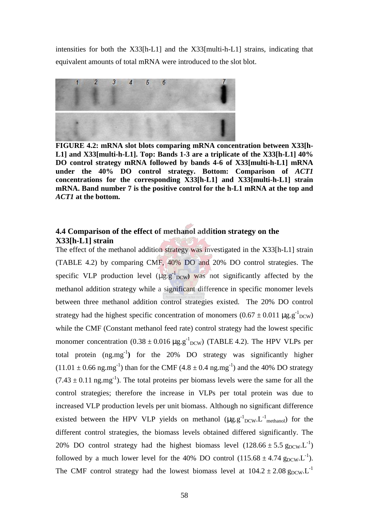intensities for both the X33[h-L1] and the X33[multi-h-L1] strains, indicating that equivalent amounts of total mRNA were introduced to the slot blot.



**FIGURE 4.2: mRNA slot blots comparing mRNA concentration between X33[h-L1] and X33[multi-h-L1]. Top: Bands 1-3 are a triplicate of the X33[h-L1] 40% DO control strategy mRNA followed by bands 4-6 of X33[multi-h-L1] mRNA under the 40% DO control strategy. Bottom: Comparison of** *ACT1* **concentrations for the corresponding X33[h-L1] and X33[multi-h-L1] strain mRNA. Band number 7 is the positive control for the h-L1 mRNA at the top and** *ACT1* **at the bottom.**

# **4.4 Comparison of the effect of methanol addition strategy on the X33[h-L1] strain**

The effect of the methanol addition strategy was investigated in the X33[h-L1] strain (TABLE 4.2) by comparing CMF, 40% DO and 20% DO control strategies. The specific VLP production level  $(\mu g.g^{-1}_{DCW})$  was not significantly affected by the methanol addition strategy while a significant difference in specific monomer levels between three methanol addition control strategies existed. The 20% DO control strategy had the highest specific concentration of monomers  $(0.67 \pm 0.011 \,\mu\text{g}.\text{g}^{-1}_{DCW})$ while the CMF (Constant methanol feed rate) control strategy had the lowest specific monomer concentration  $(0.38 \pm 0.016 \,\mu g \cdot g^{-1}_{\text{DCW}})$  (TABLE 4.2). The HPV VLPs per total protein (ng.mg-1**)** for the 20% DO strategy was significantly higher  $(11.01 \pm 0.66 \text{ ng.mg}^{-1})$  than for the CMF  $(4.8 \pm 0.4 \text{ ng.mg}^{-1})$  and the 40% DO strategy  $(7.43 \pm 0.11 \text{ ng.mg}^{-1})$ . The total proteins per biomass levels were the same for all the control strategies; therefore the increase in VLPs per total protein was due to increased VLP production levels per unit biomass. Although no significant difference existed between the HPV VLP yields on methanol  $(\mu g.g^{-1}_{DCW}.L^{-1}_{methanol})$  for the different control strategies, the biomass levels obtained differed significantly. The 20% DO control strategy had the highest biomass level  $(128.66 \pm 5.5 \text{ g}_{DCW}L^{-1})$ followed by a much lower level for the 40% DO control  $(115.68 \pm 4.74 \text{ g}_{DCW}L^{-1})$ . The CMF control strategy had the lowest biomass level at  $104.2 \pm 2.08$  g<sub>DCW</sub>.L<sup>-1</sup>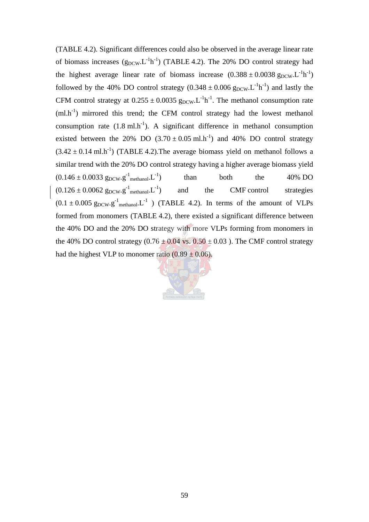(TABLE 4.2). Significant differences could also be observed in the average linear rate of biomass increases  $(g_{DCW}.L^{-1}h^{-1})$  (TABLE 4.2). The 20% DO control strategy had the highest average linear rate of biomass increase  $(0.388 \pm 0.0038 \text{ g}_{\text{DCW}}. L^{-1}h^{-1})$ followed by the 40% DO control strategy  $(0.348 \pm 0.006 \text{ g}_{DCW} L^{-1} h^{-1})$  and lastly the CFM control strategy at  $0.255 \pm 0.0035$   $g_{DCW}$ . L<sup>-1</sup>h<sup>-1</sup>. The methanol consumption rate  $(ml.h<sup>-1</sup>)$  mirrored this trend; the CFM control strategy had the lowest methanol consumption rate  $(1.8 \text{ ml.h}^{-1})$ . A significant difference in methanol consumption existed between the 20% DO  $(3.70 \pm 0.05 \text{ ml.h}^{-1})$  and 40% DO control strategy  $(3.42 \pm 0.14 \text{ ml.h}^{-1})$  (TABLE 4.2). The average biomass yield on methanol follows a similar trend with the 20% DO control strategy having a higher average biomass yield  $(0.146 \pm 0.0033 \text{ g}_{DCW} \cdot \text{g}^{-1} \text{methanol.} L^{-1})$  than both the 40% DO  $(0.126 \pm 0.0062 \text{ gpcw} \cdot \text{g}^{-1})$ and the CMF control strategies  $(0.1 \pm 0.005 \text{ g}_{DCW} \cdot \text{g}^{-1}$ <sub>methanol</sub>. L<sup>-1</sup>) (TABLE 4.2). In terms of the amount of VLPs formed from monomers (TABLE 4.2), there existed a significant difference between the 40% DO and the 20% DO strategy with more VLPs forming from monomers in the 40% DO control strategy  $(0.76 \pm 0.04 \text{ vs. } 0.50 \pm 0.03)$ . The CMF control strategy had the highest VLP to monomer ratio  $(0.89 \pm 0.06)$ .

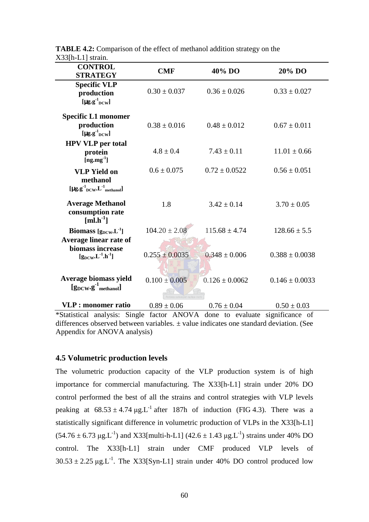| $0$ is what<br><b>CONTROL</b><br><b>STRATEGY</b>                                              | <b>CMF</b>         | 40% DO             | 20% DO             |
|-----------------------------------------------------------------------------------------------|--------------------|--------------------|--------------------|
| <b>Specific VLP</b><br>production<br>[ $\mu$ g.g <sup>-1</sup> <sub>DCW</sub> ]               | $0.30 \pm 0.037$   | $0.36 \pm 0.026$   | $0.33 \pm 0.027$   |
| <b>Specific L1 monomer</b><br>production<br>[ $\mu$ g.g <sup>-1</sup> <sub>DCW</sub> ]        | $0.38 \pm 0.016$   | $0.48 \pm 0.012$   | $0.67 \pm 0.011$   |
| <b>HPV VLP</b> per total<br>protein<br>$[ng.mg-1]$                                            | $4.8 \pm 0.4$      | $7.43 \pm 0.11$    | $11.01 \pm 0.66$   |
| <b>VLP Yield on</b><br>methanol<br>$[\mu g.g^{-1}{}_{\text{DCW}}.L^{-1}{}_{\text{methanol}}]$ | $0.6 \pm 0.075$    | $0.72 \pm 0.0522$  | $0.56 \pm 0.051$   |
| <b>Average Methanol</b><br>consumption rate<br>$[ml.h^{-1}]$                                  | 1.8                | $3.42 \pm 0.14$    | $3.70 \pm 0.05$    |
| Biomass $[g_{DCW}L^{-1}]$                                                                     | $104.20 \pm 2.08$  | $115.68 \pm 4.74$  | $128.66 \pm 5.5$   |
| Average linear rate of<br>biomass increase<br>$[g_{DCW}L^{1}.h^{1}]$                          | $0.255 \pm 0.0035$ | $0.348 \pm 0.006$  | $0.388 \pm 0.0038$ |
| Average biomass yield<br>$[g_{DCW} \cdot g^{-1}]$ methanol                                    | $0.100 \pm 0.005$  | $0.126 \pm 0.0062$ | $0.146 \pm 0.0033$ |
| <b>VLP</b> : monomer ratio                                                                    | $0.89 \pm 0.06$    | $0.76 \pm 0.04$    | $0.50 \pm 0.03$    |

**TABLE 4.2:** Comparison of the effect of methanol addition strategy on the X33[h-L1] strain.

\*Statistical analysis: Single factor ANOVA done to evaluate significance of differences observed between variables.  $\pm$  value indicates one standard deviation. (See Appendix for ANOVA analysis)

# **4.5 Volumetric production levels**

The volumetric production capacity of the VLP production system is of high importance for commercial manufacturing. The X33[h-L1] strain under 20% DO control performed the best of all the strains and control strategies with VLP levels peaking at  $68.53 \pm 4.74 \mu g.L^{-1}$  after 187h of induction (FIG 4.3). There was a statistically significant difference in volumetric production of VLPs in the X33[h-L1]  $(54.76 \pm 6.73 \,\mu$ g.L<sup>-1</sup>) and X33[multi-h-L1]  $(42.6 \pm 1.43 \,\mu$ g.L<sup>-1</sup>) strains under 40% DO control. The X33[h-L1] strain under CMF produced VLP levels of  $30.53 \pm 2.25 \text{ µg}L^{-1}$ . The X33[Syn-L1] strain under 40% DO control produced low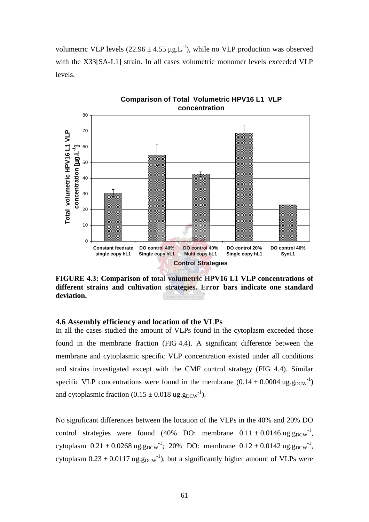volumetric VLP levels  $(22.96 \pm 4.55 \mu g \cdot L^{-1})$ , while no VLP production was observed with the X33[SA-L1] strain. In all cases volumetric monomer levels exceeded VLP levels.



**FIGURE 4.3: Comparison of total volumetric HPV16 L1 VLP concentrations of different strains and cultivation strategies. Error bars indicate one standard deviation.**

#### **4.6 Assembly efficiency and location of the VLPs**

In all the cases studied the amount of VLPs found in the cytoplasm exceeded those found in the membrane fraction (FIG 4.4). A significant difference between the membrane and cytoplasmic specific VLP concentration existed under all conditions and strains investigated except with the CMF control strategy (FIG 4.4). Similar specific VLP concentrations were found in the membrane  $(0.14 \pm 0.0004 \text{ ug.g}_{DCW}^{-1})$ and cytoplasmic fraction  $(0.15 \pm 0.018 \text{ ug.g}_{DCW}^{-1})$ .

No significant differences between the location of the VLPs in the 40% and 20% DO control strategies were found (40% DO: membrane  $0.11 \pm 0.0146$  ug.g<sub>DCW</sub><sup>-1</sup>, cytoplasm  $0.21 \pm 0.0268$  ug.g<sub>DCW</sub><sup>-1</sup>; 20% DO: membrane  $0.12 \pm 0.0142$  ug.g<sub>DCW</sub><sup>-1</sup>, cytoplasm  $0.23 \pm 0.0117$  ug.g<sub>DCW</sub><sup>-1</sup>), but a significantly higher amount of VLPs were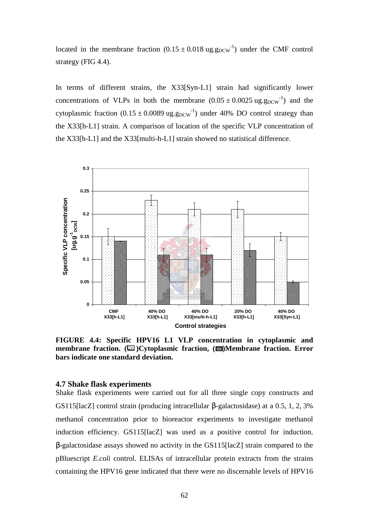located in the membrane fraction  $(0.15 \pm 0.018 \text{ ug. g}_{DCW}^{-1})$  under the CMF control strategy (FIG 4.4).

In terms of different strains, the X33[Syn-L1] strain had significantly lower concentrations of VLPs in both the membrane  $(0.05 \pm 0.0025 \text{ ug.g}_{DCW}^{-1})$  and the cytoplasmic fraction  $(0.15 \pm 0.0089 \text{ ug.g}_{DCW}^{-1})$  under 40% DO control strategy than the X33[h-L1] strain. A comparison of location of the specific VLP concentration of the X33[h-L1] and the X33[multi-h-L1] strain showed no statistical difference.



**FIGURE 4.4: Specific HPV16 L1 VLP concentration in cytoplasmic and membrane fraction.** ( $\Box$ ) Cytoplasmic fraction, ( $\Box$ ) Membrane fraction. Error **bars indicate one standard deviation.**

#### **4.7 Shake flask experiments**

Shake flask experiments were carried out for all three single copy constructs and GS115[lacZ] control strain (producing intracellular β-galactosidase) at a 0.5, 1, 2, 3% methanol concentration prior to bioreactor experiments to investigate methanol induction efficiency. GS115[lacZ] was used as a positive control for induction. β-galactosidase assays showed no activity in the GS115[lacZ] strain compared to the pBluescript *E.coli* control. ELISAs of intracellular protein extracts from the strains containing the HPV16 gene indicated that there were no discernable levels of HPV16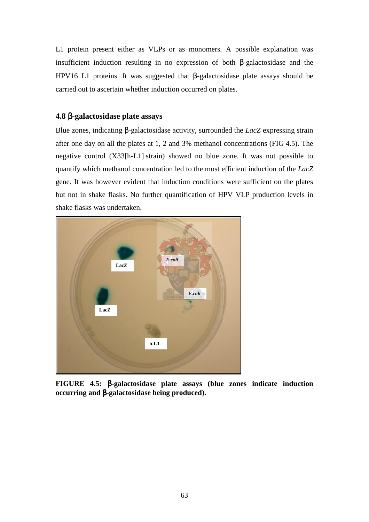L1 protein present either as VLPs or as monomers. A possible explanation was insufficient induction resulting in no expression of both β-galactosidase and the HPV16 L1 proteins. It was suggested that β-galactosidase plate assays should be carried out to ascertain whether induction occurred on plates.

## **4.8** β**-galactosidase plate assays**

Blue zones, indicating β-galactosidase activity, surrounded the *LacZ* expressing strain after one day on all the plates at 1, 2 and 3% methanol concentrations (FIG 4.5). The negative control (X33[h-L1] strain) showed no blue zone. It was not possible to quantify which methanol concentration led to the most efficient induction of the *LacZ* gene. It was however evident that induction conditions were sufficient on the plates but not in shake flasks. No further quantification of HPV VLP production levels in shake flasks was undertaken.



**FIGURE 4.5:** β**-galactosidase plate assays (blue zones indicate induction occurring and** β**-galactosidase being produced).**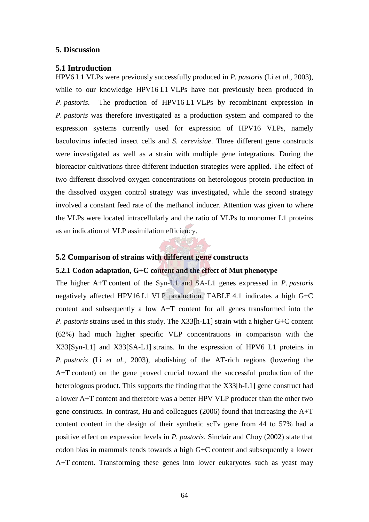#### **5. Discussion**

#### **5.1 Introduction**

HPV6 L1 VLPs were previously successfully produced in *P. pastoris* (Li *et al.,* 2003), while to our knowledge HPV16 L1 VLPs have not previously been produced in *P. pastoris*. The production of HPV16 L1 VLPs by recombinant expression in *P. pastoris* was therefore investigated as a production system and compared to the expression systems currently used for expression of HPV16 VLPs, namely baculovirus infected insect cells and *S. cerevisiae*. Three different gene constructs were investigated as well as a strain with multiple gene integrations. During the bioreactor cultivations three different induction strategies were applied. The effect of two different dissolved oxygen concentrations on heterologous protein production in the dissolved oxygen control strategy was investigated, while the second strategy involved a constant feed rate of the methanol inducer. Attention was given to where the VLPs were located intracellularly and the ratio of VLPs to monomer L1 proteins as an indication of VLP assimilation efficiency.

## **5.2 Comparison of strains with different gene constructs**

## **5.2.1 Codon adaptation, G+C content and the effect of Mut phenotype**

The higher A+T content of the Syn-L1 and SA-L1 genes expressed in *P. pastoris* negatively affected HPV16 L1 VLP production. TABLE 4.1 indicates a high G+C content and subsequently a low A+T content for all genes transformed into the *P. pastoris* strains used in this study. The X33[h-L1] strain with a higher G+C content (62%) had much higher specific VLP concentrations in comparison with the X33[Syn-L1] and X33[SA-L1] strains. In the expression of HPV6 L1 proteins in *P. pastoris* (Li *et al.,* 2003), abolishing of the AT-rich regions (lowering the A+T content) on the gene proved crucial toward the successful production of the heterologous product. This supports the finding that the X33[h-L1] gene construct had a lower A+T content and therefore was a better HPV VLP producer than the other two gene constructs. In contrast, Hu and colleagues (2006) found that increasing the A+T content content in the design of their synthetic scFv gene from 44 to 57% had a positive effect on expression levels in *P. pastoris*. Sinclair and Choy (2002) state that codon bias in mammals tends towards a high G+C content and subsequently a lower A+T content. Transforming these genes into lower eukaryotes such as yeast may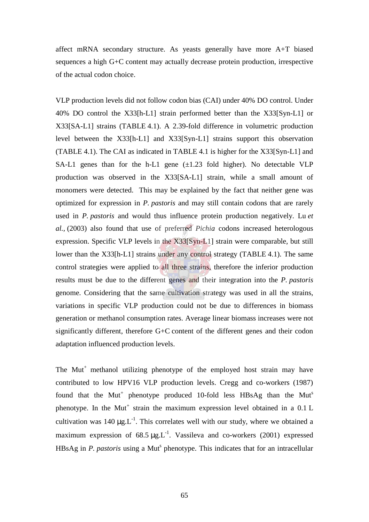affect mRNA secondary structure. As yeasts generally have more A+T biased sequences a high G+C content may actually decrease protein production, irrespective of the actual codon choice.

VLP production levels did not follow codon bias (CAI) under 40% DO control. Under 40% DO control the X33[h-L1] strain performed better than the X33[Syn-L1] or X33[SA-L1] strains (TABLE 4.1). A 2.39-fold difference in volumetric production level between the X33[h-L1] and X33[Syn-L1] strains support this observation (TABLE 4.1). The CAI as indicated in TABLE 4.1 is higher for the X33[Syn-L1] and SA-L1 genes than for the h-L1 gene  $(\pm 1.23 \text{ fold higher})$ . No detectable VLP production was observed in the X33[SA-L1] strain, while a small amount of monomers were detected. This may be explained by the fact that neither gene was optimized for expression in *P. pastoris* and may still contain codons that are rarely used in *P. pastoris* and would thus influence protein production negatively. Lu *et al.,* (2003) also found that use of preferred *Pichia* codons increased heterologous expression. Specific VLP levels in the X33[Syn-L1] strain were comparable, but still lower than the X33[h-L1] strains under any control strategy (TABLE 4.1). The same control strategies were applied to all three strains, therefore the inferior production results must be due to the different genes and their integration into the *P. pastoris* genome. Considering that the same cultivation strategy was used in all the strains, variations in specific VLP production could not be due to differences in biomass generation or methanol consumption rates. Average linear biomass increases were not significantly different, therefore G+C content of the different genes and their codon adaptation influenced production levels.

The  $\text{Mut}^+$  methanol utilizing phenotype of the employed host strain may have contributed to low HPV16 VLP production levels. Cregg and co-workers (1987) found that the Mut<sup>+</sup> phenotype produced 10-fold less HBsAg than the Mut<sup>s</sup> phenotype. In the Mut<sup>+</sup> strain the maximum expression level obtained in a  $0.1$  L cultivation was 140  $\mu$ g.L<sup>-1</sup>. This correlates well with our study, where we obtained a maximum expression of  $68.5 \mu g L^{-1}$ . Vassileva and co-workers (2001) expressed HBsAg in *P. pastoris* using a Mut<sup>s</sup> phenotype. This indicates that for an intracellular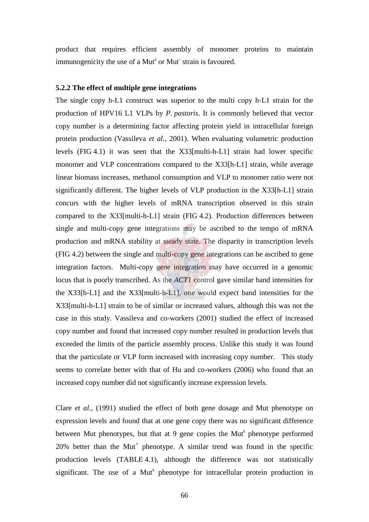product that requires efficient assembly of monomer proteins to maintain immunogenicity the use of a Mut<sup>s</sup> or Mut strain is favoured.

#### **5.2.2 The effect of multiple gene integrations**

The single copy h-L1 construct was superior to the multi copy h-L1 strain for the production of HPV16 L1 VLPs by *P. pastoris*. It is commonly believed that vector copy number is a determining factor affecting protein yield in intracellular foreign protein production (Vassileva *et al.,* 2001). When evaluating volumetric production levels (FIG 4.1) it was seen that the X33[multi-h-L1] strain had lower specific monomer and VLP concentrations compared to the X33[h-L1] strain, while average linear biomass increases, methanol consumption and VLP to monomer ratio were not significantly different. The higher levels of VLP production in the X33[h-L1] strain concurs with the higher levels of mRNA transcription observed in this strain compared to the X33[multi-h-L1] strain (FIG 4.2). Production differences between single and multi-copy gene integrations may be ascribed to the tempo of mRNA production and mRNA stability at steady state. The disparity in transcription levels (FIG 4.2) between the single and multi-copy gene integrations can be ascribed to gene integration factors. Multi-copy gene integration may have occurred in a genomic locus that is poorly transcribed. As the *ACT1* control gave similar band intensities for the X33[h-L1] and the X33[multi-h-L1], one would expect band intensities for the X33[multi-h-L1] strain to be of similar or increased values, although this was not the case in this study. Vassileva and co-workers (2001) studied the effect of increased copy number and found that increased copy number resulted in production levels that exceeded the limits of the particle assembly process. Unlike this study it was found that the particulate or VLP form increased with increasing copy number. This study seems to correlate better with that of Hu and co-workers (2006) who found that an increased copy number did not significantly increase expression levels.

Clare *et al.,* (1991) studied the effect of both gene dosage and Mut phenotype on expression levels and found that at one gene copy there was no significant difference between Mut phenotypes, but that at 9 gene copies the Mut<sup>s</sup> phenotype performed  $20\%$  better than the Mut<sup>+</sup> phenotype. A similar trend was found in the specific production levels (TABLE 4.1), although the difference was not statistically significant. The use of a Mut<sup>s</sup> phenotype for intracellular protein production in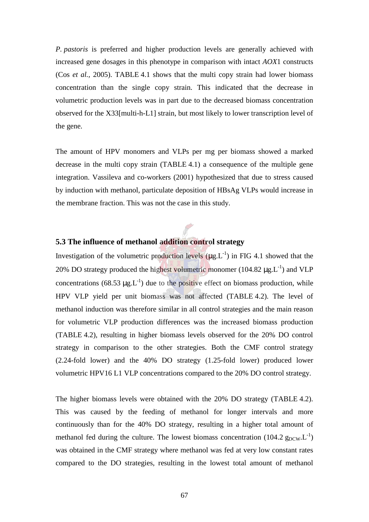*P. pastoris* is preferred and higher production levels are generally achieved with increased gene dosages in this phenotype in comparison with intact *AOX*1 constructs (Cos *et al.,* 2005). TABLE 4.1 shows that the multi copy strain had lower biomass concentration than the single copy strain. This indicated that the decrease in volumetric production levels was in part due to the decreased biomass concentration observed for the X33[multi-h-L1] strain, but most likely to lower transcription level of the gene.

The amount of HPV monomers and VLPs per mg per biomass showed a marked decrease in the multi copy strain (TABLE 4.1) a consequence of the multiple gene integration. Vassileva and co-workers (2001) hypothesized that due to stress caused by induction with methanol, particulate deposition of HBsAg VLPs would increase in the membrane fraction. This was not the case in this study.

## **5.3 The influence of methanol addition control strategy**

Investigation of the volumetric production levels  $(\mu g.L^{-1})$  in FIG 4.1 showed that the 20% DO strategy produced the highest volumetric monomer  $(104.82 \mu g.L^{-1})$  and VLP concentrations (68.53  $\mu$ g.L<sup>-1</sup>) due to the positive effect on biomass production, while HPV VLP yield per unit biomass was not affected (TABLE 4.2). The level of methanol induction was therefore similar in all control strategies and the main reason for volumetric VLP production differences was the increased biomass production (TABLE 4.2), resulting in higher biomass levels observed for the 20% DO control strategy in comparison to the other strategies. Both the CMF control strategy (2.24-fold lower) and the 40% DO strategy (1.25-fold lower) produced lower volumetric HPV16 L1 VLP concentrations compared to the 20% DO control strategy.

The higher biomass levels were obtained with the 20% DO strategy (TABLE 4.2). This was caused by the feeding of methanol for longer intervals and more continuously than for the 40% DO strategy, resulting in a higher total amount of methanol fed during the culture. The lowest biomass concentration (104.2  $g_{DCW}L^{-1}$ ) was obtained in the CMF strategy where methanol was fed at very low constant rates compared to the DO strategies, resulting in the lowest total amount of methanol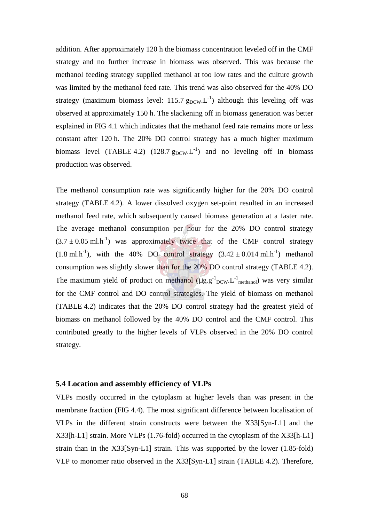addition. After approximately 120 h the biomass concentration leveled off in the CMF strategy and no further increase in biomass was observed. This was because the methanol feeding strategy supplied methanol at too low rates and the culture growth was limited by the methanol feed rate. This trend was also observed for the 40% DO strategy (maximum biomass level: 115.7  $g_{DCW}L^{-1}$ ) although this leveling off was observed at approximately 150 h. The slackening off in biomass generation was better explained in FIG 4.1 which indicates that the methanol feed rate remains more or less constant after 120 h. The 20% DO control strategy has a much higher maximum biomass level (TABLE 4.2) (128.7  $g_{DCW}$ , L<sup>-1</sup>) and no leveling off in biomass production was observed.

The methanol consumption rate was significantly higher for the 20% DO control strategy (TABLE 4.2). A lower dissolved oxygen set-point resulted in an increased methanol feed rate, which subsequently caused biomass generation at a faster rate. The average methanol consumption per hour for the 20% DO control strategy  $(3.7 \pm 0.05 \text{ ml} \cdot \text{h}^{-1})$  was approximately twice that of the CMF control strategy  $(1.8 \text{ ml.h}^{-1})$ , with the 40% DO control strategy  $(3.42 \pm 0.014 \text{ ml.h}^{-1})$  methanol consumption was slightly slower than for the 20% DO control strategy (TABLE 4.2). The maximum yield of product on methanol  $(\mu g. g^{-1}_{DCW}. L^{-1}_{methanol})$  was very similar for the CMF control and DO control strategies. The yield of biomass on methanol (TABLE 4.2) indicates that the 20% DO control strategy had the greatest yield of biomass on methanol followed by the 40% DO control and the CMF control. This contributed greatly to the higher levels of VLPs observed in the 20% DO control strategy.

### **5.4 Location and assembly efficiency of VLPs**

VLPs mostly occurred in the cytoplasm at higher levels than was present in the membrane fraction (FIG 4.4). The most significant difference between localisation of VLPs in the different strain constructs were between the X33[Syn-L1] and the X33[h-L1] strain. More VLPs (1.76-fold) occurred in the cytoplasm of the X33[h-L1] strain than in the X33[Syn-L1] strain. This was supported by the lower (1.85-fold) VLP to monomer ratio observed in the X33[Syn-L1] strain (TABLE 4.2). Therefore,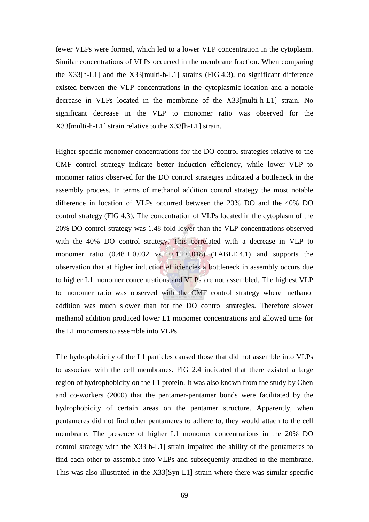fewer VLPs were formed, which led to a lower VLP concentration in the cytoplasm. Similar concentrations of VLPs occurred in the membrane fraction. When comparing the X33[h-L1] and the X33[multi-h-L1] strains (FIG 4.3), no significant difference existed between the VLP concentrations in the cytoplasmic location and a notable decrease in VLPs located in the membrane of the X33[multi-h-L1] strain. No significant decrease in the VLP to monomer ratio was observed for the X33[multi-h-L1] strain relative to the X33[h-L1] strain.

Higher specific monomer concentrations for the DO control strategies relative to the CMF control strategy indicate better induction efficiency, while lower VLP to monomer ratios observed for the DO control strategies indicated a bottleneck in the assembly process. In terms of methanol addition control strategy the most notable difference in location of VLPs occurred between the 20% DO and the 40% DO control strategy (FIG 4.3). The concentration of VLPs located in the cytoplasm of the 20% DO control strategy was 1.48-fold lower than the VLP concentrations observed with the 40% DO control strategy. This correlated with a decrease in VLP to monomer ratio  $(0.48 \pm 0.032 \text{ vs. } 0.4 \pm 0.018)$  (TABLE 4.1) and supports the observation that at higher induction efficiencies a bottleneck in assembly occurs due to higher L1 monomer concentrations and VLPs are not assembled. The highest VLP to monomer ratio was observed with the CMF control strategy where methanol addition was much slower than for the DO control strategies. Therefore slower methanol addition produced lower L1 monomer concentrations and allowed time for the L1 monomers to assemble into VLPs.

The hydrophobicity of the L1 particles caused those that did not assemble into VLPs to associate with the cell membranes. FIG 2.4 indicated that there existed a large region of hydrophobicity on the L1 protein. It was also known from the study by Chen and co-workers (2000) that the pentamer-pentamer bonds were facilitated by the hydrophobicity of certain areas on the pentamer structure. Apparently, when pentameres did not find other pentameres to adhere to, they would attach to the cell membrane. The presence of higher L1 monomer concentrations in the 20% DO control strategy with the X33[h-L1] strain impaired the ability of the pentameres to find each other to assemble into VLPs and subsequently attached to the membrane. This was also illustrated in the X33[Syn-L1] strain where there was similar specific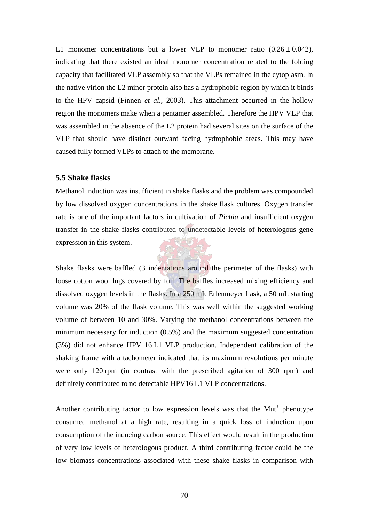L1 monomer concentrations but a lower VLP to monomer ratio  $(0.26 \pm 0.042)$ , indicating that there existed an ideal monomer concentration related to the folding capacity that facilitated VLP assembly so that the VLPs remained in the cytoplasm. In the native virion the L2 minor protein also has a hydrophobic region by which it binds to the HPV capsid (Finnen *et al.,* 2003). This attachment occurred in the hollow region the monomers make when a pentamer assembled. Therefore the HPV VLP that was assembled in the absence of the L2 protein had several sites on the surface of the VLP that should have distinct outward facing hydrophobic areas. This may have caused fully formed VLPs to attach to the membrane.

#### **5.5 Shake flasks**

Methanol induction was insufficient in shake flasks and the problem was compounded by low dissolved oxygen concentrations in the shake flask cultures. Oxygen transfer rate is one of the important factors in cultivation of *Pichia* and insufficient oxygen transfer in the shake flasks contributed to undetectable levels of heterologous gene expression in this system.

Shake flasks were baffled (3 indentations around the perimeter of the flasks) with loose cotton wool lugs covered by foil. The baffles increased mixing efficiency and dissolved oxygen levels in the flasks. In a 250 mL Erlenmeyer flask, a 50 mL starting volume was 20% of the flask volume. This was well within the suggested working volume of between 10 and 30%. Varying the methanol concentrations between the minimum necessary for induction (0.5%) and the maximum suggested concentration (3%) did not enhance HPV 16 L1 VLP production. Independent calibration of the shaking frame with a tachometer indicated that its maximum revolutions per minute were only 120 rpm (in contrast with the prescribed agitation of 300 rpm) and definitely contributed to no detectable HPV16 L1 VLP concentrations.

Another contributing factor to low expression levels was that the  $\text{Mut}^+$  phenotype consumed methanol at a high rate, resulting in a quick loss of induction upon consumption of the inducing carbon source. This effect would result in the production of very low levels of heterologous product. A third contributing factor could be the low biomass concentrations associated with these shake flasks in comparison with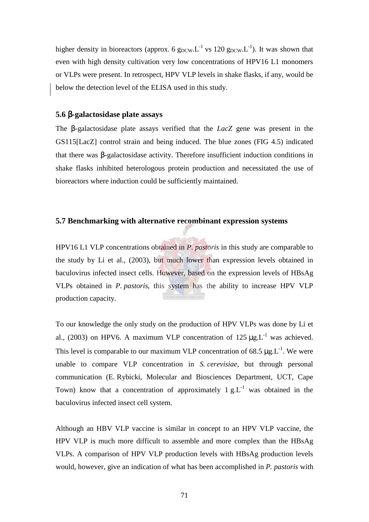higher density in bioreactors (approx. 6  $g_{DCW}L^{-1}$  vs 120  $g_{DCW}L^{-1}$ ). It was shown that even with high density cultivation very low concentrations of HPV16 L1 monomers or VLPs were present. In retrospect, HPV VLP levels in shake flasks, if any, would be below the detection level of the ELISA used in this study.

#### **5.6** β**-galactosidase plate assays**

The β-galactosidase plate assays verified that the *LacZ* gene was present in the GS115[LacZ] control strain and being induced. The blue zones (FIG 4.5) indicated that there was β-galactosidase activity. Therefore insufficient induction conditions in shake flasks inhibited heterologous protein production and necessitated the use of bioreactors where induction could be sufficiently maintained.

### **5.7 Benchmarking with alternative recombinant expression systems**

HPV16 L1 VLP concentrations obtained in *P. pastoris* in this study are comparable to the study by Li et al., (2003), but much lower than expression levels obtained in baculovirus infected insect cells. However, based on the expression levels of HBsAg VLPs obtained in *P. pastoris*, this system has the ability to increase HPV VLP production capacity.

To our knowledge the only study on the production of HPV VLPs was done by Li et al., (2003) on HPV6. A maximum VLP concentration of  $125 \text{ µg.L}^{-1}$  was achieved. This level is comparable to our maximum VLP concentration of 68.5  $\mu$ g.L<sup>-1</sup>. We were unable to compare VLP concentration in *S. cerevisiae*, but through personal communication (E. Rybicki, Molecular and Biosciences Department, UCT, Cape Town) know that a concentration of approximately  $1 g.L^{-1}$  was obtained in the baculovirus infected insect cell system.

Although an HBV VLP vaccine is similar in concept to an HPV VLP vaccine, the HPV VLP is much more difficult to assemble and more complex than the HBsAg VLPs. A comparison of HPV VLP production levels with HBsAg production levels would, however, give an indication of what has been accomplished in *P. pastoris* with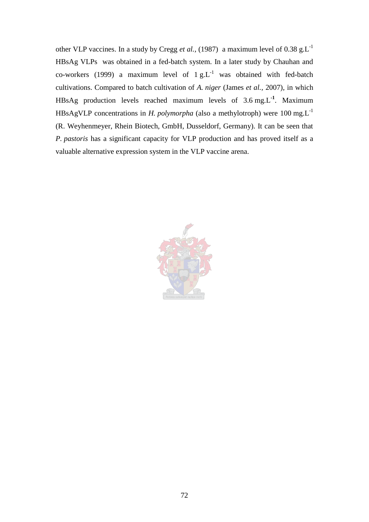other VLP vaccines. In a study by Cregg *et al.*, (1987) a maximum level of 0.38 g.L<sup>-1</sup> HBsAg VLPs was obtained in a fed-batch system. In a later study by Chauhan and co-workers (1999) a maximum level of  $1 g.L^{-1}$  was obtained with fed-batch cultivations. Compared to batch cultivation of *A. niger* (James *et al.,* 2007)*,* in which HBsAg production levels reached maximum levels of 3.6 mg.L**-1**. Maximum HBsAgVLP concentrations in *H. polymorpha* (also a methylotroph) were 100 mg.L-1 (R. Weyhenmeyer, Rhein Biotech, GmbH, Dusseldorf, Germany). It can be seen that *P. pastoris* has a significant capacity for VLP production and has proved itself as a valuable alternative expression system in the VLP vaccine arena.

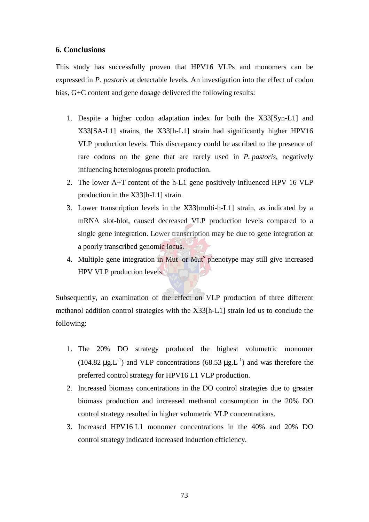## **6. Conclusions**

This study has successfully proven that HPV16 VLPs and monomers can be expressed in *P. pastoris* at detectable levels. An investigation into the effect of codon bias, G+C content and gene dosage delivered the following results:

- 1. Despite a higher codon adaptation index for both the X33[Syn-L1] and X33[SA-L1] strains, the X33[h-L1] strain had significantly higher HPV16 VLP production levels. This discrepancy could be ascribed to the presence of rare codons on the gene that are rarely used in *P. pastoris,* negatively influencing heterologous protein production.
- 2. The lower A+T content of the h-L1 gene positively influenced HPV 16 VLP production in the X33[h-L1] strain.
- 3. Lower transcription levels in the X33[multi-h-L1] strain, as indicated by a mRNA slot-blot, caused decreased VLP production levels compared to a single gene integration. Lower transcription may be due to gene integration at a poorly transcribed genomic locus.
- 4. Multiple gene integration in Mut<sup>-</sup> or Mut<sup>s</sup> phenotype may still give increased HPV VLP production levels.

Subsequently, an examination of the effect on VLP production of three different methanol addition control strategies with the X33[h-L1] strain led us to conclude the following:

- 1. The 20% DO strategy produced the highest volumetric monomer  $(104.82 \mu g.L^{-1})$  and VLP concentrations  $(68.53 \mu g.L^{-1})$  and was therefore the preferred control strategy for HPV16 L1 VLP production.
- 2. Increased biomass concentrations in the DO control strategies due to greater biomass production and increased methanol consumption in the 20% DO control strategy resulted in higher volumetric VLP concentrations.
- 3. Increased HPV16 L1 monomer concentrations in the 40% and 20% DO control strategy indicated increased induction efficiency.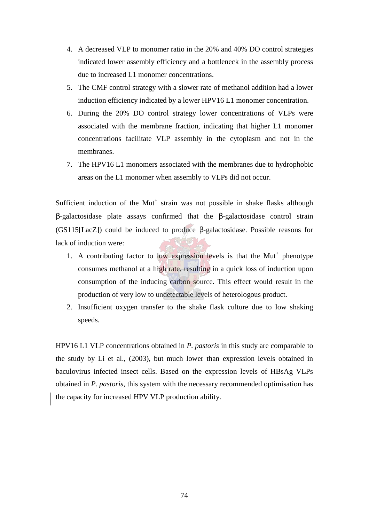- 4. A decreased VLP to monomer ratio in the 20% and 40% DO control strategies indicated lower assembly efficiency and a bottleneck in the assembly process due to increased L1 monomer concentrations.
- 5. The CMF control strategy with a slower rate of methanol addition had a lower induction efficiency indicated by a lower HPV16 L1 monomer concentration.
- 6. During the 20% DO control strategy lower concentrations of VLPs were associated with the membrane fraction, indicating that higher L1 monomer concentrations facilitate VLP assembly in the cytoplasm and not in the membranes.
- 7. The HPV16 L1 monomers associated with the membranes due to hydrophobic areas on the L1 monomer when assembly to VLPs did not occur.

Sufficient induction of the Mut<sup>+</sup> strain was not possible in shake flasks although β-galactosidase plate assays confirmed that the β-galactosidase control strain (GS115[LacZ]) could be induced to produce β-galactosidase. Possible reasons for lack of induction were:

- 1. A contributing factor to low expression levels is that the  $\text{Mut}^+$  phenotype consumes methanol at a high rate, resulting in a quick loss of induction upon consumption of the inducing carbon source. This effect would result in the production of very low to undetectable levels of heterologous product.
- 2. Insufficient oxygen transfer to the shake flask culture due to low shaking speeds.

HPV16 L1 VLP concentrations obtained in *P. pastoris* in this study are comparable to the study by Li et al., (2003), but much lower than expression levels obtained in baculovirus infected insect cells. Based on the expression levels of HBsAg VLPs obtained in *P. pastoris*, this system with the necessary recommended optimisation has the capacity for increased HPV VLP production ability.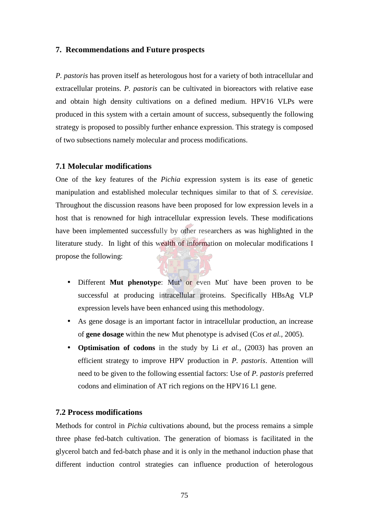### **7. Recommendations and Future prospects**

*P. pastoris* has proven itself as heterologous host for a variety of both intracellular and extracellular proteins. *P. pastoris* can be cultivated in bioreactors with relative ease and obtain high density cultivations on a defined medium. HPV16 VLPs were produced in this system with a certain amount of success, subsequently the following strategy is proposed to possibly further enhance expression. This strategy is composed of two subsections namely molecular and process modifications.

### **7.1 Molecular modifications**

One of the key features of the *Pichia* expression system is its ease of genetic manipulation and established molecular techniques similar to that of *S. cerevisiae*. Throughout the discussion reasons have been proposed for low expression levels in a host that is renowned for high intracellular expression levels. These modifications have been implemented successfully by other researchers as was highlighted in the literature study. In light of this wealth of information on molecular modifications I propose the following:

- Different Mut phenotype: Mut<sup>s</sup> or even Mut have been proven to be successful at producing intracellular proteins. Specifically HBsAg VLP expression levels have been enhanced using this methodology.
- As gene dosage is an important factor in intracellular production, an increase of **gene dosage** within the new Mut phenotype is advised (Cos *et al.,* 2005).
- **Optimisation of codons** in the study by Li *et al.,* (2003) has proven an efficient strategy to improve HPV production in *P. pastoris*. Attention will need to be given to the following essential factors: Use of *P. pastoris* preferred codons and elimination of AT rich regions on the HPV16 L1 gene.

## **7.2 Process modifications**

Methods for control in *Pichia* cultivations abound, but the process remains a simple three phase fed-batch cultivation. The generation of biomass is facilitated in the glycerol batch and fed-batch phase and it is only in the methanol induction phase that different induction control strategies can influence production of heterologous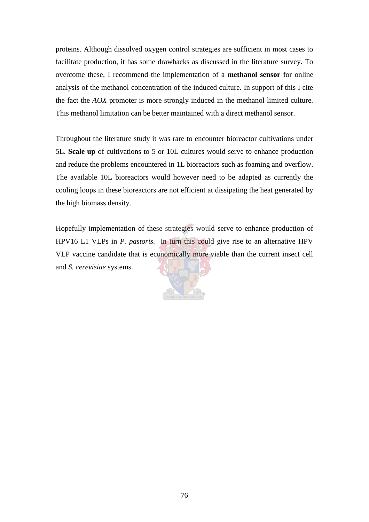proteins. Although dissolved oxygen control strategies are sufficient in most cases to facilitate production, it has some drawbacks as discussed in the literature survey. To overcome these, I recommend the implementation of a **methanol sensor** for online analysis of the methanol concentration of the induced culture. In support of this I cite the fact the *AOX* promoter is more strongly induced in the methanol limited culture. This methanol limitation can be better maintained with a direct methanol sensor.

Throughout the literature study it was rare to encounter bioreactor cultivations under 5L. **Scale up** of cultivations to 5 or 10L cultures would serve to enhance production and reduce the problems encountered in 1L bioreactors such as foaming and overflow. The available 10L bioreactors would however need to be adapted as currently the cooling loops in these bioreactors are not efficient at dissipating the heat generated by the high biomass density.

Hopefully implementation of these strategies would serve to enhance production of HPV16 L1 VLPs in *P. pastoris*. In turn this could give rise to an alternative HPV VLP vaccine candidate that is economically more viable than the current insect cell and *S. cerevisiae* systems.

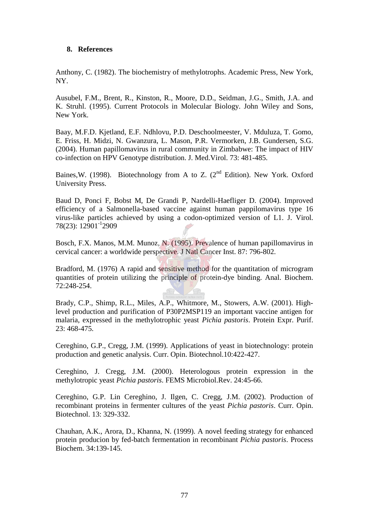## **8. References**

Anthony, C. (1982). The biochemistry of methylotrophs. Academic Press, New York, NY.

Ausubel, F.M., Brent, R., Kinston, R., Moore, D.D., Seidman, J.G., Smith, J.A. and K. Struhl. (1995). Current Protocols in Molecular Biology. John Wiley and Sons, New York.

Baay, M.F.D. Kjetland, E.F. Ndhlovu, P.D. Deschoolmeester, V. Mduluza, T. Gomo, E. Friss, H. Midzi, N. Gwanzura, L. Mason, P.R. Vermorken, J.B. Gundersen, S.G. (2004). Human papillomavirus in rural community in Zimbabwe: The impact of HIV co-infection on HPV Genotype distribution. J. Med.Virol. 73: 481-485.

Baines, W. (1998). Biotechnology from A to Z.  $(2^{nd}$  Edition). New York. Oxford University Press.

Baud D, Ponci F, Bobst M, De Grandi P, Nardelli-Haefliger D. (2004). Improved efficiency of a Salmonella-based vaccine against human pappilomavirus type 16 virus-like particles achieved by using a codon-optimized version of L1. J. Virol. 78(23): 12901-12909

Bosch, F.X. Manos, M.M. Munoz, N. (1995). Prevalence of human papillomavirus in cervical cancer: a worldwide perspective. J Natl Cancer Inst. 87: 796-802.

Bradford, M. (1976) A rapid and sensitive method for the quantitation of microgram quantities of protein utilizing the principle of protein-dye binding. Anal. Biochem. 72:248-254.

Brady, C.P., Shimp, R.L., Miles, A.P., Whitmore, M., Stowers, A.W. (2001). Highlevel production and purification of P30P2MSP119 an important vaccine antigen for malaria, expressed in the methylotrophic yeast *Pichia pastoris*. Protein Expr. Purif. 23: 468-475.

Cereghino, G.P., Cregg, J.M. (1999). Applications of yeast in biotechnology: protein production and genetic analysis. Curr. Opin. Biotechnol.10:422-427.

Cereghino, J. Cregg, J.M. (2000). Heterologous protein expression in the methylotropic yeast *Pichia pastoris*. FEMS Microbiol.Rev. 24:45-66.

Cereghino, G.P. Lin Cereghino, J. Ilgen, C. Cregg, J.M. (2002). Production of recombinant proteins in fermenter cultures of the yeast *Pichia pastoris*. Curr. Opin. Biotechnol. 13: 329-332.

Chauhan, A.K., Arora, D., Khanna, N. (1999). A novel feeding strategy for enhanced protein producion by fed-batch fermentation in recombinant *Pichia pastoris*. Process Biochem. 34:139-145.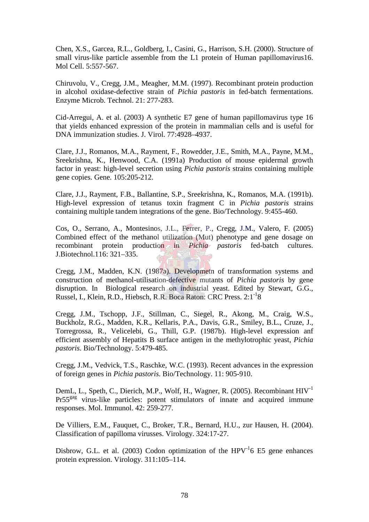Chen, X.S., Garcea, R.L., Goldberg, I., Casini, G., Harrison, S.H. (2000). Structure of small virus-like particle assemble from the L1 protein of Human papillomavirus16. Mol Cell. 5:557-567.

Chiruvolu, V., Cregg, J.M., Meagher, M.M. (1997). Recombinant protein production in alcohol oxidase-defective strain of *Pichia pastoris* in fed-batch fermentations. Enzyme Microb. Technol. 21: 277-283.

Cid-Arregui, A. et al. (2003) A synthetic E7 gene of human papillomavirus type 16 that yields enhanced expression of the protein in mammalian cells and is useful for DNA immunization studies. J. Virol. 77:4928–4937.

Clare, J.J., Romanos, M.A., Rayment, F., Rowedder, J.E., Smith, M.A., Payne, M.M., Sreekrishna, K., Henwood, C.A. (1991a) Production of mouse epidermal growth factor in yeast: high-level secretion using *Pichia pastoris* strains containing multiple gene copies. Gene. 105:205-212.

Clare, J.J., Rayment, F.B., Ballantine, S.P., Sreekrishna, K., Romanos, M.A. (1991b). High-level expression of tetanus toxin fragment C in *Pichia pastoris* strains containing multiple tandem integrations of the gene. Bio/Technology. 9:455-460.

Cos, O., Serrano, A., Montesinos, J.L., Ferrer, P., Cregg, J.M., Valero, F. (2005) Combined effect of the methanol utilization (Mut) phenotype and gene dosage on recombinant protein production in *Pichia pastoris* fed-batch cultures. J.Biotechnol.116: 321–335.

Cregg, J.M., Madden, K.N. (1987a). Developmetn of transformation systems and construction of methanol-utilisation-defective mutants of *Pichia pastoris* by gene disruption. In Biological research on industrial yeast. Edited by Stewart, G.G., Russel, I., Klein, R.D., Hiebsch, R.R. Boca Raton: CRC Press. 2:1-18

Cregg, J.M., Tschopp, J.F., Stillman, C., Siegel, R., Akong, M., Craig, W.S., Buckholz, R.G., Madden, K.R., Kellaris, P.A., Davis, G.R., Smiley, B.L., Cruze, J., Torregrossa, R., Velicelebi, G., Thill, G.P. (1987b). High-level expression anf efficient assembly of Hepatits B surface antigen in the methylotrophic yeast, *Pichia pastoris*. Bio/Technology. 5:479-485.

Cregg, J.M., Vedvick, T.S., Raschke, W.C. (1993). Recent advances in the expression of foreign genes in *Pichia pastoris*. Bio/Technology. 11: 905-910.

DemL, L., Speth, C., Dierich, M.P., Wolf, H., Wagner, R. (2005). Recombinant HIV-1 Pr55gag virus-like particles: potent stimulators of innate and acquired immune responses. Mol. Immunol. 42: 259-277.

De Villiers, E.M., Fauquet, C., Broker, T.R., Bernard, H.U., zur Hausen, H. (2004). Classification of papilloma virusses. Virology. 324:17-27.

Disbrow, G.L. et al. (2003) Codon optimization of the  $HPV<sup>-1</sup>6$  E5 gene enhances protein expression. Virology. 311:105–114.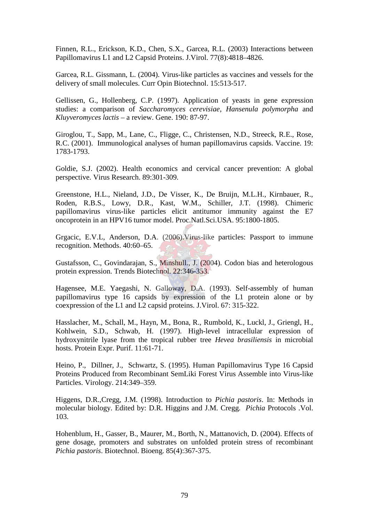Finnen, R.L., Erickson, K.D., Chen, S.X., Garcea, R.L. (2003) Interactions between Papillomavirus L1 and L2 Capsid Proteins. J.Virol. 77(8):4818–4826.

Garcea, R.L. Gissmann, L. (2004). Virus-like particles as vaccines and vessels for the delivery of small molecules. Curr Opin Biotechnol. 15:513-517.

Gellissen, G., Hollenberg, C.P. (1997). Application of yeasts in gene expression studies: a comparison of *Saccharomyces cerevisiae*, *Hansenula polymorpha* and *Kluyveromyces lactis* – a review. Gene. 190: 87-97.

Giroglou, T., Sapp, M., Lane, C., Fligge, C., Christensen, N.D., Streeck, R.E., Rose, R.C. (2001). Immunological analyses of human papillomavirus capsids. Vaccine. 19: 1783-1793.

Goldie, S.J. (2002). Health economics and cervical cancer prevention: A global perspective. Virus Research. 89:301-309.

Greenstone, H.L., Nieland, J.D., De Visser, K., De Bruijn, M.L.H., Kirnbauer, R., Roden, R.B.S., Lowy, D.R., Kast, W.M., Schiller, J.T. (1998). Chimeric papillomavirus virus-like particles elicit antitumor immunity against the E7 oncoprotein in an HPV16 tumor model. Proc.Natl.Sci.USA. 95:1800-1805.

Grgacic, E.V.L, Anderson, D.A. (2006).Virus-like particles: Passport to immune recognition. Methods. 40:60–65.

Gustafsson, C., Govindarajan, S., Minshull., J. (2004). Codon bias and heterologous protein expression. Trends Biotechnol. 22:346-353.

Hagensee, M.E. Yaegashi, N. Galloway, D.A. (1993). Self-assembly of human papillomavirus type 16 capsids by expression of the L1 protein alone or by coexpression of the L1 and L2 capsid proteins. J.Virol. 67: 315-322.

Hasslacher, M., Schall, M., Hayn, M., Bona, R., Rumbold, K., Luckl, J., Griengl, H., Kohlwein, S.D., Schwab, H. (1997). High-level intracellular expression of hydroxynitrile lyase from the tropical rubber tree *Hevea brasiliensis* in microbial hosts. Protein Expr. Purif. 11:61-71.

Heino, P., Dillner, J., Schwartz, S. (1995). Human Papillomavirus Type 16 Capsid Proteins Produced from Recombinant SemLiki Forest Virus Assemble into Virus-like Particles. Virology. 214:349–359.

Higgens, D.R.,Cregg, J.M. (1998). Introduction to *Pichia pastoris*. In: Methods in molecular biology. Edited by: D.R. Higgins and J.M. Cregg. *Pichia* Protocols .Vol. 103.

Hohenblum, H., Gasser, B., Maurer, M., Borth, N., Mattanovich, D. (2004). Effects of gene dosage, promoters and substrates on unfolded protein stress of recombinant *Pichia pastoris*. Biotechnol. Bioeng. 85(4):367-375.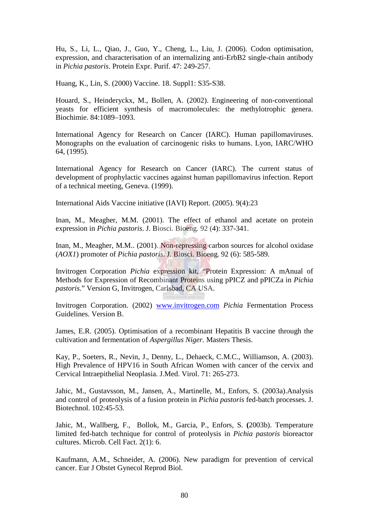Hu, S., Li, L., Qiao, J., Guo, Y., Cheng, L., Liu, J. (2006). Codon optimisation, expression, and characterisation of an internalizing anti-ErbB2 single-chain antibody in *Pichia pastoris*. Protein Expr. Purif. 47: 249-257.

Huang, K., Lin, S. (2000) Vaccine. 18. Suppl1: S35-S38.

Houard, S., Heinderyckx, M., Bollen, A. (2002). Engineering of non-conventional yeasts for efficient synthesis of macromolecules: the methylotrophic genera. Biochimie. 84:1089–1093.

International Agency for Research on Cancer (IARC). Human papillomaviruses. Monographs on the evaluation of carcinogenic risks to humans. Lyon, IARC/WHO 64, (1995).

International Agency for Research on Cancer (IARC). The current status of development of prophylactic vaccines against human papillomavirus infection. Report of a technical meeting, Geneva. (1999).

International Aids Vaccine initiative (IAVI) Report. (2005). 9(4):23

Inan, M., Meagher, M.M. (2001). The effect of ethanol and acetate on protein expression in *Pichia pastoris*. J. Biosci. Bioeng. 92 (4): 337-341.

Inan, M., Meagher, M.M.. (2001). Non-repressing carbon sources for alcohol oxidase (*AOX1*) promoter of *Pichia pastoris*. J. Biosci. Bioeng. 92 (6): 585-589.

Invitrogen Corporation *Pichia* expression kit, "Protein Expression: A mAnual of Methods for Expression of Recombinant Proteins using pPICZ and pPICZa in *Pichia pastoris*." Version G, Invitrogen, Carlsbad, CA USA.

Invitrogen Corporation. (2002) www.invitrogen.com *Pichia* Fermentation Process Guidelines. Version B.

James, E.R. (2005). Optimisation of a recombinant Hepatitis B vaccine through the cultivation and fermentation of *Aspergillus Niger.* Masters Thesis.

Kay, P., Soeters, R., Nevin, J., Denny, L., Dehaeck, C.M.C., Williamson, A. (2003). High Prevalence of HPV16 in South African Women with cancer of the cervix and Cervical Intraepithelial Neoplasia. J.Med. Virol. 71: 265-273.

Jahic, M., Gustavsson, M., Jansen, A., Martinelle, M., Enfors, S. (2003a).Analysis and control of proteolysis of a fusion protein in *Pichia pastoris* fed-batch processes. J. Biotechnol. 102:45-53.

Jahic, M., Wallberg, F., Bollok, M., Garcia, P., Enfors, S. **(**2003b). Temperature limited fed-batch technique for control of proteolysis in *Pichia pastoris* bioreactor cultures. Microb. Cell Fact. 2(1): 6.

Kaufmann, A.M., Schneider, A. (2006). New paradigm for prevention of cervical cancer. Eur J Obstet Gynecol Reprod Biol.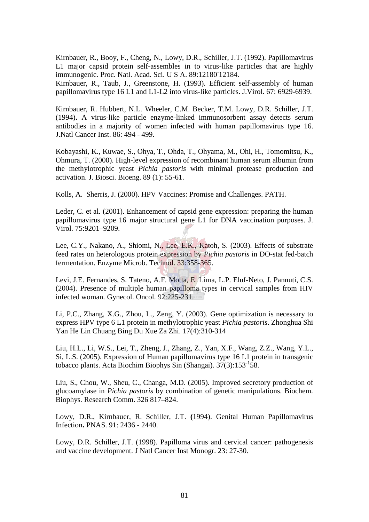Kirnbauer, R., Booy, F., Cheng, N., Lowy, D.R., Schiller, J.T. (1992). Papillomavirus L1 major capsid protein self-assembles in to virus-like particles that are highly immunogenic. Proc. Natl. Acad. Sci. U S A. 89:12180 12184. Kirnbauer, R., Taub, J., Greenstone, H. (1993). Efficient self-assembly of human

papillomavirus type 16 L1 and L1-L2 into virus-like particles. J.Virol. 67: 6929-6939.

Kirnbauer, R. Hubbert, N.L. Wheeler, C.M. Becker, T.M. Lowy, D.R. Schiller, J.T. (1994)**.** A virus-like particle enzyme-linked immunosorbent assay detects serum antibodies in a majority of women infected with human papillomavirus type 16. J.Natl Cancer Inst. 86: 494 - 499.

Kobayashi, K., Kuwae, S., Ohya, T., Ohda, T., Ohyama, M., Ohi, H., Tomomitsu, K., Ohmura, T. (2000). High-level expression of recombinant human serum albumin from the methylotrophic yeast *Pichia pastoris* with minimal protease production and activation. J. Biosci. Bioeng. 89 (1): 55-61.

Kolls, A. Sherris, J. (2000). HPV Vaccines: Promise and Challenges. PATH.

Leder, C. et al. (2001). Enhancement of capsid gene expression: preparing the human papillomavirus type 16 major structural gene L1 for DNA vaccination purposes. J. Virol. 75:9201–9209.

Lee, C.Y., Nakano, A., Shiomi, N., Lee, E.K., Katoh, S. (2003). Effects of substrate feed rates on heterologous protein expression by *Pichia pastoris* in DO-stat fed-batch fermentation. Enzyme Microb. Technol. 33:358-365.

Levi, J.E. Fernandes, S. Tateno, A.F. Motta, E. Lima, L.P. Eluf-Neto, J. Pannuti, C.S. (2004). Presence of multiple human papilloma types in cervical samples from HIV infected woman. Gynecol. Oncol. 92:225-231.

Li, P.C., Zhang, X.G., Zhou, L., Zeng, Y. (2003). Gene optimization is necessary to express HPV type 6 L1 protein in methylotrophic yeast *Pichia pastoris*. Zhonghua Shi Yan He Lin Chuang Bing Du Xue Za Zhi. 17(4):310-314

Liu, H.L., Li, W.S., Lei, T., Zheng, J., Zhang, Z., Yan, X.F., Wang, Z.Z., Wang, Y.L., Si, L.S. (2005). Expression of Human papillomavirus type 16 L1 protein in transgenic tobacco plants. Acta Biochim Biophys Sin (Shangai).  $37(3)$ :153<sup>-1</sup>58.

Liu, S., Chou, W., Sheu, C., Changa, M.D. (2005). Improved secretory production of glucoamylase in *Pichia pastoris* by combination of genetic manipulations. Biochem. Biophys. Research Comm. 326 817–824.

Lowy, D.R., Kirnbauer, R. Schiller, J.T. **(**1994). Genital Human Papillomavirus Infection**.** PNAS. 91: 2436 - 2440.

Lowy, D.R. Schiller, J.T. (1998). Papilloma virus and cervical cancer: pathogenesis and vaccine development. J Natl Cancer Inst Monogr. 23: 27-30.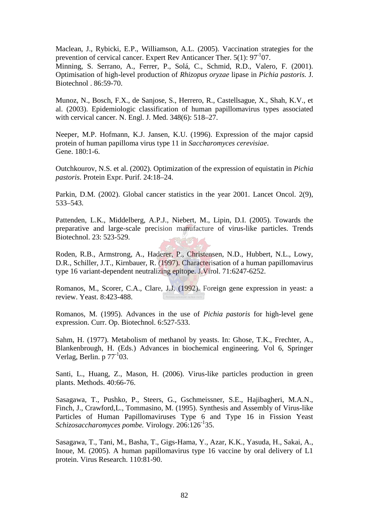Maclean, J., Rybicki, E.P., Williamson, A.L. (2005). Vaccination strategies for the prevention of cervical cancer. Expert Rev Anticancer Ther.  $5(1)$ :  $97^{-1}07$ . Minning, S. Serrano, A., Ferrer, P., Solá, C., Schmid, R.D., Valero, F. (2001). Optimisation of high-level production of *Rhizopus oryzae* lipase in *Pichia pastoris.* J. Biotechnol . 86:59-70.

Munoz, N., Bosch, F.X., de Sanjose, S., Herrero, R., Castellsague, X., Shah, K.V., et al. (2003). Epidemiologic classification of human papillomavirus types associated with cervical cancer. N. Engl. J. Med. 348(6): 518–27.

Neeper, M.P. Hofmann, K.J. Jansen, K.U. (1996). Expression of the major capsid protein of human papilloma virus type 11 in *Saccharomyces cerevisiae*. Gene. 180:1-6.

Outchkourov, N.S. et al. (2002). Optimization of the expression of equistatin in *Pichia pastoris*. Protein Expr. Purif. 24:18–24.

Parkin, D.M. (2002). Global cancer statistics in the year 2001. Lancet Oncol. 2(9), 533–543.

Pattenden, L.K., Middelberg, A.P.J., Niebert, M., Lipin, D.I. (2005). Towards the preparative and large-scale precision manufacture of virus-like particles. Trends Biotechnol. 23: 523-529.

Roden, R.B., Armstrong, A., Haderer, P., Christensen, N.D., Hubbert, N.L., Lowy, D.R., Schiller, J.T., Kirnbauer, R. (1997). Characterisation of a human papillomavirus type 16 variant-dependent neutralizing epitope. J.Virol. 71:6247-6252.

Romanos, M., Scorer, C.A., Clare, J.J. (1992). Foreign gene expression in yeast: a review. Yeast. 8:423-488.

Romanos, M. (1995). Advances in the use of *Pichia pastoris* for high-level gene expression. Curr. Op. Biotechnol. 6:527-533.

Sahm, H. (1977). Metabolism of methanol by yeasts. In: Ghose, T.K., Frechter, A., Blankenbrough, H. (Eds.) Advances in biochemical engineering. Vol 6, Springer Verlag, Berlin. p  $77^{-1}$ 03.

Santi, L., Huang, Z., Mason, H. (2006). Virus-like particles production in green plants. Methods. 40:66-76.

Sasagawa, T., Pushko, P., Steers, G., Gschmeissner, S.E., Hajibagheri, M.A.N., Finch, J., Crawford,L., Tommasino, M. (1995). Synthesis and Assembly of Virus-like Particles of Human Papillomaviruses Type 6 and Type 16 in Fission Yeast *Schizosaccharomyces pombe.* Virology. 206:126-135.

Sasagawa, T., Tani, M., Basha, T., Gigs-Hama, Y., Azar, K.K., Yasuda, H., Sakai, A., Inoue, M. (2005). A human papillomavirus type 16 vaccine by oral delivery of L1 protein. Virus Research. 110:81-90.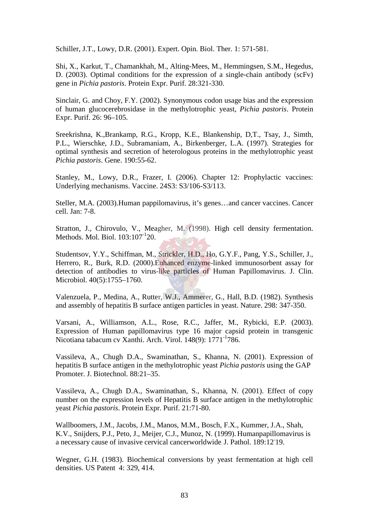Schiller, J.T., Lowy, D.R. (2001). Expert. Opin. Biol. Ther. 1: 571-581.

Shi, X., Karkut, T., Chamankhah, M., Alting-Mees, M., Hemmingsen, S.M., Hegedus, D. (2003). Optimal conditions for the expression of a single-chain antibody (scFv) gene in *Pichia pastoris*. Protein Expr. Purif. 28:321-330.

Sinclair, G. and Choy, F.Y. (2002). Synonymous codon usage bias and the expression of human glucocerebrosidase in the methylotrophic yeast, *Pichia pastoris*. Protein Expr. Purif. 26: 96–105.

Sreekrishna, K.,Brankamp, R.G., Kropp, K.E., Blankenship, D,T., Tsay, J., Simth, P.L., Wierschke, J.D., Subramaniam, A., Birkenberger, L.A. (1997). Strategies for optimal synthesis and secretion of heterologous proteins in the methylotrophic yeast *Pichia pastoris*. Gene. 190:55-62.

Stanley, M., Lowy, D.R., Frazer, I. (2006). Chapter 12: Prophylactic vaccines: Underlying mechanisms. Vaccine. 24S3: S3/106-S3/113.

Steller, M.A. (2003).Human pappilomavirus, it's genes…and cancer vaccines. Cancer cell. Jan: 7-8.

Stratton, J., Chirovulo, V., Meagher, M. (1998). High cell density fermentation. Methods. Mol. Biol.  $103:107<sup>-1</sup>20$ .

Studentsov, Y.Y., Schiffman, M., Strickler, H.D., Ho, G.Y.F., Pang, Y.S., Schiller, J., Herrero, R., Burk, R.D. (2000).Enhanced enzyme-linked immunosorbent assay for detection of antibodies to virus-like particles of Human Papillomavirus. J. Clin. Microbiol. 40(5):1755–1760.

Valenzuela, P., Medina, A., Rutter, W.J., Ammerer, G., Hall, B.D. (1982). Synthesis and assembly of hepatitis B surface antigen particles in yeast. Nature. 298: 347-350.

Varsani, A., Williamson, A.L., Rose, R.C., Jaffer, M., Rybicki, E.P. (2003). Expression of Human papillomavirus type 16 major capsid protein in transgenic Nicotiana tabacum cv Xanthi. Arch. Virol. 148(9): 1771<sup>-1</sup>786.

Vassileva, A., Chugh D.A., Swaminathan, S., Khanna, N. (2001). Expression of hepatitis B surface antigen in the methylotrophic yeast *Pichia pastoris* using the GAP Promoter. J. Biotechnol. 88:21–35.

Vassileva, A., Chugh D.A., Swaminathan, S., Khanna, N. (2001). Effect of copy number on the expression levels of Hepatitis B surface antigen in the methylotrophic yeast *Pichia pastoris*. Protein Expr. Purif. 21:71-80.

Wallboomers, J.M., Jacobs, J.M., Manos, M.M., Bosch, F.X., Kummer, J.A., Shah, K.V., Snijders, P.J., Peto, J., Meijer, C.J., Munoz, N. (1999). Humanpapillomavirus is a necessary cause of invasive cervical cancerworldwide J. Pathol. 189:12<sup>-19</sup>.

Wegner, G.H. (1983). Biochemical conversions by yeast fermentation at high cell densities. US Patent 4: 329, 414.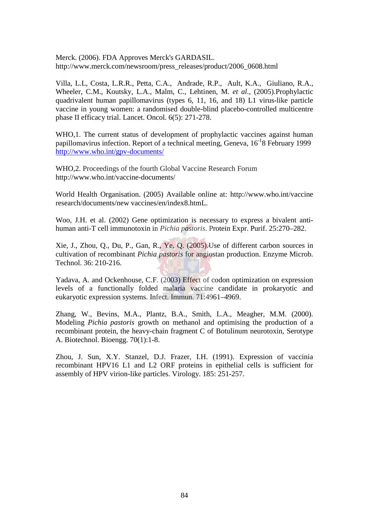Merck. (2006). FDA Approves Merck's GARDASIL. http://www.merck.com/newsroom/press\_releases/product/2006\_0608.html

Villa, L.L, Costa, L.R.R., Petta, C.A., Andrade, R.P., Ault, K.A., Giuliano, R.A., Wheeler, C.M., Koutsky, L.A., Malm, C., Lehtinen, M. *et al*., (2005).Prophylactic quadrivalent human papillomavirus (types 6, 11, 16, and 18) L1 virus-like particle vaccine in young women: a randomised double-blind placebo-controlled multicentre phase II efficacy trial. Lancet. Oncol. 6(5): 271-278.

WHO, 1. The current status of development of prophylactic vaccines against human papillomavirus infection. Report of a technical meeting, Geneva,  $16^{-1}8$  February 1999 http://www.who.int/gpv-documents/

WHO,2. Proceedings of the fourth Global Vaccine Research Forum http://www.who.int/vaccine-documents/

World Health Organisation. (2005) Available online at: http://www.who.int/vaccine research/documents/new vaccines/en/index8.htmL.

Woo, J.H. et al. (2002) Gene optimization is necessary to express a bivalent antihuman anti-T cell immunotoxin in *Pichia pastoris*. Protein Expr. Purif. 25:270–282.

Xie, J., Zhou, Q., Du, P., Gan, R., Ye, Q. (2005).Use of different carbon sources in cultivation of recombinant *Pichia pastoris* for angiostan production. Enzyme Microb. Technol. 36: 210-216.

Yadava, A. and Ockenhouse, C.F. (2003) Effect of codon optimization on expression levels of a functionally folded malaria vaccine candidate in prokaryotic and eukaryotic expression systems. Infect. Immun. 71:4961–4969.

Zhang, W., Bevins, M.A., Plantz, B.A., Smith, L.A., Meagher, M.M. (2000). Modeling *Pichia pastoris* growth on methanol and optimising the production of a recombinant protein, the heavy-chain fragment C of Botulinum neurotoxin, Serotype A. Biotechnol. Bioengg. 70(1):1-8.

Zhou, J. Sun, X.Y. Stanzel, D.J. Frazer, I.H. (1991). Expression of vaccinia recombinant HPV16 L1 and L2 ORF proteins in epithelial cells is sufficient for assembly of HPV virion-like particles. Virology. 185: 251-257.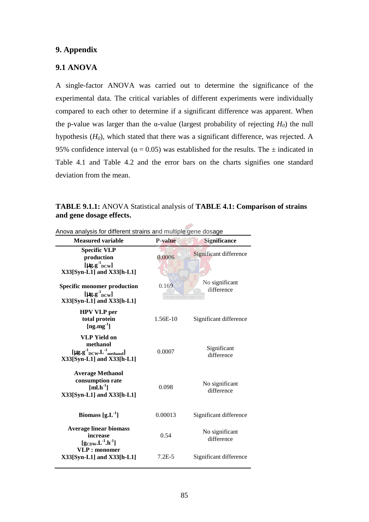# **9. Appendix**

## **9.1 ANOVA**

A single-factor ANOVA was carried out to determine the significance of the experimental data. The critical variables of different experiments were individually compared to each other to determine if a significant difference was apparent. When the p-value was larger than the α-value (largest probability of rejecting *H0*) the null hypothesis (*H0*), which stated that there was a significant difference, was rejected. A 95% confidence interval ( $\alpha$  = 0.05) was established for the results. The  $\pm$  indicated in Table 4.1 and Table 4.2 and the error bars on the charts signifies one standard deviation from the mean.

| Anova analysis for different strains and multiple gene dosage                                                     |                                       |                              |  |
|-------------------------------------------------------------------------------------------------------------------|---------------------------------------|------------------------------|--|
| <b>Measured variable</b>                                                                                          | <b>P-value</b>                        | <b>Significance</b>          |  |
| <b>Specific VLP</b><br>production<br>[ $\mu$ g.g $^{1}$ <sub>DCW</sub> ]<br>X33[Syn-L1] and X33[h-L1]             | 0.0006                                | Significant difference       |  |
| <b>Specific monomer production</b><br>[ $\mu$ g.g <sup>-1</sup> <sub>DCW</sub> ]<br>$X33[Syn-L1]$ and $X33[h-L1]$ | 0.169<br>Pectora roborant cultus rect | No significant<br>difference |  |
| <b>HPV VLP</b> per<br>total protein<br>[ng.mg $^{-1}$ ]                                                           | 1.56E-10                              | Significant difference       |  |
| <b>VLP Yield on</b><br>methanol<br>$[\mu g.g^{-1}_{DCW} L^{-1}_{methanol}]$<br>$X33[Syn-L1]$ and $X33[h-L1]$      | 0.0007                                | Significant<br>difference    |  |
| <b>Average Methanol</b><br>consumption rate<br>$[ml.h^{-1}]$<br>X33[Syn-L1] and X33[h-L1]                         | 0.098                                 | No significant<br>difference |  |
| Biomass $[g.L^{-1}]$                                                                                              | 0.00013                               | Significant difference       |  |
| <b>Average linear biomass</b><br>increase<br>$[{\rm g}_{\rm CDW}$ . ${\rm L}^{-1}$ .h <sup>-1</sup> ]             | 0.54                                  | No significant<br>difference |  |
| VLP: monomer<br>$X33[Syn-L1]$ and $X33[h-L1]$                                                                     | $7.2E - 5$                            | Significant difference       |  |

**TABLE 9.1.1:** ANOVA Statistical analysis of **TABLE 4.1: Comparison of strains and gene dosage effects.**

out of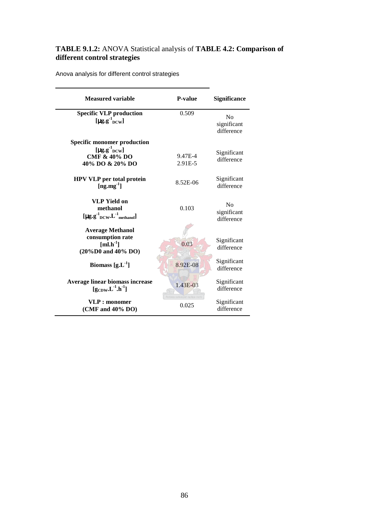## **TABLE 9.1.2:** ANOVA Statistical analysis of **TABLE 4.2: Comparison of different control strategies**

Anova analysis for different control strategies

| <b>Measured variable</b>                                                                                                              | <b>P-value</b>                       | <b>Significance</b>                         |
|---------------------------------------------------------------------------------------------------------------------------------------|--------------------------------------|---------------------------------------------|
| <b>Specific VLP production</b><br>[ $\mu$ g.g <sup>-1</sup> <sub>DCW</sub> ]                                                          | 0.509                                | N <sub>0</sub><br>significant<br>difference |
| <b>Specific monomer production</b><br>$[\mu\text{g}.\text{g}^{\text{-1}}_{\text{DCW}}]$<br><b>CMF &amp; 40% DO</b><br>40% DO & 20% DO | 9.47E-4<br>2.91E-5                   | Significant<br>difference                   |
| <b>HPV VLP</b> per total protein<br>$[ng.mg^{-1}]$                                                                                    | 8.52E-06                             | Significant<br>difference                   |
| <b>VLP Yield on</b><br>methanol<br>$[\mu g.g^{-1}$ <sub>DCW</sub> .L <sup>-1</sup> <sub>methanol</sub> ]                              | 0.103                                | $\rm No$<br>significant<br>difference       |
| <b>Average Methanol</b><br>consumption rate<br>$[\text{ml.h}^{-1}]$<br>$(20\%D0$ and $40\%$ DO)                                       | 0.03                                 | Significant<br>difference                   |
| Biomass $[g.L^{-1}]$                                                                                                                  | 8.92E-08                             | Significant<br>difference                   |
| Average linear biomass increase<br>$[g_{CDW}L^{-1}.h^{-1}]$                                                                           | 1.43E-03<br>ctora roborant cultus re | Significant<br>difference                   |
| VLP : monomer<br>(CMF and 40% DO)                                                                                                     | 0.025                                | Significant<br>difference                   |